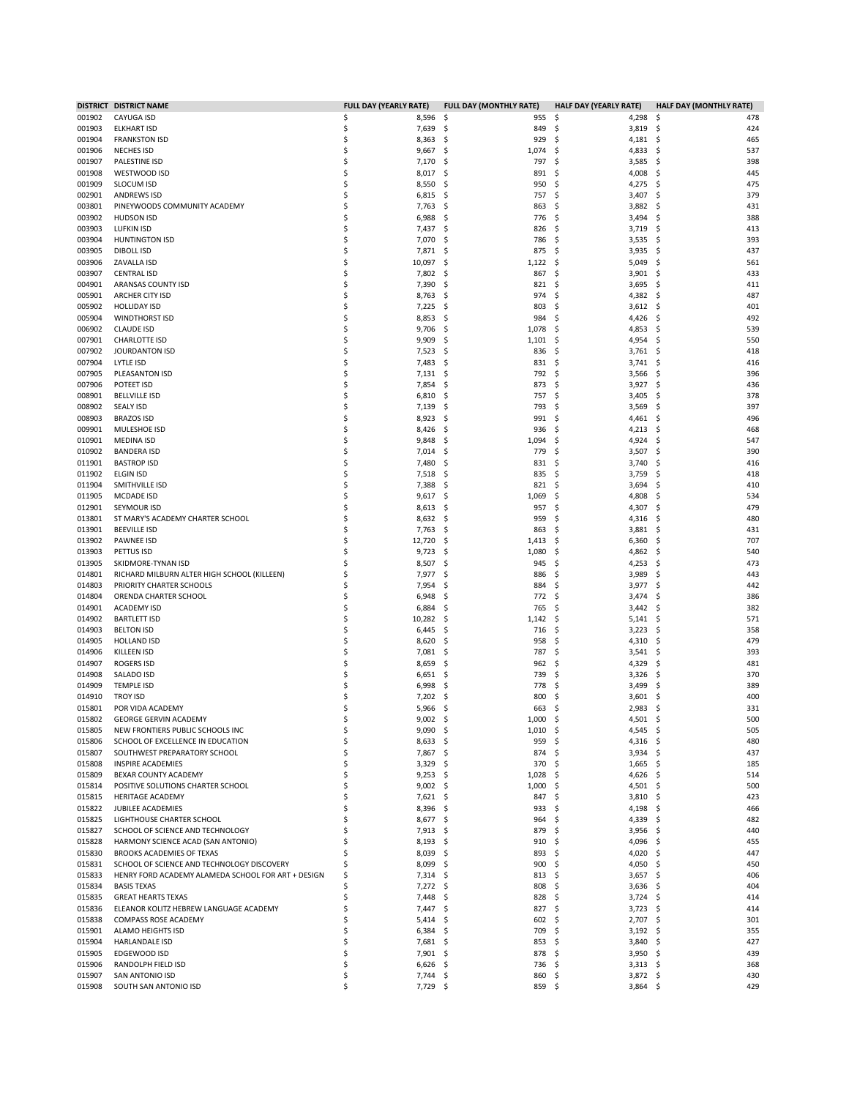| 001902<br>CAYUGA ISD<br>001903<br><b>ELKHART ISD</b><br>001904<br><b>FRANKSTON ISD</b> | \$<br>8,596<br>\$<br>7,639 | -\$<br>955  | \$,<br>4,298      | -\$<br>478 |
|----------------------------------------------------------------------------------------|----------------------------|-------------|-------------------|------------|
|                                                                                        |                            |             |                   |            |
|                                                                                        |                            | \$<br>849   | 3,819<br>\$       | \$<br>424  |
|                                                                                        | \$<br>8,363                | S<br>929    | \$<br>4,181       | \$<br>465  |
| 001906                                                                                 | \$                         | 1,074       | 4,833             | \$         |
| <b>NECHES ISD</b>                                                                      | 9,667                      | -\$         | S                 | 537        |
| 001907                                                                                 | \$                         | 797         | \$                | 398        |
| PALESTINE ISD                                                                          | 7,170                      | \$,         | 3,585             | \$         |
| 001908                                                                                 | \$                         | S           | 4,008             | \$         |
| WESTWOOD ISD                                                                           | 8,017                      | 891         | Ś                 | 445        |
| 001909<br><b>SLOCUM ISD</b>                                                            | \$<br>8,550                | 950         | S                 | \$<br>475  |
|                                                                                        |                            | \$,         | 4,275             | 379        |
| 002901<br><b>ANDREWS ISD</b>                                                           | \$<br>6,815                | -\$<br>757  | 3,407<br>\$       | \$         |
| 003801                                                                                 | \$                         | S           | 3,882             | \$         |
| PINEYWOODS COMMUNITY ACADEMY                                                           | 7,763                      | 863         | S                 | 431        |
| 003902                                                                                 | \$                         | 776         | 3,494             | 388        |
| <b>HUDSON ISD</b>                                                                      | 6,988                      | \$,         | S                 | \$         |
| 003903                                                                                 | \$                         | 826         | 3,719             | -\$        |
| <b>LUFKIN ISD</b>                                                                      | 7,437                      | S           | S                 | 413        |
| 003904                                                                                 | \$                         | 786         | 3,535             | \$         |
| <b>HUNTINGTON ISD</b>                                                                  | 7,070                      | S           | S                 | 393        |
| 003905                                                                                 | \$                         | 875         | 3,935             | 437        |
| <b>DIBOLL ISD</b>                                                                      | 7,871                      | \$,         | \$                | \$         |
| 003906                                                                                 | \$                         | S           | 5,049             | 561        |
| ZAVALLA ISD                                                                            | 10,097                     | 1,122       | S                 | -\$        |
| 003907                                                                                 | \$                         | \$,         | \$                | \$         |
| <b>CENTRAL ISD</b>                                                                     | 7,802                      | 867         | 3,901             | 433        |
| 004901                                                                                 | \$                         | 821         | 3,695             | 411        |
| ARANSAS COUNTY ISD                                                                     | 7,390                      | \$,         | \$                | \$         |
| ARCHER CITY ISD                                                                        | \$                         | 974         | 4,382             | 487        |
| 005901                                                                                 | 8,763                      | \$,         | S                 | \$         |
| 005902                                                                                 | \$                         | 803         | 3,612             | \$         |
| <b>HOLLIDAY ISD</b>                                                                    | 7,225                      | S           | S                 | 401        |
| 005904                                                                                 | \$                         | 984         | 4,426             | 492        |
| <b>WINDTHORST ISD</b>                                                                  | 8,853                      | \$,         | S                 | \$         |
| 006902                                                                                 | \$                         | 1,078       | 4,853             | -\$        |
| <b>CLAUDE ISD</b>                                                                      | 9,706                      | S           | S                 | 539        |
| 007901                                                                                 | \$                         | 1,101       | 4,954             | \$         |
| <b>CHARLOTTE ISD</b>                                                                   | 9,909                      | \$,         | \$,               | 550        |
|                                                                                        | \$                         |             |                   |            |
| 007902<br>JOURDANTON ISD                                                               | 7,523                      | S<br>836    | 3,761<br>S        | \$<br>418  |
| 007904                                                                                 | \$                         | 831         | 3,741             | -\$        |
| LYTLE ISD                                                                              | 7,483                      | S           | S                 | 416        |
| 007905                                                                                 | \$                         | 792         | 3,566             | \$         |
| PLEASANTON ISD                                                                         | 7,131                      | \$,         | \$,               | 396        |
| 007906                                                                                 | \$                         | 873         | 3,927             | 436        |
| POTEET ISD                                                                             | 7,854                      | S           | S                 | \$         |
| 008901                                                                                 | \$                         | 757         | 3,405             | -\$        |
| <b>BELLVILLE ISD</b>                                                                   | 6,810                      | S           | S                 | 378        |
| 008902                                                                                 | \$                         | 793         | 3,569             | 397        |
| <b>SEALY ISD</b>                                                                       | 7,139                      | \$,         | S                 | \$         |
| 008903                                                                                 | \$                         | 991         | 4,461             | \$         |
| <b>BRAZOS ISD</b>                                                                      | 8,923                      | S           | S                 | 496        |
| 009901                                                                                 | \$                         | 936         | Ś                 | \$         |
| MULESHOE ISD                                                                           | 8,426                      | S           | 4,213             | 468        |
| 010901                                                                                 | \$                         | 1,094       | 4,924             | 547        |
| <b>MEDINA ISD</b>                                                                      | 9,848                      | \$,         | \$,               | \$         |
| 010902                                                                                 | \$                         | 779         | 3,507             | -\$        |
| <b>BANDERA ISD</b>                                                                     | 7,014                      | S           | S                 | 390        |
| 011901                                                                                 | \$                         | 831         | 3,740             | \$         |
| <b>BASTROP ISD</b>                                                                     | 7,480                      | S           | S                 | 416        |
| 011902                                                                                 | \$                         | 835         | 3,759             | \$         |
| ELGIN ISD                                                                              | 7,518                      | S           | S                 | 418        |
| 011904                                                                                 | \$                         | 821         | 3,694             | -\$        |
| SMITHVILLE ISD                                                                         | 7,388                      | S           | S                 | 410        |
| 011905                                                                                 | \$                         | 1,069       | 4,808             | \$         |
| <b>MCDADE ISD</b>                                                                      | 9,617                      | S           | S                 | 534        |
|                                                                                        | \$                         |             |                   |            |
| 012901<br>SEYMOUR ISD                                                                  | 8,613                      | \$,<br>957  | 4,307<br>S        | \$<br>479  |
| ST MARY'S ACADEMY CHARTER SCHOOL                                                       | \$                         | 959         | 4,316             | \$         |
| 013801                                                                                 | 8,632                      | -\$         | S                 | 480        |
| 013901                                                                                 | \$                         | \$          | 3,881             | 431        |
| <b>BEEVILLE ISD</b>                                                                    | 7,763                      | 863         | S                 | \$         |
| 013902                                                                                 | \$                         | \$,         | 6,360             | 707        |
| <b>PAWNEE ISD</b>                                                                      | 12,720                     | 1,413       | S                 | \$         |
| 013903                                                                                 | \$                         | 1,080       | 4,862             | \$         |
| PETTUS ISD                                                                             | 9,723                      | S           | S                 | 540        |
| 013905                                                                                 | \$                         | 945         | 4,253             | 473        |
| SKIDMORE-TYNAN ISD                                                                     | 8,507                      | \$,         | S                 | \$         |
| 014801                                                                                 | \$                         | 886         | 3,989             | \$         |
| RICHARD MILBURN ALTER HIGH SCHOOL (KILLEEN)                                            | 7,977                      | S           | S                 | 443        |
| 014803                                                                                 | \$                         | 884         | 3,977             | \$         |
| PRIORITY CHARTER SCHOOLS                                                               | 7,954                      | S           | S                 | 442        |
| 014804                                                                                 | \$                         | 772         | 3,474             | 386        |
| ORENDA CHARTER SCHOOL                                                                  | 6,948                      | S           | S                 | \$         |
| 014901                                                                                 | \$                         | 765         | 3,442             | \$         |
| <b>ACADEMY ISD</b>                                                                     | 6,884                      | S           | S                 | 382        |
| 014902                                                                                 | \$                         | 1,142       | \$                | -\$        |
| <b>BARTLETT ISD</b>                                                                    | 10,282                     | \$,         | 5,141             | 571        |
| 014903                                                                                 | \$                         | S           | \$                | \$         |
| <b>BELTON ISD</b>                                                                      | 6,445                      | 716         | 3,223             | 358        |
| 014905                                                                                 | \$                         | 958         | 4,310             | \$         |
| <b>HOLLAND ISD</b>                                                                     | 8,620                      | \$,         | S                 | 479        |
| <b>KILLEEN ISD</b>                                                                     | \$                         | 787         | \$                | 393        |
| 014906                                                                                 | 7,081                      | \$,         | 3,541             | \$         |
| 014907                                                                                 | \$                         | S           | 4,329             | \$         |
| <b>ROGERS ISD</b>                                                                      | 8,659                      | 962         | S                 | 481        |
| 014908                                                                                 | \$                         | 739         | 3,326             | \$         |
| SALADO ISD                                                                             | 6,651                      | \$,         | S                 | 370        |
| <b>TEMPLE ISD</b>                                                                      | \$                         | 778         | S                 | \$<br>389  |
| 014909                                                                                 | 6,998                      | Ş           | 3,499             |            |
| 014910                                                                                 | \$                         | 800         | 3,601             | \$         |
| <b>TROY ISD</b>                                                                        | 7,202                      | S           | Ś                 | 400        |
| 015801                                                                                 | \$                         | 663         | 2,983             | \$         |
| POR VIDA ACADEMY                                                                       | 5,966                      | \$,         | S                 | 331        |
| 015802                                                                                 | Ś                          | 1,000       | 4,501             | 500        |
| <b>GEORGE GERVIN ACADEMY</b>                                                           | 9,002                      | S           | Ś                 | -\$        |
| 015805<br>NEW FRONTIERS PUBLIC SCHOOLS INC                                             | \$<br>$9,090$ \$           | 1,010       | -\$<br>4,545 \$   | 505        |
| 015806<br>SCHOOL OF EXCELLENCE IN EDUCATION                                            | \$<br>$8,633$ \$           | 959         | \$<br>4,316 \$    | 480        |
| 015807<br>SOUTHWEST PREPARATORY SCHOOL                                                 | \$<br>7,867                | 874<br>.s   | $3,934$ \$<br>-S  | 437        |
| 015808<br><b>INSPIRE ACADEMIES</b>                                                     | \$<br>3,329                | 370<br>- \$ | $1,665$ \$<br>-S  | 185        |
| 015809<br>BEXAR COUNTY ACADEMY                                                         | \$<br>$9,253$ \$           | 1,028       | 4,626 \$<br>-\$   | 514        |
| POSITIVE SOLUTIONS CHARTER SCHOOL<br>015814                                            | \$<br>$9,002$ \$           | 1,000       | 4,501 \$<br>-\$   | 500        |
| 015815<br><b>HERITAGE ACADEMY</b>                                                      | \$<br>$7,621$ \$           | 847         | \$<br>$3,810$ \$  | 423        |
| 015822<br>JUBILEE ACADEMIES                                                            | \$<br>$8,396$ \$           | 933         | 4,198 \$<br>\$,   | 466        |
| 015825<br>LIGHTHOUSE CHARTER SCHOOL                                                    | \$<br>8,677 \$             | 964         | 4,339 \$<br>-S    | 482        |
| 015827                                                                                 | \$                         | 879         | \$                | \$         |
| SCHOOL OF SCIENCE AND TECHNOLOGY                                                       | 7,913                      | -\$         | 3,956             | 440        |
| 015828<br>HARMONY SCIENCE ACAD (SAN ANTONIO)                                           | \$<br>8,193                | 910<br>-\$  | 4,096 \$<br>-\$   | 455        |
| 015830<br>BROOKS ACADEMIES OF TEXAS                                                    | Ś<br>$8,039$ \$            | 893         | 4,020 \$<br>-S    | 447        |
| SCHOOL OF SCIENCE AND TECHNOLOGY DISCOVERY                                             |                            |             |                   |            |
| 015831                                                                                 | \$<br>8,099                | 900<br>\$   | \$<br>4,050       | \$<br>450  |
| 015833                                                                                 | \$                         | -\$         | 3,657             | 406        |
| HENRY FORD ACADEMY ALAMEDA SCHOOL FOR ART + DESIGN                                     | 7,314                      | 813         | -S                | -\$        |
| 015834<br><b>BASIS TEXAS</b>                                                           | 7,272 \$<br>Ś              | 808         | $3,636$ \$<br>-S  | 404        |
| 015835                                                                                 | \$                         | \$          | \$                | -\$        |
| <b>GREAT HEARTS TEXAS</b>                                                              | 7,448                      | 828         | 3,724             | 414        |
| 015836<br>ELEANOR KOLITZ HEBREW LANGUAGE ACADEMY                                       | Ś<br>7,447                 | -\$<br>827  | $3,723$ \$<br>-\$ | 414        |
| 015838                                                                                 | Ś                          | 602         | -\$               | -\$        |
| <b>COMPASS ROSE ACADEMY</b>                                                            | 5,414                      | -\$         | 2,707             | 301        |
| 015901                                                                                 | \$                         | 709         | 3,192             | \$         |
| ALAMO HEIGHTS ISD                                                                      | 6,384                      | -\$         | \$,               | 355        |
| 015904<br>HARLANDALE ISD                                                               | Ś<br>7,681                 | -\$<br>853  | -S<br>$3,840$ \$  | 427        |
| 015905<br>EDGEWOOD ISD                                                                 | \$<br>7,901                | \$<br>878   | $3,950$ \$<br>-S  | 439        |
|                                                                                        |                            |             |                   | 368        |
| 015906<br>RANDOLPH FIELD ISD                                                           | \$<br>6,626                | 736<br>-\$  | $3,313$ \$<br>\$, |            |
| 015907<br><b>SAN ANTONIO ISD</b>                                                       | \$<br>7,744                | 860<br>-\$  | $3,872$ \$<br>S   | 430        |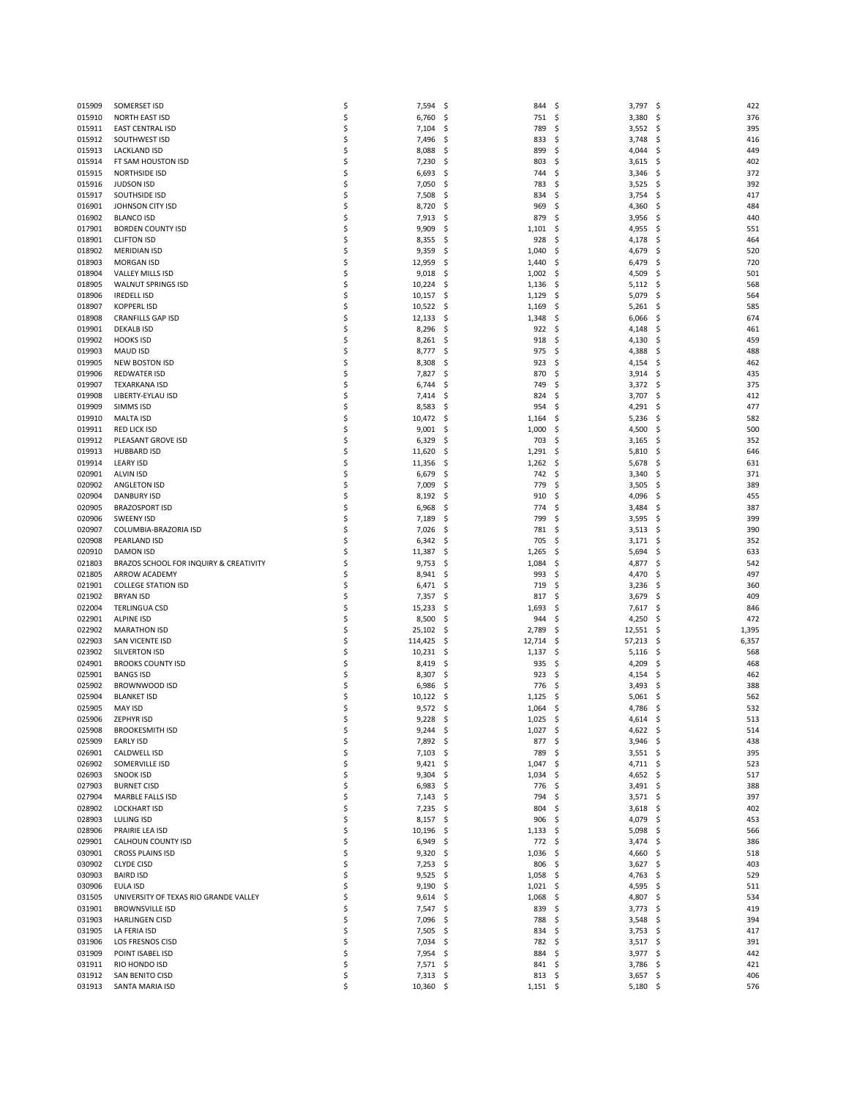| 015909           | SOMERSET ISD                                   | \$       | 7,594                    | - \$       | 844                | \$        | $3,797$ \$               |           | 422        |
|------------------|------------------------------------------------|----------|--------------------------|------------|--------------------|-----------|--------------------------|-----------|------------|
| 015910           | NORTH EAST ISD                                 | \$       | 6,760                    | -\$        | 751                | -\$       | 3,380                    | - \$      | 376        |
| 015911           | <b>EAST CENTRAL ISD</b>                        | \$       | 7,104                    | \$         | 789                | Ś         | 3,552                    | \$        | 395        |
| 015912           | SOUTHWEST ISD                                  | \$       | 7,496                    | \$         | 833                | S         | 3,748                    | \$,       | 416        |
| 015913           | <b>LACKLAND ISD</b>                            | \$       | 8,088                    | \$,        | 899                | Ś         | 4,044                    | \$        | 449        |
| 015914           | FT SAM HOUSTON ISD                             | \$       | 7,230                    | \$         | 803                | Ś         | 3,615                    | \$        | 402        |
| 015915<br>015916 | <b>NORTHSIDE ISD</b><br><b>JUDSON ISD</b>      | \$<br>\$ | 6,693<br>7,050           | \$,<br>\$, | 744<br>783         | S<br>Ś    | 3,346<br>3,525           | \$,<br>\$ | 372<br>392 |
| 015917           | SOUTHSIDE ISD                                  | \$       | 7,508                    | \$         | 834                | Ś         | 3,754                    | \$        | 417        |
| 016901           | JOHNSON CITY ISD                               | \$       | 8,720                    | \$,        | 969                | S         | 4,360                    | \$        | 484        |
| 016902           | <b>BLANCO ISD</b>                              | \$       | 7,913                    | \$,        | 879                | S         | 3,956                    | \$        | 440        |
| 017901           | <b>BORDEN COUNTY ISD</b>                       | \$       | 9,909                    | \$,        | 1,101              | S         | 4,955                    | \$        | 551        |
| 018901           | <b>CLIFTON ISD</b>                             | \$       | 8,355                    | \$,        | 928                | S         | 4,178                    | \$,       | 464        |
| 018902           | <b>MERIDIAN ISD</b>                            | \$       | 9,359                    | \$         | 1,040              | S         | 4,679                    | S         | 520        |
| 018903           | <b>MORGAN ISD</b>                              | \$       | 12,959                   | \$,        | 1,440              | S         | 6,479                    | \$        | 720        |
| 018904           | VALLEY MILLS ISD                               | \$       | 9,018                    | \$         | 1,002              | S         | 4,509                    | \$,       | 501        |
| 018905           | <b>WALNUT SPRINGS ISD</b>                      | \$       | 10,224                   | \$         | 1,136              | S         | 5,112                    | S         | 568        |
| 018906           | <b>IREDELL ISD</b>                             | \$       | 10,157                   | -\$        | 1,129              | \$        | 5,079                    | \$        | 564        |
| 018907           | <b>KOPPERL ISD</b>                             | \$       | 10,522                   | -\$        | 1,169              | \$        | 5,261                    | \$        | 585        |
| 018908           | <b>CRANFILLS GAP ISD</b>                       | \$       | 12,133                   | \$         | 1,348              | \$        | 6,066                    | S         | 674        |
| 019901           | <b>DEKALB ISD</b>                              | \$       | 8,296                    | \$,        | 922                | \$        | 4,148                    | \$        | 461        |
| 019902           | <b>HOOKS ISD</b>                               | \$       | 8,261                    | -\$        | 918                | \$        | 4,130                    | \$        | 459        |
| 019903           | <b>MAUD ISD</b>                                | \$       | 8,777                    | -S         | 975                | Ś         | 4,388                    | \$        | 488        |
| 019905<br>019906 | <b>NEW BOSTON ISD</b>                          | \$<br>\$ | 8,308                    | \$,        | 923                | S<br>Ś    | 4,154<br>3,914           | \$        | 462<br>435 |
| 019907           | <b>REDWATER ISD</b><br><b>TEXARKANA ISD</b>    | \$       | 7,827<br>6,744           | \$,<br>S   | 870<br>749         | S         | 3,372                    | \$<br>\$  | 375        |
| 019908           | LIBERTY-EYLAU ISD                              | \$       | 7,414                    | \$,        | 824                | S         | 3,707                    | \$        | 412        |
| 019909           | SIMMS ISD                                      | \$       | 8,583                    | \$         | 954                | Ś         | 4,291                    | \$        | 477        |
| 019910           | <b>MALTA ISD</b>                               | \$       | 10,472                   | -S         | 1,164              | Ś         | 5,236                    | S         | 582        |
| 019911           | <b>RED LICK ISD</b>                            | \$       | 9,001                    | \$,        | 1,000              | \$        | 4,500                    | \$        | 500        |
| 019912           | PLEASANT GROVE ISD                             | \$       | 6,329                    | \$,        | 703                | S         | 3,165                    | \$,       | 352        |
| 019913           | <b>HUBBARD ISD</b>                             | \$       | 11,620                   | S          | 1,291              | S         | 5,810                    | \$        | 646        |
| 019914           | <b>LEARY ISD</b>                               | \$       | 11,356                   | \$,        | 1,262              | \$        | 5,678                    | \$,       | 631        |
| 020901           | <b>ALVIN ISD</b>                               | \$       | 6,679                    | \$         | 742                | S         | 3,340                    | \$        | 371        |
| 020902           | ANGLETON ISD                                   | \$       | 7,009                    | \$         | 779                | Ś         | 3,505                    | \$        | 389        |
| 020904           | <b>DANBURY ISD</b>                             | \$       | 8,192                    | \$,        | 910                | \$        | 4,096                    | \$,       | 455        |
| 020905           | <b>BRAZOSPORT ISD</b>                          | \$       | 6,968                    | \$         | 774                | S         | 3,484                    | \$        | 387        |
| 020906           | <b>SWEENY ISD</b>                              | \$       | 7,189                    | -S         | 799                | S         | 3,595                    | \$        | 399        |
| 020907           | COLUMBIA-BRAZORIA ISD                          | \$       | 7,026                    | -S         | 781                | S         | 3,513                    | \$,       | 390        |
| 020908           | PEARLAND ISD                                   | \$       | 6,342                    | -\$        | 705                | S         | 3,171                    | \$.       | 352        |
| 020910           | <b>DAMON ISD</b>                               | \$       | 11,387                   | \$,        | 1,265              | Ś         | 5,694                    | \$        | 633        |
| 021803           | BRAZOS SCHOOL FOR INQUIRY & CREATIVITY         | S        | 9,753                    | -S         | 1,084              | \$        | 4,877                    | \$,       | 542        |
| 021805<br>021901 | ARROW ACADEMY                                  | \$<br>\$ | 8,941<br>6,471           | \$,        | 993                | Ś<br>Ś    | 4,470                    | \$<br>\$  | 497        |
| 021902           | <b>COLLEGE STATION ISD</b><br><b>BRYAN ISD</b> | \$       | 7,357                    | \$,<br>\$, | 719<br>817         | S         | 3,236<br>3,679           | \$,       | 360<br>409 |
| 022004           | <b>TERLINGUA CSD</b>                           | \$       | 15,233                   | -\$        | 1,693              | S         | 7,617                    | S         | 846        |
| 022901           | <b>ALPINE ISD</b>                              | \$       | 8,500                    | \$,        | 944                | Ś         | 4,250                    | \$        | 472        |
| 022902           | <b>MARATHON ISD</b>                            | \$       | 25,102                   | -\$        | 2,789              | S         | $12,551$ \$              |           | 1,395      |
| 022903           | SAN VICENTE ISD                                | \$       | 114,425                  | \$,        | 12,714             | \$        | 57,213                   | \$        | 6,357      |
| 023902           | <b>SILVERTON ISD</b>                           | \$       | 10,231                   | \$,        | 1,137              | \$        | 5,116                    | \$        | 568        |
| 024901           | <b>BROOKS COUNTY ISD</b>                       | \$       | 8,419                    | -S         | 935                | S         | 4,209                    | \$,       | 468        |
| 025901           | <b>BANGS ISD</b>                               | \$       | 8,307                    | -\$        | 923                | \$.       | 4,154                    | \$,       | 462        |
| 025902           | BROWNWOOD ISD                                  | S        | 6,986                    | S          | 776                | S         | 3,493                    | S         | 388        |
| 025904           | <b>BLANKET ISD</b>                             | \$       | 10,122                   | S          | 1,125              | S         | 5,061                    | S         | 562        |
| 025905           | <b>MAY ISD</b>                                 | \$       | 9,572                    | \$,        | 1,064              | -\$       | 4,786                    | - \$      | 532        |
| 025906           | ZEPHYR ISD                                     | ς        | 9,228                    | S          | 1,025              | S         | 4,614                    | S         | 513        |
| 025908           | <b>BROOKESMITH ISD</b>                         | \$       | $9,244$ \$               |            | $1,027$ \$         |           | 4,622 \$                 |           | 514        |
| 025909           | EARLY ISD                                      | \$       | 7,892 \$                 |            | 877 \$             |           | $3,946$ \$               |           | 438        |
| 026901           | CALDWELL ISD                                   | \$       | $7,103$ \$               |            | 789                | S         | $3,551$ \$               |           | 395        |
| 026902<br>026903 | SOMERVILLE ISD<br><b>SNOOK ISD</b>             | \$<br>\$ | $9,421$ \$<br>$9,304$ \$ |            | 1,047              | -\$       | $4,711$ \$               |           | 523<br>517 |
| 027903           | <b>BURNET CISD</b>                             | \$       | $6,983$ \$               |            | 1,034<br>776       | \$.<br>\$ | 4,652 \$<br>$3,491$ \$   |           | 388        |
| 027904           | MARBLE FALLS ISD                               | \$       | $7,143$ \$               |            | 794                | \$.       | $3,571$ \$               |           | 397        |
| 028902           | <b>LOCKHART ISD</b>                            | \$       | $7,235$ \$               |            | 804                | S         | $3,618$ \$               |           | 402        |
| 028903           | <b>LULING ISD</b>                              | \$       | $8,157$ \$               |            | 906                | \$.       | 4,079 \$                 |           | 453        |
| 028906           | PRAIRIE LEA ISD                                | \$       | 10,196 \$                |            | 1,133              | \$.       | $5,098$ \$               |           | 566        |
| 029901           | CALHOUN COUNTY ISD                             | \$       | $6,949$ \$               |            | 772                | \$.       | $3,474$ \$               |           | 386        |
| 030901           | <b>CROSS PLAINS ISD</b>                        | \$       | $9,320$ \$               |            | 1,036              | -\$       | 4,660 \$                 |           | 518        |
| 030902           | <b>CLYDE CISD</b>                              | \$       | $7,253$ \$               |            | 806                | \$.       | $3,627$ \$               |           | 403        |
| 030903           | <b>BAIRD ISD</b>                               | \$       | $9,525$ \$               |            | $1,058$ \$         |           | 4,763 \$                 |           | 529        |
| 030906           | EULA ISD                                       | \$       | $9,190$ \$               |            | $1,021$ \$         |           | 4,595 \$                 |           | 511        |
| 031505           | UNIVERSITY OF TEXAS RIO GRANDE VALLEY          | \$       | 9,614                    | -\$        | 1,068              | \$        | 4,807 \$                 |           | 534        |
| 031901           | <b>BROWNSVILLE ISD</b>                         | S        | 7,547 \$                 |            | 839                | S         | $3,773$ \$               |           | 419        |
| 031903           | <b>HARLINGEN CISD</b>                          | \$       | 7,096                    | -\$        | 788                | \$        | $3,548$ \$               |           | 394        |
| 031905           | LA FERIA ISD                                   | Ś        | 7,505                    | -\$        | 834                | \$        | $3,753$ \$               |           | 417        |
| 031906           | LOS FRESNOS CISD                               | \$       | 7,034 \$                 |            | 782                | S         | $3,517$ \$               |           | 391        |
| 031909<br>031911 | POINT ISABEL ISD<br>RIO HONDO ISD              | \$<br>\$ | 7,954<br>7,571 \$        | -\$        | 884<br>$841 \;$ \$ | \$.       | $3,977$ \$<br>$3,786$ \$ |           | 442<br>421 |
| 031912           | SAN BENITO CISD                                | \$       | $7,313$ \$               |            | $813 \quad $$      |           | $3,657$ \$               |           | 406        |
| 031913           | SANTA MARIA ISD                                | \$       | 10,360 \$                |            | $1,151$ \$         |           | $5,180$ \$               |           | 576        |
|                  |                                                |          |                          |            |                    |           |                          |           |            |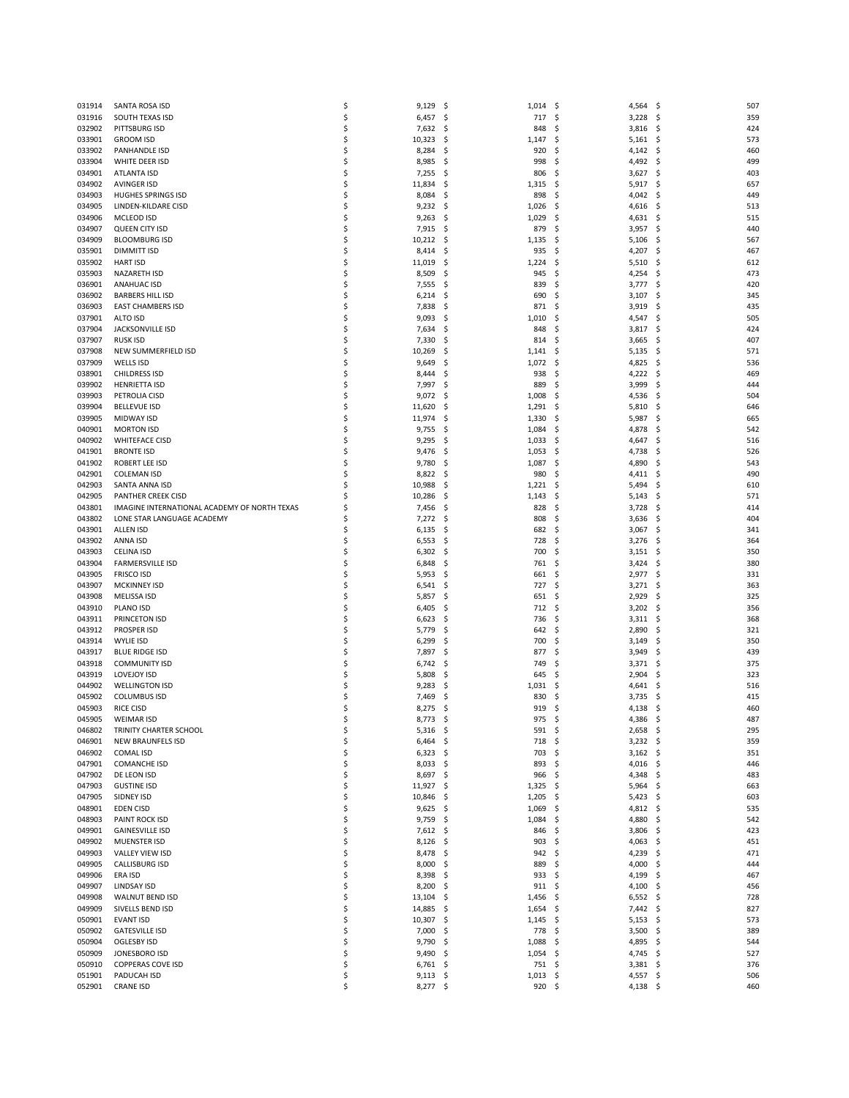| 031914           | SANTA ROSA ISD                               | \$       | 9,129               | - \$       | 1,014           | - \$<br>4,564 \$                |            | 507        |
|------------------|----------------------------------------------|----------|---------------------|------------|-----------------|---------------------------------|------------|------------|
| 031916           | SOUTH TEXAS ISD                              | \$       | 6,457               | - \$       | 717             | 3,228<br>-\$                    | - \$       | 359        |
| 032902           | PITTSBURG ISD                                | \$       | 7,632               | \$,        | 848             | 3,816<br>S                      | - \$       | 424        |
| 033901           | <b>GROOM ISD</b>                             | \$       | 10,323              | \$,        | 1,147           | $5,161$ \$<br>\$                |            | 573        |
| 033902           | PANHANDLE ISD                                | \$       | 8,284               | \$,        | 920             | 4,142<br>\$                     | \$.        | 460        |
| 033904           | WHITE DEER ISD                               | \$       | 8,985               | \$,        | 998             | 4,492<br>S                      | \$         | 499        |
| 034901           | ATLANTA ISD                                  | \$       | 7,255               | \$,        | 806             | 3,627<br>S                      | \$         | 403        |
| 034902           | <b>AVINGER ISD</b>                           | \$       | 11,834              | \$         | 1,315           | 5,917<br>S                      | - \$       | 657        |
| 034903           | <b>HUGHES SPRINGS ISD</b>                    | \$<br>\$ | 8,084               | \$,        | 898             | 4,042<br>S                      | \$         | 449        |
| 034905<br>034906 | LINDEN-KILDARE CISD<br><b>MCLEOD ISD</b>     | \$       | 9,232<br>9,263      | -\$<br>-S  | 1,026<br>1,029  | 4,616<br>S<br>4,631<br>S        | \$.<br>\$, | 513<br>515 |
| 034907           | QUEEN CITY ISD                               | \$       | 7,915               | \$,        | 879             | 3,957<br>S                      | \$         | 440        |
| 034909           | <b>BLOOMBURG ISD</b>                         | \$       | 10,212              | \$,        | 1,135           | 5,106<br>\$                     | \$         | 567        |
| 035901           | <b>DIMMITT ISD</b>                           | \$       | 8,414               | \$         | 935             | Ś<br>4,207                      | \$         | 467        |
| 035902           | <b>HART ISD</b>                              | \$       | 11,019              | \$,        | 1,224           | 5,510<br>\$                     | \$         | 612        |
| 035903           | NAZARETH ISD                                 | \$       | 8,509               | \$,        | 945             | 4,254<br>Ś                      | \$         | 473        |
| 036901           | <b>ANAHUAC ISD</b>                           | \$       | 7,555               | \$         | 839             | 3,777<br>S                      | - \$       | 420        |
| 036902           | <b>BARBERS HILL ISD</b>                      | \$       | 6,214               | \$,        | 690             | 3,107<br>S                      | \$         | 345        |
| 036903           | <b>EAST CHAMBERS ISD</b>                     | \$       | 7,838               | Ś          | 871             | 3,919<br>S                      | S          | 435        |
| 037901           | ALTO ISD                                     | \$       | 9,093               | -S         | 1,010           | 4,547<br>S                      | - \$       | 505        |
| 037904           | JACKSONVILLE ISD                             | \$       | 7,634               | \$,        | 848             | 3,817<br>\$                     | \$         | 424        |
| 037907<br>037908 | <b>RUSK ISD</b><br>NEW SUMMERFIELD ISD       | \$<br>\$ | 7,330<br>10,269     | \$<br>S    | 814<br>1,141    | 3,665<br>S<br>Ś<br>5,135        | \$,<br>\$  | 407<br>571 |
| 037909           | WELLS ISD                                    | \$       | 9,649               | \$         | 1,072           | 4,825<br>\$                     | \$,        | 536        |
| 038901           | <b>CHILDRESS ISD</b>                         | \$       | 8,444               | Ś          | 938             | 4,222<br>S                      | \$,        | 469        |
| 039902           | <b>HENRIETTA ISD</b>                         | \$       | 7,997               | \$         | 889             | 3,999<br>Ś                      | \$         | 444        |
| 039903           | PETROLIA CISD                                | \$       | 9,072               | -\$        | 1,008           | 4,536<br>\$                     | \$,        | 504        |
| 039904           | <b>BELLEVUE ISD</b>                          | \$       | 11,620              | \$,        | 1,291           | 5,810<br>S                      | \$         | 646        |
| 039905           | <b>MIDWAY ISD</b>                            | \$       | 11,974              | \$,        | 1,330           | 5,987<br>S                      | \$         | 665        |
| 040901           | <b>MORTON ISD</b>                            | \$       | 9,755               | \$,        | 1,084           | 4,878<br>\$                     | \$,        | 542        |
| 040902           | <b>WHITEFACE CISD</b>                        | \$       | 9,295               | \$,        | 1,033           | 4,647<br>\$                     | \$,        | 516        |
| 041901           | <b>BRONTE ISD</b>                            | \$       | 9,476               | \$,        | 1,053           | \$<br>4,738                     | \$         | 526        |
| 041902           | ROBERT LEE ISD                               | \$       | 9,780               | S          | 1,087           | 4,890<br>\$                     | \$         | 543        |
| 042901<br>042903 | <b>COLEMAN ISD</b><br>SANTA ANNA ISD         | \$<br>\$ | 8,822<br>10,988     | \$,<br>\$, | 980<br>1,221    | Ś<br>4,411<br>5,494<br>S        | \$,<br>\$  | 490<br>610 |
| 042905           | PANTHER CREEK CISD                           | Ś        | 10,286              | S          | 1,143           | 5,143<br>\$                     | \$,        | 571        |
| 043801           | IMAGINE INTERNATIONAL ACADEMY OF NORTH TEXAS | \$       | 7,456               | \$,        | 828             | Ś<br>3,728                      | \$         | 414        |
| 043802           | LONE STAR LANGUAGE ACADEMY                   | Ś        | 7,272               | \$,        | 808             | Ś<br>3,636                      | \$         | 404        |
| 043901           | <b>ALLEN ISD</b>                             | \$       | 6,135               | -S         | 682             | 3,067<br>S                      | \$         | 341        |
| 043902           | ANNA ISD                                     | \$       | 6,553               | \$,        | 728             | \$<br>3,276                     | \$         | 364        |
| 043903           | <b>CELINA ISD</b>                            | \$       | 6,302               | Ś          | 700             | Ś<br>3,151                      | \$         | 350        |
| 043904           | <b>FARMERSVILLE ISD</b>                      | \$       | 6,848               | -S         | 761             | 3,424<br>S                      | \$,        | 380        |
| 043905           | <b>FRISCO ISD</b>                            | \$       | 5,953               | \$,        | 661             | $2,977$ \$<br>\$                |            | 331        |
| 043907<br>043908 | <b>MCKINNEY ISD</b><br>MELISSA ISD           | \$<br>\$ | 6,541               | \$         | 727<br>651      | Ś<br>3,271<br>2,929<br>S        | \$         | 363<br>325 |
| 043910           | PLANO ISD                                    | \$       | 5,857<br>6,405      | \$,<br>\$, | 712             | 3,202<br>\$                     | \$,<br>\$  | 356        |
| 043911           | PRINCETON ISD                                | \$       | 6,623               | \$         | 736             | Ś<br>3,311                      | \$,        | 368        |
| 043912           | <b>PROSPER ISD</b>                           | \$       | 5,779               | S          | 642             | 2,890<br>S                      | \$         | 321        |
| 043914           | WYLIE ISD                                    | \$       | 6,299               | \$,        | 700             | 3,149<br>\$.                    | \$,        | 350        |
| 043917           | <b>BLUE RIDGE ISD</b>                        | \$       | 7,897               | \$,        | 877             | 3,949<br>S                      | \$         | 439        |
| 043918           | <b>COMMUNITY ISD</b>                         | \$       | 6,742               | S          | 749             | 3,371<br>S                      | \$,        | 375        |
| 043919           | <b>LOVEJOY ISD</b>                           | Ś        | 5,808               | -S         | 645             | 2,904<br>S                      | S          | 323        |
| 044902           | <b>WELLINGTON ISD</b>                        | S        | 9,283               | \$,        | 1,031           | 4,641<br>\$                     | \$,        | 516        |
| 045902           | <b>COLUMBUS ISD</b>                          | \$       | 7,469               | S          | 830             | 3,735<br>S                      | S          | 415        |
| 045903<br>045905 | <b>RICE CISD</b><br><b>WEIMAR ISD</b>        | Ś<br>ς   | 8,275<br>8,773      | \$<br>Ś    | 919<br>975      | \$.<br>4,138<br>$4,386$ \$<br>S | S          | 460<br>487 |
| 046802           | TRINITY CHARTER SCHOOL                       | \$       | $5,316$ \$          |            | 591 \$          | $2,658$ \$                      |            | 295        |
| 046901           | <b>NEW BRAUNFELS ISD</b>                     | \$       | $6,464$ \$          |            | 718             | $3,232$ \$<br>S                 |            | 359        |
| 046902           | <b>COMAL ISD</b>                             | \$       | 6,323               | -\$        | 703             | $3,162$ \$<br>\$                |            | 351        |
| 047901           | <b>COMANCHE ISD</b>                          | \$       | $8,033$ \$          |            | 893             | 4,016 \$<br>\$                  |            | 446        |
| 047902           | DE LEON ISD                                  | \$       | $8,697$ \$          |            | 966             | -\$<br>4,348 \$                 |            | 483        |
| 047903           | <b>GUSTINE ISD</b>                           | \$       | 11,927              | \$.        | 1,325           | $5,964$ \$<br>-\$               |            | 663        |
| 047905           | SIDNEY ISD                                   | \$       | 10,846              | -\$        | 1,205           | $5,423$ \$<br>\$.               |            | 603        |
| 048901           | EDEN CISD                                    | \$       | $9,625$ \$          |            | 1,069           | $4,812$ \$<br>\$.               |            | 535        |
| 048903           | PAINT ROCK ISD                               | \$<br>\$ | $9,759$ \$          |            | 1,084           | 4,880 \$<br>\$.<br>S            |            | 542<br>423 |
| 049901<br>049902 | <b>GAINESVILLE ISD</b><br>MUENSTER ISD       | \$       | 7,612<br>$8,126$ \$ | -\$        | 846<br>903      | $3,806$ \$<br>4,063 \$<br>S     |            | 451        |
| 049903           | VALLEY VIEW ISD                              | \$       | 8,478               | -\$        | 942             | 4,239 \$<br>\$                  |            | 471        |
| 049905           | CALLISBURG ISD                               | \$       | 8,000               | -\$        | 889             | 4,000 \$<br>\$                  |            | 444        |
| 049906           | ERA ISD                                      | \$       | $8,398$ \$          |            | 933             | \$<br>4,199 \$                  |            | 467        |
| 049907           | LINDSAY ISD                                  | \$       | 8,200               | -\$        | 911             | 4,100 \$<br>\$.                 |            | 456        |
| 049908           | WALNUT BEND ISD                              | \$       | 13,104              | -\$        | 1,456           | $6,552$ \$<br>\$.               |            | 728        |
| 049909           | SIVELLS BEND ISD                             | \$       | 14,885              | -\$        | 1,654           | 7,442 \$<br>\$.                 |            | 827        |
| 050901           | EVANT ISD                                    | \$       | 10,307              | -\$        | 1,145           | $5,153$ \$<br>\$.               |            | 573        |
| 050902           | <b>GATESVILLE ISD</b>                        | \$       | 7,000               | -\$        | 778             | $3,500$ \$<br>S                 |            | 389        |
| 050904           | OGLESBY ISD                                  | Ś<br>\$  | $9,790$ \$          |            | 1,088           | 4,895 \$<br>\$.                 |            | 544<br>527 |
| 050909<br>050910 | JONESBORO ISD<br><b>COPPERAS COVE ISD</b>    | \$       | 9,490<br>$6,761$ \$ | -\$        | 1,054<br>751 \$ | 4,745 \$<br>-\$<br>$3,381$ \$   |            | 376        |
| 051901           | PADUCAH ISD                                  | \$       | $9,113$ \$          |            | $1,013$ \$      | 4,557 \$                        |            | 506        |
| 052901           | <b>CRANE ISD</b>                             | \$       | 8,277 \$            |            | $920$ \$        | 4,138 \$                        |            | 460        |
|                  |                                              |          |                     |            |                 |                                 |            |            |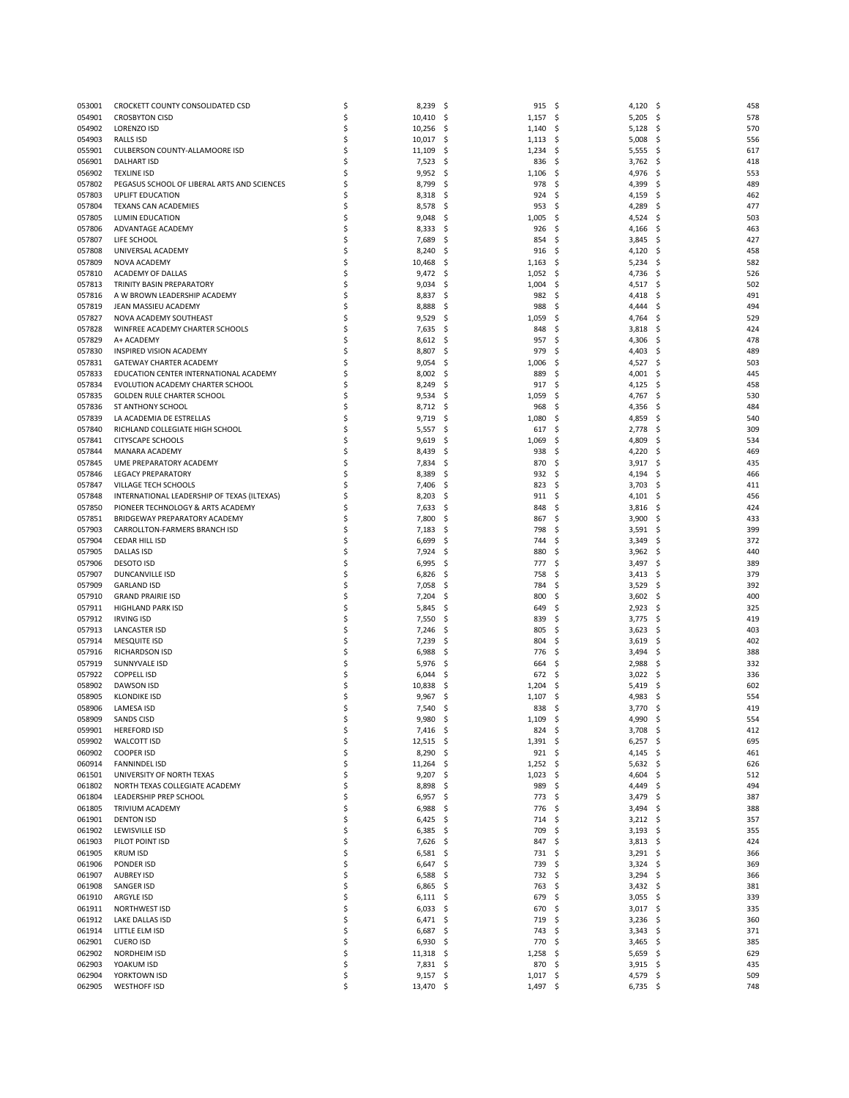| 053001 | CROCKETT COUNTY CONSOLIDATED CSD            | \$ | 8,239       | - \$ | 915                | - \$<br>4,120 \$  | 458                  |
|--------|---------------------------------------------|----|-------------|------|--------------------|-------------------|----------------------|
| 054901 | <b>CROSBYTON CISD</b>                       | \$ | 10,410      | -\$  | 1,157              | 5,205<br>-\$      | -\$<br>578           |
| 054902 | <b>LORENZO ISD</b>                          | \$ | 10,256      | \$   | 1,140              | \$<br>5,128       | -\$<br>57C           |
| 054903 | RALLS ISD                                   | \$ | 10,017      | -\$  | 1,113              | \$<br>5,008       | -\$<br>556           |
| 055901 | CULBERSON COUNTY-ALLAMOORE ISD              | \$ | 11,109      | -\$  | 1,234              | \$<br>5,555       | -\$<br>617           |
| 056901 | <b>DALHART ISD</b>                          | Ś  | 7,523       | \$   | 836                | -\$<br>3,762      | Ś<br>418             |
| 056902 | <b>TEXLINE ISD</b>                          | Ś  |             |      |                    |                   | \$                   |
|        |                                             |    | 9,952       | -\$  | 1,106              | \$<br>4,976       | 553                  |
| 057802 | PEGASUS SCHOOL OF LIBERAL ARTS AND SCIENCES | Ś  | 8,799       | \$   | 978                | -\$<br>4,399      | Ś<br>489             |
| 057803 | UPLIFT EDUCATION                            | \$ | 8,318       | \$   | 924                | \$<br>4,159       | Ś<br>462             |
| 057804 | TEXANS CAN ACADEMIES                        | \$ | 8,578       | -\$  | 953                | \$<br>4,289       | 477<br>S             |
| 057805 | LUMIN EDUCATION                             | \$ | 9,048       | -\$  | 1,005              | \$<br>4,524       | 503<br>S             |
| 057806 | ADVANTAGE ACADEMY                           | \$ | 8,333       | \$   | 926                | \$<br>4,166       | \$<br>463            |
| 057807 | LIFE SCHOOL                                 | \$ | 7,689       | \$   | 854                | \$<br>3,845       | \$<br>427            |
| 057808 | UNIVERSAL ACADEMY                           | \$ | 8,240       | \$   | 916                | -\$<br>4,120      | \$<br>458            |
| 057809 | NOVA ACADEMY                                | \$ | 10,468      | \$   | 1,163              | \$<br>5,234       | \$<br>582            |
| 057810 | ACADEMY OF DALLAS                           | \$ | 9,472       | -\$  | 1,052              | \$<br>4,736       | 526<br>S             |
| 057813 | TRINITY BASIN PREPARATORY                   | \$ | 9,034       | \$   | 1,004              | -\$<br>4,517 \$   | 502                  |
| 057816 | A W BROWN LEADERSHIP ACADEMY                | \$ | 8,837       | \$   | 982                | \$<br>4,418       | \$<br>491            |
| 057819 | JEAN MASSIEU ACADEMY                        | \$ | 8,888       | -\$  | 988                | \$<br>4,444       | 494<br>S             |
| 057827 | NOVA ACADEMY SOUTHEAST                      | \$ | 9,529       | -\$  | 1,059              | 4,764<br>S        | 529<br>S             |
| 057828 | WINFREE ACADEMY CHARTER SCHOOLS             | \$ | 7,635       | -\$  | 848                | \$<br>3,818       | 424<br>S             |
| 057829 | A+ ACADEMY                                  | Ś  | 8,612       | -\$  | 957                | \$<br>4,306       | 478<br>S             |
|        |                                             | Ś  |             |      |                    | \$                |                      |
| 057830 | INSPIRED VISION ACADEMY                     |    | 8,807       | \$   | 979                | 4,403             | \$<br>489            |
| 057831 | GATEWAY CHARTER ACADEMY                     | \$ | 9,054       | \$   | 1,006              | 4,527<br>\$,      | 503<br>\$,           |
| 057833 | EDUCATION CENTER INTERNATIONAL ACADEMY      | \$ | 8,002       | \$,  | 889                | \$<br>4,001       | 445<br>S             |
| 057834 | EVOLUTION ACADEMY CHARTER SCHOOL            | Ś  | 8,249       | \$   | 917                | -\$<br>4,125      | Ś<br>458             |
| 057835 | <b>GOLDEN RULE CHARTER SCHOOL</b>           | \$ | 9,534       | \$   | 1,059              | \$<br>4,767       | \$<br>530            |
| 057836 | ST ANTHONY SCHOOL                           | \$ | 8,712       | -\$  | 968                | Ś<br>4,356        | \$<br>484            |
| 057839 | LA ACADEMIA DE ESTRELLAS                    | Ś  | 9,719       | \$   | 1,080              | Ś<br>4,859        | Ś<br>540             |
| 057840 | RICHLAND COLLEGIATE HIGH SCHOOL             | \$ | 5,557       | \$,  | 617                | \$<br>2,778       | Ś<br>30 <sub>9</sub> |
| 057841 | <b>CITYSCAPE SCHOOLS</b>                    | \$ | 9,619       | -\$  | 1,069              | -\$<br>4,809      | S<br>534             |
| 057844 | MANARA ACADEMY                              | \$ | 8,439       | \$   | 938                | \$<br>4,220       | \$<br>469            |
| 057845 | UME PREPARATORY ACADEMY                     | \$ | 7,834       | \$,  | 870                | \$<br>3,917       | 435<br>S             |
| 057846 | <b>LEGACY PREPARATORY</b>                   | \$ | 8,389       | \$   | 932                | -\$<br>4,194      | Ś<br>466             |
| 057847 | VILLAGE TECH SCHOOLS                        | Ś  | 7,406       | \$   | 823                | \$<br>3,703       | Ś<br>411             |
| 057848 | INTERNATIONAL LEADERSHIP OF TEXAS (ILTEXAS) | \$ | 8,203       | \$,  | 911                | 4,101<br>S        | 456<br>S             |
| 057850 | PIONEER TECHNOLOGY & ARTS ACADEMY           | \$ | 7,633       | \$   | 848                | -\$<br>3,816      | 424<br>S             |
| 057851 | BRIDGEWAY PREPARATORY ACADEMY               | Ś  | 7,800       | \$   | 867                | \$<br>3,900       | \$<br>433            |
| 057903 | CARROLLTON-FARMERS BRANCH ISD               | \$ | 7,183       |      | 798                | $3,591$ \$<br>S   | 399                  |
|        | CEDAR HILL ISD                              | \$ |             | -\$  | 744                | -\$               | 372                  |
| 057904 |                                             |    | 6,699       | \$   |                    | 3,349             | \$                   |
| 057905 | DALLAS ISD                                  | \$ | 7,924       | S    | 880                | Ś<br>3,962        | Ś<br>440             |
| 057906 | <b>DESOTO ISD</b>                           | \$ | 6,995       | -\$  | 777                | \$.<br>3,497      | 389<br>-S            |
| 057907 | DUNCANVILLE ISD                             | \$ | 6,826       | -\$  | 758                | -\$<br>3,413      | - \$<br>379          |
| 057909 | <b>GARLAND ISD</b>                          | \$ | 7,058       | \$   | 784                | Ś<br>3,529        | Ś<br>392             |
| 057910 | <b>GRAND PRAIRIE ISD</b>                    | \$ | 7,204       | -\$  | 800                | \$.<br>3,602      | 40C<br>- S           |
| 057911 | <b>HIGHLAND PARK ISD</b>                    | \$ | 5,845       | -\$  | 649                | 2,923<br>\$       | 325<br>\$,           |
| 057912 | <b>IRVING ISD</b>                           | \$ | 7,550       | \$,  | 839                | Ś<br>3,775        | Ś<br>419             |
| 057913 | LANCASTER ISD                               | \$ | 7,246       | \$,  | 805                | \$<br>3,623       | 403<br>S             |
| 057914 | <b>MESQUITE ISD</b>                         | \$ | 7,239       | \$   | 804                | \$<br>3,619       | 402<br>\$,           |
| 057916 | <b>RICHARDSON ISD</b>                       | \$ | 6,988       | \$   | 776                | \$<br>3,494       | 388<br>S             |
| 057919 | SUNNYVALE ISD                               | \$ | 5,976       | \$,  | 664                | \$<br>2,988       | 332<br>S             |
| 057922 | <b>COPPELL ISD</b>                          | \$ | 6,044       | \$,  | 672                | \$<br>3,022       | 336<br>S             |
| 058902 | <b>DAWSON ISD</b>                           | \$ | 10,838      | \$,  | 1,204              | 5,419<br>S        | 602<br>S             |
| 058905 | <b>KLONDIKE ISD</b>                         | \$ | 9,967       | \$,  | 1,107              | 4,983<br>\$       | 554                  |
| 058906 | LAMESA ISD                                  | \$ | 7,540       | -\$  | 838                | -\$<br>3,770      | 419<br>-\$           |
| 058909 | <b>SANDS CISD</b>                           |    |             | Ŝ    | 1.109 <sub>5</sub> | 4,990 \$          | 554                  |
|        |                                             |    | 9,980       |      |                    |                   |                      |
| 059901 | <b>HEREFORD ISD</b>                         | \$ | 7,416       | - \$ | 824 \$             | 3,708 \$          | 412                  |
| 059902 | WALCOTT ISD                                 | \$ | $12,515$ \$ |      | $1,391$ \$         | $6,257$ \$        | 695                  |
| 060902 | <b>COOPER ISD</b>                           | \$ | 8,290       | \$   | 921                | -\$<br>$4,145$ \$ | 461                  |
| 060914 | <b>FANNINDEL ISD</b>                        | \$ | 11,264      | - \$ | $1,252$ \$         | $5,632$ \$        | 626                  |
| 061501 | UNIVERSITY OF NORTH TEXAS                   | \$ | $9,207$ \$  |      | 1,023              | -\$<br>4,604 \$   | 512                  |
| 061802 | NORTH TEXAS COLLEGIATE ACADEMY              | \$ | 8,898       | \$   | 989                | \$<br>4,449 \$    | 494                  |
| 061804 | LEADERSHIP PREP SCHOOL                      | \$ | $6,957$ \$  |      | 773                | 3,479 \$<br>\$    | 387                  |
| 061805 | TRIVIUM ACADEMY                             | \$ | $6,988$ \$  |      | 776                | -\$<br>3,494 \$   | 388                  |
| 061901 | <b>DENTON ISD</b>                           | \$ | 6,425       | - \$ | 714                | \$<br>$3,212$ \$  | 357                  |
| 061902 | LEWISVILLE ISD                              | \$ | $6,385$ \$  |      | 709                | $3,193$ \$<br>\$  | 355                  |
| 061903 | PILOT POINT ISD                             | \$ | 7,626 \$    |      | 847                | -\$<br>$3,813$ \$ | 424                  |
| 061905 | <b>KRUM ISD</b>                             | \$ | 6,581       | -\$  | 731                | $3,291$ \$<br>-\$ | 366                  |
| 061906 | PONDER ISD                                  | \$ | 6,647       | -\$  | 739                | \$.<br>$3,324$ \$ | 369                  |
| 061907 | <b>AUBREY ISD</b>                           | \$ | 6,588       | - \$ | 732                | $3,294$ \$<br>-\$ | 366                  |
| 061908 | SANGER ISD                                  | \$ | 6,865       | -\$  | 763                | $3,432$ \$<br>\$  | 381                  |
|        |                                             |    |             |      |                    | -\$               |                      |
| 061910 | ARGYLE ISD                                  | \$ | $6,111$ \$  |      | 679                | $3,055$ \$        | 339                  |
| 061911 | NORTHWEST ISD                               | \$ | 6,033       | - \$ | 670                | \$<br>$3,017$ \$  | 335                  |
| 061912 | LAKE DALLAS ISD                             | \$ | 6,471       | -\$  | 719                | 3,236<br>S        | 360<br>- \$          |
| 061914 | LITTLE ELM ISD                              | \$ | 6,687       | -\$  | 743                | -\$<br>$3,343$ \$ | 371                  |
| 062901 | <b>CUERO ISD</b>                            | \$ | 6,930       | - \$ | 770                | Ś<br>$3,465$ \$   | 385                  |
| 062902 | <b>NORDHEIM ISD</b>                         | \$ | 11,318      | -\$  | 1,258              | 5,659<br>-\$      | 629<br>-\$           |
| 062903 | YOAKUM ISD                                  | \$ | 7,831 \$    |      | 870 \$             | $3,915$ \$        | 435                  |
| 062904 | YORKTOWN ISD                                | \$ | $9,157$ \$  |      | $1,017$ \$         | 4,579 \$          | 509                  |
| 062905 | <b>WESTHOFF ISD</b>                         | \$ | 13,470 \$   |      | $1,497$ \$         | $6,735$ \$        | 748                  |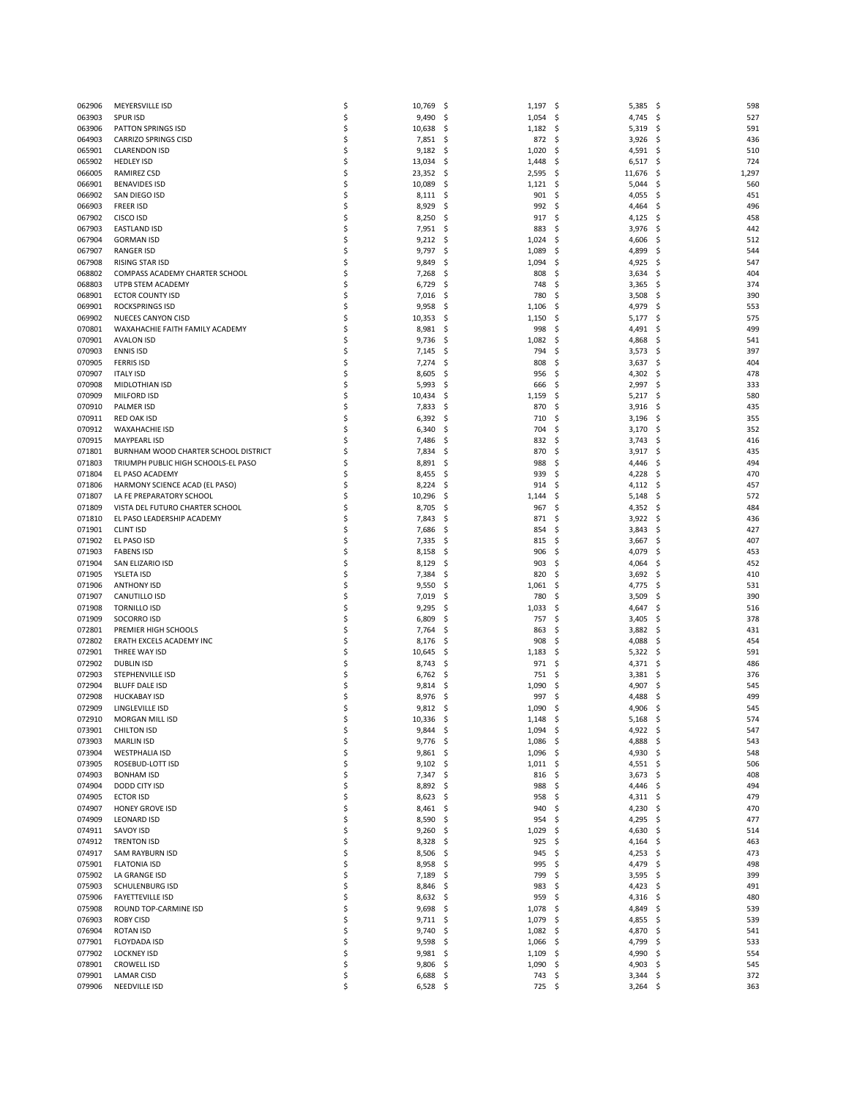| 062906           | MEYERSVILLE ISD                         | \$       | 10,769          | - \$       | 1,197               | 5,385<br>-\$                      | -\$  | 598        |
|------------------|-----------------------------------------|----------|-----------------|------------|---------------------|-----------------------------------|------|------------|
| 063903           | <b>SPUR ISD</b>                         | \$       | 9,490           | -\$        | 1,054               | 4,745<br>-\$                      | -\$  | 527        |
| 063906           | PATTON SPRINGS ISD                      | \$       | 10,638          | \$,        | 1,182               | \$<br>5,319                       | -\$  | 591        |
| 064903           | <b>CARRIZO SPRINGS CISD</b>             | \$       | 7,851           | - Ş        | 872                 | 3,926<br>\$                       | -\$  | 436        |
| 065901           | <b>CLARENDON ISD</b>                    | \$       | 9,182           | \$,        | 1,020               | 4,591<br>\$                       | -\$  | 510        |
| 065902           | <b>HEDLEY ISD</b>                       | \$       | 13,034          | \$,        | 1,448               | \$<br>6,517                       | -\$  | 724        |
| 066005           | RAMIREZ CSD                             | \$       | 23,352          | -\$        | 2,595               | \$<br>11,676                      | \$,  | 1,297      |
| 066901           | <b>BENAVIDES ISD</b>                    | \$       | 10,089          | \$         | 1,121               | 5,044<br>Ś                        | \$   | 560        |
| 066902           | SAN DIEGO ISD                           | \$       | 8,111           | -\$        | 901                 | \$<br>4,055                       | \$,  | 451        |
| 066903           | <b>FREER ISD</b>                        | \$       | 8,929           | \$.        | 992                 | 4,464<br>\$                       | \$,  | 496        |
| 067902           | CISCO ISD                               | \$       | 8,250           | -S         | 917                 | Ś<br>4,125                        | \$   | 458        |
| 067903           | <b>EASTLAND ISD</b>                     | \$       | 7,951           | \$,        | 883                 | 3,976<br>\$                       | \$,  | 442        |
| 067904           | <b>GORMAN ISD</b>                       | \$       | 9,212           | \$,        | 1,024               | 4,606<br>\$                       | \$   | 512        |
| 067907           | <b>RANGER ISD</b>                       | \$       | 9,797           | \$         | 1,089               | Ś<br>4,899                        | \$   | 544        |
| 067908           | RISING STAR ISD                         | \$       | 9,849           | \$         | 1,094               | \$<br>4,925                       | \$   | 547        |
| 068802           | COMPASS ACADEMY CHARTER SCHOOL          | \$       | 7,268           | \$,        | 808                 | Ś<br>3,634                        | \$   | 404        |
| 068803           | UTPB STEM ACADEMY                       | Ś        | 6,729           | -S         | 748                 | Ś<br>3,365                        | -\$  | 374        |
| 068901           | <b>ECTOR COUNTY ISD</b>                 | \$       | 7,016           | \$,        | 780                 | \$<br>3,508                       | \$,  | 390        |
| 069901           | <b>ROCKSPRINGS ISD</b>                  | Ś        | 9,958           | \$         | 1,106               | 4,979<br>Ś                        | \$   | 553        |
| 069902           | <b>NUECES CANYON CISD</b>               | \$       | 10,353          | -S         | 1,150               | 5,177<br>S                        | -\$  | 575        |
| 070801           | WAXAHACHIE FAITH FAMILY ACADEMY         | \$       | 8,981           | \$,        | 998                 | 4,491<br>\$                       | \$,  | 499        |
| 070901           | <b>AVALON ISD</b>                       | Ś        | 9,736           | \$         | 1,082               | Ś<br>4,868                        | \$   | 541        |
| 070903           | <b>ENNIS ISD</b>                        | \$       | 7,145           | \$         | 794                 | Ś<br>3,573                        | -\$  | 397        |
| 070905           | <b>FERRIS ISD</b>                       | \$       | 7,274           | S          | 808                 | \$<br>3,637                       | \$,  | 404        |
| 070907           | <b>ITALY ISD</b>                        | \$       | 8,605           | -S         | 956                 | Ś<br>4,302                        | \$,  | 478        |
| 070908           | MIDLOTHIAN ISD                          | \$       | 5,993           | \$         | 666                 | 2,997<br>Ś                        | -\$  | 333        |
| 070909           | MILFORD ISD                             | \$       | 10,434          | \$,        | 1,159               | \$<br>5,217                       | -\$  | 580        |
| 070910           | <b>PALMER ISD</b>                       | \$       | 7,833           | \$         | 870                 | Ś<br>3,916                        | -\$  | 435        |
| 070911           | <b>RED OAK ISD</b>                      | \$       | 6,392           | -S         | 710                 | Ś<br>3,196                        | \$,  | 355        |
| 070912           | <b>WAXAHACHIE ISD</b>                   | Ś        | 6,340           | S          | 704                 | Ś<br>3,170                        | \$   | 352        |
| 070915           | <b>MAYPEARL ISD</b>                     | \$       | 7,486           | \$,        | 832                 | \$<br>3,743                       | -\$  | 416        |
| 071801           | BURNHAM WOOD CHARTER SCHOOL DISTRICT    | \$       | 7,834           | \$         | 870                 | 3,917<br>Ś                        | \$   | 435        |
| 071803           | TRIUMPH PUBLIC HIGH SCHOOLS-EL PASO     | Ś        | 8,891           | S          | 988                 | 4,446<br>S                        | \$,  | 494        |
| 071804           | EL PASO ACADEMY                         | \$       | 8,455           | \$         | 939                 | Ś<br>4,228                        | \$,  | 470        |
| 071806           | HARMONY SCIENCE ACAD (EL PASO)          | \$       | 8,224           | \$         | 914                 | Ś<br>4,112                        | \$,  | 457        |
| 071807           | LA FE PREPARATORY SCHOOL                | \$       | 10,296          | S          | 1,144               | 5,148<br>S                        | S    | 572        |
| 071809           | VISTA DEL FUTURO CHARTER SCHOOL         | \$       | 8,705           | \$,        | 967                 | \$<br>4,352                       | -\$  | 484        |
| 071810           | EL PASO LEADERSHIP ACADEMY              | \$       | 7,843           | \$         | 871                 | 3,922<br>Ś                        | \$,  | 436        |
| 071901           | <b>CLINT ISD</b>                        | \$       | 7,686           | S          | 854                 | Ś<br>3,843                        | -\$  | 427        |
| 071902           | EL PASO ISD                             | \$       | 7,335           | \$,        | 815                 | \$<br>3,667                       | -\$  | 407        |
| 071903           | <b>FABENS ISD</b>                       | Ś        | 8,158           | Ś          | 906                 | 4,079<br>Ś                        | \$   | 453        |
| 071904           | SAN ELIZARIO ISD                        | \$       | 8,129           | \$,        | 903                 | \$<br>4,064                       | -\$  | 452        |
| 071905           | YSLETA ISD                              | \$       | 7,384           | \$,        | 820                 | 3,692<br>\$                       | -\$  | 410        |
| 071906           | <b>ANTHONY ISD</b>                      | \$       | 9,550           | Ś          | 1,061               | Ś<br>4,775                        | \$   | 531        |
| 071907           | <b>CANUTILLO ISD</b>                    | \$       | 7,019           | \$,        | 780                 | Ś<br>3,509                        | S    | 390        |
| 071908           | <b>TORNILLO ISD</b>                     | \$       | 9,295           | \$,        | 1,033               | 4,647<br>\$                       | - \$ | 516        |
| 071909           | SOCORRO ISD                             | \$       | 6,809           | S          | 757                 | Ś<br>3,405                        | \$,  | 378        |
| 072801           | PREMIER HIGH SCHOOLS                    | \$       | 7,764           |            | 863                 | 3,882<br>Ś                        | -\$  | 431        |
| 072802           | ERATH EXCELS ACADEMY INC                | \$       | 8,176           | \$,<br>\$, | 908                 | 4,088<br>\$                       | \$,  | 454        |
| 072901           | THREE WAY ISD                           | \$       | 10,645          | \$         | 1,183               | Ś<br>5,322                        | - \$ | 591        |
| 072902           | <b>DUBLIN ISD</b>                       | \$       | 8,743           | \$,        | 971                 | Ś<br>4,371                        | -\$  | 486        |
| 072903           | STEPHENVILLE ISD                        | Ś        |                 |            |                     | Ś                                 | \$.  | 376        |
| 072904           | <b>BLUFF DALE ISD</b>                   | \$       | 6,762           | -S         | 751<br>1,090        | 3,381<br>Ś                        |      | 545        |
|                  |                                         |          | 9,814           | \$,        |                     | 4,907<br>Ś                        | \$,  | 499        |
| 072908<br>072909 | <b>HUCKABAY ISD</b>                     | \$<br>Ś  | 8,976           | -S         | 997                 | 4,488<br>\$                       | \$   | 545        |
| 072910           | LINGLEVILLE ISD<br>MORGAN MILL ISD      | S        | 9,812<br>10.336 | -S<br>.S   | 1,090<br>$1,148$ \$ | 4,906                             | -S   | 574        |
|                  |                                         |          |                 |            |                     | $5,168$ \$<br>$\ddot{\mathsf{s}}$ |      | 547        |
| 073901<br>073903 | <b>CHILTON ISD</b><br><b>MARLIN ISD</b> | \$<br>\$ | 9,844<br>9,776  | - \$       | 1,094<br>1,086      | 4,922 \$<br>4,888<br>\$           | -\$  | 543        |
|                  |                                         |          |                 | - \$       |                     |                                   |      |            |
| 073904<br>073905 | <b>WESTPHALIA ISD</b>                   | \$<br>\$ | 9,861           | -\$        | 1,096               | 4,930 \$<br>\$                    |      | 548<br>506 |
|                  | ROSEBUD-LOTT ISD                        |          | 9,102           | \$,        | 1,011               | $4,551$ \$<br>-\$                 |      |            |
| 074903           | <b>BONHAM ISD</b>                       | \$       | 7,347           | -\$        | 816                 | -\$<br>$3,673$ \$                 |      | 408        |
| 074904           | DODD CITY ISD                           | \$       | 8,892           | \$         | 988                 | \$<br>$4,446$ \$                  |      | 494        |
| 074905           | <b>ECTOR ISD</b>                        | \$       | 8,623           | \$.        | 958                 | \$<br>$4,311$ \$                  |      | 479        |
| 074907           | HONEY GROVE ISD                         | \$       | $8,461$ \$      |            | 940                 | \$<br>4,230 \$<br>4,295 \$<br>\$  |      | 470<br>477 |
| 074909           | <b>LEONARD ISD</b>                      | \$       | 8,590           | \$         | 954                 |                                   |      |            |
| 074911           | SAVOY ISD                               | \$       | 9,260           | \$.        | 1,029               | 4,630<br>\$                       | -\$  | 514        |
| 074912           | <b>TRENTON ISD</b>                      | \$       | 8,328           | -\$        | 925                 | \$<br>$4,164$ \$                  |      | 463        |
| 074917           | <b>SAM RAYBURN ISD</b>                  | \$       | 8,506           | \$.        | 945                 | $4,253$ \$<br>\$                  |      | 473        |
| 075901           | <b>FLATONIA ISD</b>                     | \$       | 8,958           | \$.        | 995                 | 4,479<br>\$                       | -\$  | 498        |
| 075902           | LA GRANGE ISD                           | \$       | 7,189           | \$,        | 799                 | $3,595$ \$<br>Ś                   |      | 399        |
| 075903           | <b>SCHULENBURG ISD</b>                  | \$       | 8,846           | \$.        | 983                 | 4,423<br>\$                       | -\$  | 491        |
| 075906           | <b>FAYETTEVILLE ISD</b>                 | \$       | $8,632$ \$      |            | 959                 | \$<br>$4,316$ \$                  |      | 480        |
| 075908           | ROUND TOP-CARMINE ISD                   | \$       | 9,698           | -\$        | 1,078               | \$<br>4,849 \$                    |      | 539        |
| 076903           | <b>ROBY CISD</b>                        | \$       | 9,711           | -\$        | 1,079               | 4,855<br>\$.                      | -\$  | 539        |
| 076904           | <b>ROTAN ISD</b>                        | \$       | 9,740           | \$,        | 1,082               | -\$<br>4,870                      | -\$  | 541        |
| 077901           | <b>FLOYDADA ISD</b>                     | \$       | 9,598           | - \$       | 1,066               | 4,799 \$<br>\$                    |      | 533        |
| 077902           | <b>LOCKNEY ISD</b>                      | \$       | 9,981           | -\$        | 1,109               | 4,990<br>\$.                      | -\$  | 554        |
| 078901           | <b>CROWELL ISD</b>                      | \$       | 9,806           | - \$       | 1,090               | \$<br>4,903 \$                    |      | 545        |
| 079901           | <b>LAMAR CISD</b>                       | \$       | 6,688           | - \$       | 743                 | -\$<br>$3,344$ \$                 |      | 372        |
| 079906           | NEEDVILLE ISD                           | \$       | $6,528$ \$      |            | 725                 | -\$<br>$3,264$ \$                 |      | 363        |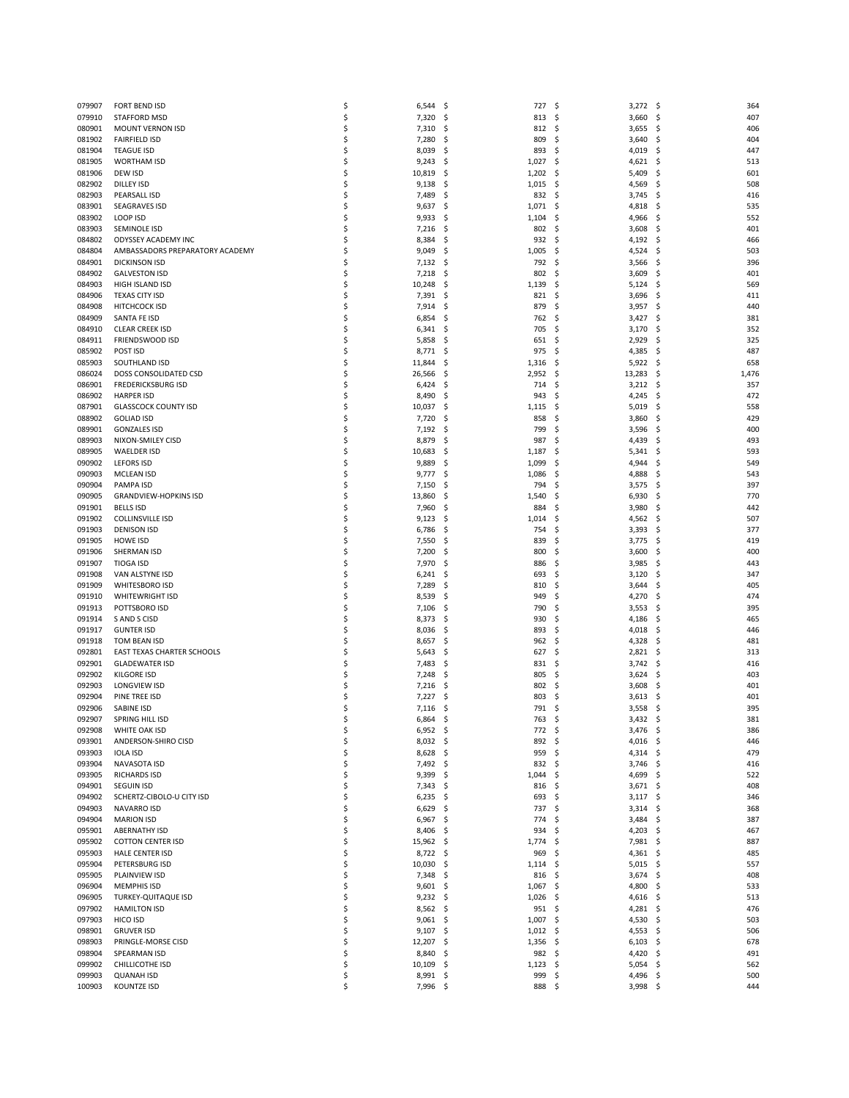| 079907 | <b>FORT BEND ISD</b>            | \$  | 6,544      | - \$ | 727              | -\$  | $3,272$ \$ |              | 364   |
|--------|---------------------------------|-----|------------|------|------------------|------|------------|--------------|-------|
| 079910 | STAFFORD MSD                    | \$  | 7,320      | \$,  | 813              | S,   | 3,660      | -\$          | 407   |
| 080901 | MOUNT VERNON ISD                | \$  | 7,310      | \$,  | 812              | \$,  | 3,655      | -\$          | 406   |
| 081902 | <b>FAIRFIELD ISD</b>            | \$  | 7,280      | \$   | 809              | \$   | 3,640      | \$           | 404   |
| 081904 | <b>TEAGUE ISD</b>               | \$  | 8,039      | \$,  | 893              | \$   | 4,019      | \$,          | 447   |
| 081905 | <b>WORTHAM ISD</b>              | \$  | 9,243      | \$,  | 1,027            | \$,  | 4,621      | -\$          | 513   |
| 081906 | DEW ISD                         | \$  | 10,819     | \$   | 1,202            | \$   | 5,409      | \$,          | 601   |
|        |                                 |     |            |      |                  |      |            |              |       |
| 082902 | <b>DILLEY ISD</b>               | \$  | 9,138      | \$   | 1,015            | -S   | 4,569      | S            | 508   |
| 082903 | PEARSALL ISD                    | \$  | 7,489      | \$,  | 832              | \$,  | 3,745      | -\$          | 416   |
| 083901 | <b>SEAGRAVES ISD</b>            | \$  | 9,637      | \$,  | 1,071            | \$   | 4,818      | S            | 535   |
| 083902 | LOOP ISD                        | \$  | 9,933      | -S   | 1,104            | S    | 4,966      | S            | 552   |
| 083903 | SEMINOLE ISD                    | \$  | 7,216      | \$,  | 802              | \$   | 3,608      | \$,          | 401   |
| 084802 | ODYSSEY ACADEMY INC             | \$  | 8,384      | \$,  | 932              | \$   | 4,192      | -\$          | 466   |
| 084804 | AMBASSADORS PREPARATORY ACADEMY | \$  | 9,049      | \$   | 1,005            | \$   | 4,524      | \$           | 503   |
| 084901 | <b>DICKINSON ISD</b>            | \$  | 7,132      | \$,  | 792              | \$,  | 3,566      | \$,          | 396   |
| 084902 |                                 | \$  | 7,218      | \$,  | 802              | \$   | 3,609      | S            | 401   |
|        | <b>GALVESTON ISD</b>            |     |            |      |                  |      |            |              |       |
| 084903 | HIGH ISLAND ISD                 | \$  | 10,248     | \$   | 1,139            | Ś    | 5,124      | \$           | 569   |
| 084906 | <b>TEXAS CITY ISD</b>           | \$  | 7,391      | \$,  | 821              | \$,  | 3,696      | \$,          | 411   |
| 084908 | <b>HITCHCOCK ISD</b>            | \$  | 7,914      | \$,  | 879              | \$   | 3,957      | -S           | 440   |
| 084909 | SANTA FE ISD                    | \$  | 6,854      | \$   | 762              | Ś    | 3,427      | \$           | 381   |
| 084910 | <b>CLEAR CREEK ISD</b>          | \$  | 6,341      | \$,  | 705              | S    | 3,170      | \$           | 352   |
| 084911 | FRIENDSWOOD ISD                 | \$, | 5,858      | \$,  | 651              | \$,  | 2,929      | S            | 325   |
| 085902 | POST ISD                        | \$  | 8,771      | \$,  | 975              | \$   | 4,385      | Ś            | 487   |
| 085903 | SOUTHLAND ISD                   | \$  | 11,844     | S    | 1,316            | \$,  | 5,922      | -\$          | 658   |
| 086024 | DOSS CONSOLIDATED CSD           | \$  | 26,566     | \$,  | 2,952            | \$,  | 13,283     | -\$          | 1,476 |
|        |                                 |     |            |      |                  |      |            |              |       |
| 086901 | <b>FREDERICKSBURG ISD</b>       | \$  | 6,424      | \$,  | 714              | \$   | 3,212      | - \$         | 357   |
| 086902 | <b>HARPER ISD</b>               | \$  | 8,490      | \$,  | 943              | S    | 4,245      | \$,          | 472   |
| 087901 | <b>GLASSCOCK COUNTY ISD</b>     | \$  | 10,037     | \$,  | 1,115            | \$,  | 5,019      | $\mathsf{S}$ | 558   |
| 088902 | <b>GOLIAD ISD</b>               | \$  | 7,720      | \$,  | 858              | Ś    | 3,860      | Ś            | 429   |
| 089901 | <b>GONZALES ISD</b>             | \$  | 7,192      | \$,  | 799              | S    | 3,596      | S            | 400   |
| 089903 | NIXON-SMILEY CISD               | \$, | 8,879      | \$,  | 987              | \$,  | 4,439      | -\$          | 493   |
| 089905 | <b>WAELDER ISD</b>              | \$  | 10,683     | S    | 1,187            | Ś    | 5,341      | \$           | 593   |
| 090902 | <b>LEFORS ISD</b>               | \$  | 9,889      | \$,  | 1,099            | S    | 4,944      | Ś            | 549   |
|        |                                 |     |            |      |                  |      |            |              |       |
| 090903 | <b>MCLEAN ISD</b>               | \$  | 9,777      | \$,  | 1,086            | \$   | 4,888      | S            | 543   |
| 090904 | PAMPA ISD                       | \$  | 7,150      | S    | 794              | Ś    | 3,575      | Ś            | 397   |
| 090905 | <b>GRANDVIEW-HOPKINS ISD</b>    | \$  | 13,860     | S    | 1,540            | S    | 6,930      | S            | 770   |
| 091901 | <b>BELLS ISD</b>                | \$  | 7,960      | \$,  | 884              | \$   | 3,980      | S            | 442   |
| 091902 | <b>COLLINSVILLE ISD</b>         | \$  | 9,123      | S    | 1,014            | Ś    | 4,562      | S            | 507   |
| 091903 | <b>DENISON ISD</b>              | \$  | 6,786      | \$,  | 754              | Ś    | 3,393      | \$,          | 377   |
| 091905 | HOWE ISD                        | \$  | 7,550      | \$,  | 839              | \$   | 3,775      | -\$          | 419   |
| 091906 | SHERMAN ISD                     | \$  | 7,200      | \$   | 800              | Ś    | 3,600      | S            | 400   |
| 091907 | <b>TIOGA ISD</b>                | \$  | 7,970      | S    | 886              | \$   | 3,985      | Ś            | 443   |
|        |                                 |     |            |      |                  |      |            |              |       |
| 091908 | VAN ALSTYNE ISD                 | \$  | 6,241      | \$,  | 693              | \$   | 3,120      | S            | 347   |
| 091909 | <b>WHITESBORO ISD</b>           | \$, | 7,289      | \$   | 810              | Ś    | 3,644      | S            | 405   |
| 091910 | <b>WHITEWRIGHT ISD</b>          | \$  | 8,539      | \$,  | 949              | \$   | 4,270      | Ś            | 474   |
| 091913 | POTTSBORO ISD                   | \$  | 7,106      | \$,  | 790              | \$   | 3,553      | S            | 395   |
| 091914 | S AND S CISD                    | \$, | 8,373      | \$,  | 930              | \$   | 4,186      | S            | 465   |
| 091917 | <b>GUNTER ISD</b>               | \$  | 8,036      | \$,  | 893              | \$   | 4,018      | S            | 446   |
| 091918 | TOM BEAN ISD                    | \$  | 8,657      | \$,  | 962              | \$   | 4,328      | S            | 481   |
| 092801 | EAST TEXAS CHARTER SCHOOLS      | \$  | 5,643      | \$   | 627              | \$   | 2,821      | -\$          | 313   |
| 092901 | <b>GLADEWATER ISD</b>           | \$  | 7,483      | \$,  | 831              | \$   | 3,742      | S            | 416   |
| 092902 | <b>KILGORE ISD</b>              | \$  | 7,248      | -S   | 805              | \$   | 3,624      | S            | 403   |
|        |                                 |     |            |      |                  |      |            |              |       |
| 092903 | LONGVIEW ISD                    | \$  | 7,216      | \$,  | 802              | \$   | 3,608      | \$,          | 401   |
| 092904 | PINE TREE ISD                   | \$  | 7,227      | S    | 803              | \$.  | 3,613      |              | 401   |
| 092906 | SABINE ISD                      | Ś   | 7,116      | \$   | 791              | -\$  | $3,558$ \$ |              | 395   |
| 092907 | SPRING HILL ISD                 |     | 6,864      | S,   | 763              | - \$ | $3,432$ \$ |              | 381   |
| 092908 | WHITE OAK ISD                   | \$  | $6,952$ \$ |      | 772              | - \$ | $3,476$ \$ |              | 386   |
| 093901 | ANDERSON-SHIRO CISD             | \$  | $8,032$ \$ |      | 892 \$           |      | $4,016$ \$ |              | 446   |
| 093903 | <b>IOLA ISD</b>                 | \$  | 8,628      | -\$  | 959              | \$   | $4,314$ \$ |              | 479   |
| 093904 | NAVASOTA ISD                    | \$  | 7,492 \$   |      | 832              | \$   | $3,746$ \$ |              | 416   |
| 093905 | <b>RICHARDS ISD</b>             | \$  | 9,399      | -\$  | 1,044            | \$   | 4,699 \$   |              | 522   |
|        |                                 |     |            |      |                  |      |            |              |       |
| 094901 | <b>SEGUIN ISD</b>               | \$  | 7,343      | \$,  | 816              | \$,  | $3,671$ \$ |              | 408   |
| 094902 | SCHERTZ-CIBOLO-U CITY ISD       | \$  | 6,235      | \$,  | 693              | -\$  | $3,117$ \$ |              | 346   |
| 094903 | NAVARRO ISD                     | \$  | 6,629      | \$,  | 737              | \$   | $3,314$ \$ |              | 368   |
| 094904 | <b>MARION ISD</b>               | \$  | 6,967      | Ş.   | 774              | \$,  | 3,484 \$   |              | 387   |
| 095901 | <b>ABERNATHY ISD</b>            | \$  | 8,406      | -\$  | 934              | \$   | 4,203 \$   |              | 467   |
| 095902 | <b>COTTON CENTER ISD</b>        | \$  | 15,962 \$  |      | 1,774            | Ś    | 7,981 \$   |              | 887   |
| 095903 | HALE CENTER ISD                 | \$  | 8,722      | -\$  | 969              | S    | $4,361$ \$ |              | 485   |
| 095904 | PETERSBURG ISD                  | \$, | 10,030     | \$,  | $1,114$ \$       |      | $5,015$ \$ |              | 557   |
| 095905 | PLAINVIEW ISD                   | \$  | 7,348      | -\$  | 816              | \$,  | $3,674$ \$ |              | 408   |
| 096904 | <b>MEMPHIS ISD</b>              | \$  | 9,601      |      | 1,067            |      | 4,800      |              | 533   |
|        |                                 |     |            | - \$ |                  | \$,  |            | -\$          |       |
| 096905 | TURKEY-QUITAQUE ISD             | \$  | $9,232$ \$ |      | $1,026$ \$       |      | $4,616$ \$ |              | 513   |
| 097902 | <b>HAMILTON ISD</b>             | \$  | 8,562      | \$   | 951              | -\$  | 4,281 \$   |              | 476   |
| 097903 | HICO ISD                        | \$  | 9,061      | -\$  | 1,007            | -\$  | 4,530      | -\$          | 503   |
| 098901 | <b>GRUVER ISD</b>               | \$  | 9,107      | \$,  | $1,012 \quad$ \$ |      | $4,553$ \$ |              | 506   |
| 098903 | PRINGLE-MORSE CISD              | \$  | 12,207     | \$,  | 1,356            | \$   | $6,103$ \$ |              | 678   |
| 098904 | SPEARMAN ISD                    | \$  | 8,840      | \$,  | $982 \quad $$    |      | 4,420 \$   |              | 491   |
| 099902 | CHILLICOTHE ISD                 | \$  | 10,109     | - \$ | $1,123$ \$       |      | $5,054$ \$ |              | 562   |
| 099903 | <b>QUANAH ISD</b>               |     | 8,991      | \$,  | 999              | -\$  | 4,496 \$   |              | 500   |
| 100903 | <b>KOUNTZE ISD</b>              | \$  | 7,996 \$   |      | 888 \$           |      | $3,998$ \$ |              | 444   |
|        |                                 |     |            |      |                  |      |            |              |       |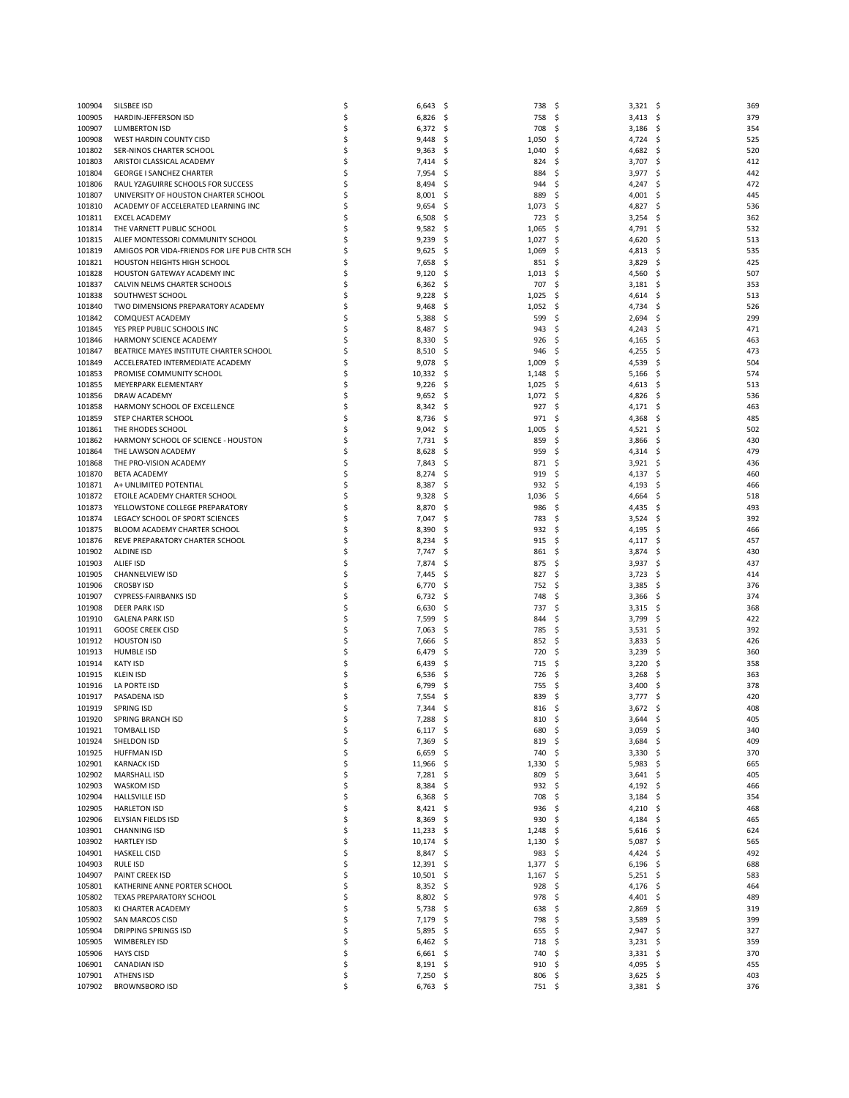| 100904           | SILSBEE ISD                                                                | \$       | 6,643               | \$         | 738          | \$<br>$3,321$ \$                       | 369                     |
|------------------|----------------------------------------------------------------------------|----------|---------------------|------------|--------------|----------------------------------------|-------------------------|
| 100905           | HARDIN-JEFFERSON ISD                                                       | \$       | 6,826               | -\$        | 758          | S.<br>3,413                            | - \$<br>379             |
| 100907           | LUMBERTON ISD                                                              | \$       | 6,372               | \$         | 708          | \$<br>3,186                            | -\$<br>354              |
| 100908           | WEST HARDIN COUNTY CISD                                                    | \$       | 9,448               | \$,        | 1,050        | 4,724<br>S                             | 525<br>S                |
| 101802           | SER-NINOS CHARTER SCHOOL                                                   | \$       | 9,363               | -\$        | 1,040        | \$<br>4,682                            | S.<br>520               |
| 101803           | ARISTOI CLASSICAL ACADEMY                                                  | Ś        | 7,414               | \$         | 824          | \$<br>3,707                            | -\$<br>412              |
| 101804           | <b>GEORGE I SANCHEZ CHARTER</b>                                            | Ś        | 7,954               | \$,        | 884          | 3,977<br>S                             | 442<br>S                |
| 101806<br>101807 | RAUL YZAGUIRRE SCHOOLS FOR SUCCESS<br>UNIVERSITY OF HOUSTON CHARTER SCHOOL | \$<br>Ś  | 8,494<br>8,001      | \$<br>\$   | 944<br>889   | S.<br>4,247<br>4,001<br>Ś              | \$<br>472<br>-\$<br>445 |
| 101810           | ACADEMY OF ACCELERATED LEARNING INC                                        | Ś        | 9,654               | -\$        | 1,073        | 4,827<br>S                             | 536<br>S                |
| 101811           | <b>EXCEL ACADEMY</b>                                                       | S        | 6,508               | \$,        | 723          | S.<br>3,254                            | 362<br>S                |
| 101814           | THE VARNETT PUBLIC SCHOOL                                                  |          | 9,582               | \$,        | 1,065        | Ś<br>4,791                             | Ś<br>532                |
| 101815           | ALIEF MONTESSORI COMMUNITY SCHOOL                                          | S        | 9,239               | \$,        | 1,027        | 4,620<br>S                             | 513<br>S                |
| 101819           | AMIGOS POR VIDA-FRIENDS FOR LIFE PUB CHTR SCH                              | S        | 9,625               | \$         | 1,069        | \$<br>4,813                            | 535<br>S                |
| 101821           | HOUSTON HEIGHTS HIGH SCHOOL                                                |          | 7,658               | \$,        | 851          | Ś<br>3,829                             | S<br>425                |
| 101828           | HOUSTON GATEWAY ACADEMY INC                                                | Ś        | 9,120               | \$,        | 1,013        | 4,560<br>S                             | 507<br>S                |
| 101837           | CALVIN NELMS CHARTER SCHOOLS                                               | Ś        | 6,362               | -\$        | 707          | S.<br>3,181                            | 353<br>S                |
| 101838           | SOUTHWEST SCHOOL                                                           |          | 9,228               | \$,        | 1,025        | Ś<br>4,614                             | S<br>513                |
| 101840           | TWO DIMENSIONS PREPARATORY ACADEMY                                         | Ś        | 9,468               | \$,        | 1,052        | 4,734<br>S                             | 526<br>S                |
| 101842           | COMQUEST ACADEMY                                                           | S        | 5,388               | \$,        | 599          | \$<br>2,694                            | 299<br>S                |
| 101845<br>101846 | YES PREP PUBLIC SCHOOLS INC<br>HARMONY SCIENCE ACADEMY                     | Ś<br>Ś   | 8,487<br>8,330      | \$<br>\$,  | 943<br>926   | \$<br>4,243<br>4,165<br>S              | 471<br>S<br>463<br>S    |
| 101847           | BEATRICE MAYES INSTITUTE CHARTER SCHOOL                                    |          | 8,510               | S          | 946          | \$<br>4,255                            | 473<br>S                |
| 101849           | ACCELERATED INTERMEDIATE ACADEMY                                           | S        | 9,078               | \$,        | 1,009        | 4,539<br>S                             | 504<br>S                |
| 101853           | PROMISE COMMUNITY SCHOOL                                                   | Ś        | 10,332              | -\$        | 1,148        | 5,166<br>S                             | 574<br>S                |
| 101855           | MEYERPARK ELEMENTARY                                                       |          | 9,226               | S          | 1,025        | S<br>4,613                             | 513<br>S                |
| 101856           | DRAW ACADEMY                                                               | \$       | 9,652               | -\$        | 1,072        | 4,826<br>\$,                           | -S<br>536               |
| 101858           | HARMONY SCHOOL OF EXCELLENCE                                               | \$       | 8,342               | -\$        | 927          | $4,171$ \$<br>\$.                      | 463                     |
| 101859           | STEP CHARTER SCHOOL                                                        |          | 8,736               | \$,        | 971          | \$<br>4,368                            | S<br>485                |
| 101861           | THE RHODES SCHOOL                                                          | \$       | 9,042               | \$         | 1,005        | \$<br>$4,521$ \$                       | 502                     |
| 101862           | HARMONY SCHOOL OF SCIENCE - HOUSTON                                        | Ś        | 7,731               | -\$        | 859          | \$<br>3,866                            | 430<br>S                |
| 101864           | THE LAWSON ACADEMY                                                         | S        | 8,628               | S          | 959          | \$<br>4,314                            | -\$<br>479              |
| 101868           | THE PRO-VISION ACADEMY                                                     | S        | 7,843               | \$         | 871          | \$<br>$3,921$ \$                       | 436                     |
| 101870<br>101871 | <b>BETA ACADEMY</b><br>A+ UNLIMITED POTENTIAL                              | Ś<br>Ś   | 8,274<br>8,387      | S<br>S     | 919<br>932   | \$<br>4,137<br>\$<br>4,193             | 460<br>S<br>S<br>466    |
| 101872           | ETOILE ACADEMY CHARTER SCHOOL                                              | \$       | 9,328               | \$,        | 1,036        | \$<br>4,664                            | 518<br>S                |
| 101873           | YELLOWSTONE COLLEGE PREPARATORY                                            | Ś        | 8,870               | S          | 986          | \$<br>4,435                            | 493                     |
| 101874           | LEGACY SCHOOL OF SPORT SCIENCES                                            | Ś        | 7,047               | .s         | 783          | \$<br>3,524                            | 392<br>S                |
| 101875           | BLOOM ACADEMY CHARTER SCHOOL                                               | \$       | 8,390               | \$         | 932          | \$<br>4,195                            | \$<br>466               |
| 101876           | REVE PREPARATORY CHARTER SCHOOL                                            | Ś        | 8,234               | \$,        | 915          | \$<br>4,117                            | 457<br>S                |
| 101902           | <b>ALDINE ISD</b>                                                          | Ś        | 7,747               | \$         | 861          | \$<br>3,874                            | Ś<br>430                |
| 101903           | ALIEF ISD                                                                  | \$       | 7,874               | \$,        | 875          | \$<br>3,937                            | \$<br>437               |
| 101905           | CHANNELVIEW ISD                                                            | \$       | 7,445               | \$,        | 827          | \$<br>3,723                            | 414<br>S                |
| 101906           | <b>CROSBY ISD</b>                                                          | Ś        | 6,770               | S          | 752          | Ś<br>3,385                             | Ś<br>376                |
| 101907<br>101908 | <b>CYPRESS-FAIRBANKS ISD</b><br><b>DEER PARK ISD</b>                       | \$<br>\$ | 6,732<br>6,630      | \$,<br>\$, | 748<br>737   | \$<br>3,366<br>\$<br>3,315             | 374<br>S<br>368<br>S    |
| 101910           | <b>GALENA PARK ISD</b>                                                     | \$       | 7,599               | S          | 844          | Ś<br>3,799                             | 422<br>S                |
| 101911           | <b>GOOSE CREEK CISD</b>                                                    | Ś        | 7,063               | \$,        | 785          | 3,531<br>S                             | 392<br>S                |
| 101912           | <b>HOUSTON ISD</b>                                                         | \$       | 7,666               | \$,        | 852          | \$<br>3,833                            | 426<br>S                |
| 101913           | <b>HUMBLE ISD</b>                                                          | \$       | 6,479               | \$,        | 720          | Ś<br>3,239                             | Ś<br>360                |
| 101914           | <b>KATY ISD</b>                                                            | Ś        | 6,439               | \$,        | 715          | 3,220<br>S                             | 358<br>S                |
| 101915           | <b>KLEIN ISD</b>                                                           | S        | 6,536               | \$,        | 726          | \$<br>3,268                            | S<br>363                |
| 101916           | LA PORTE ISD                                                               | \$       | 6,799               | S          | 755          | Ś<br>3,400                             | 378<br>S                |
| 101917           | PASADENA ISD                                                               | S        | 7,554               | s          | 839          | 3,777<br>S                             | 420<br>S                |
| 101919           | <b>SPRING ISD</b>                                                          | Ś        | 7,344               | \$,        | 816          | -\$<br>$3,672$ \$                      | 408                     |
| 101920           | SPRING BRANCH ISD                                                          | \$       | 7,288               | \$,        | 810          | \$<br>3,644                            | \$<br>405<br>340        |
| 101921<br>101924 | <b>TOMBALL ISD</b><br>SHELDON ISD                                          | \$       | $6,117$ \$<br>7,369 | - \$       | 680<br>819   | -\$<br>$3,059$ \$<br>-\$<br>$3,684$ \$ | 409                     |
| 101925           | <b>HUFFMAN ISD</b>                                                         | \$       | 6,659               | \$         | 740          | $3,330$ \$<br>Ś                        | 370                     |
| 102901           | <b>KARNACK ISD</b>                                                         | \$       | 11,966              | - \$       | 1,330        | $5,983$ \$<br>-\$                      | 665                     |
| 102902           | MARSHALL ISD                                                               | \$       | 7,281               | - \$       | 809          | \$<br>$3,641$ \$                       | 405                     |
| 102903           | <b>WASKOM ISD</b>                                                          | \$       | 8,384               | \$         | 932          | \$<br>4,192 \$                         | 466                     |
| 102904           | <b>HALLSVILLE ISD</b>                                                      | \$       | 6,368               | - \$       | 708          | \$<br>3,184                            | \$<br>354               |
| 102905           | <b>HARLETON ISD</b>                                                        | \$       | $8,421$ \$          |            | 936          | \$<br>4,210                            | - \$<br>468             |
| 102906           | ELYSIAN FIELDS ISD                                                         | \$       | 8,369               | \$         | 930          | \$<br>4,184                            | \$<br>465               |
| 103901           | <b>CHANNING ISD</b>                                                        | \$       | 11,233              | - \$       | 1,248        | \$<br>$5,616$ \$                       | 624                     |
| 103902           | <b>HARTLEY ISD</b><br><b>HASKELL CISD</b>                                  | \$       | 10,174 \$           |            | 1,130        | $5,087$ \$<br>\$                       | 565                     |
| 104901<br>104903 | <b>RULE ISD</b>                                                            | \$<br>\$ | 8,847<br>12,391     | \$<br>- \$ | 983<br>1,377 | \$,<br>4,424<br>\$<br>$6,196$ \$       | \$<br>492<br>688        |
| 104907           | PAINT CREEK ISD                                                            | \$       | 10,501              | \$         | 1,167        | \$<br>$5,251$ \$                       | 583                     |
| 105801           | KATHERINE ANNE PORTER SCHOOL                                               | \$       | 8,352               | - \$       | 928          | \$<br>4,176                            | -\$<br>464              |
| 105802           | TEXAS PREPARATORY SCHOOL                                                   | \$       | 8,802               | - \$       | 978          | 4,401 \$<br>\$                         | 489                     |
| 105803           | KI CHARTER ACADEMY                                                         | \$       | 5,738               | - \$       | 638          | \$<br>2,869                            | 319<br>\$,              |
| 105902           | SAN MARCOS CISD                                                            | \$       | 7,179               | \$         | 798          | \$<br>3,589                            | \$<br>399               |
| 105904           | <b>DRIPPING SPRINGS ISD</b>                                                | \$       | 5,895               | \$.        | 655          | 2,947<br>\$                            | 327<br>\$               |
| 105905           | WIMBERLEY ISD                                                              | \$       | $6,462$ \$          |            | 718          | Ś<br>$3,231$ \$                        | 359                     |
| 105906           | <b>HAYS CISD</b>                                                           | \$       | 6,661               | - \$       | 740          | \$<br>$3,331$ \$                       | 370                     |
| 106901           | <b>CANADIAN ISD</b>                                                        | \$       | $8,191$ \$          |            | 910          | 4,095 \$<br>\$                         | 455                     |
| 107901<br>107902 | <b>ATHENS ISD</b><br><b>BROWNSBORO ISD</b>                                 | \$<br>\$ | $7,250$ \$          |            | 806          | -\$<br>$3,625$ \$                      | 403<br>376              |
|                  |                                                                            |          | $6,763$ \$          |            | 751 \$       | $3,381$ \$                             |                         |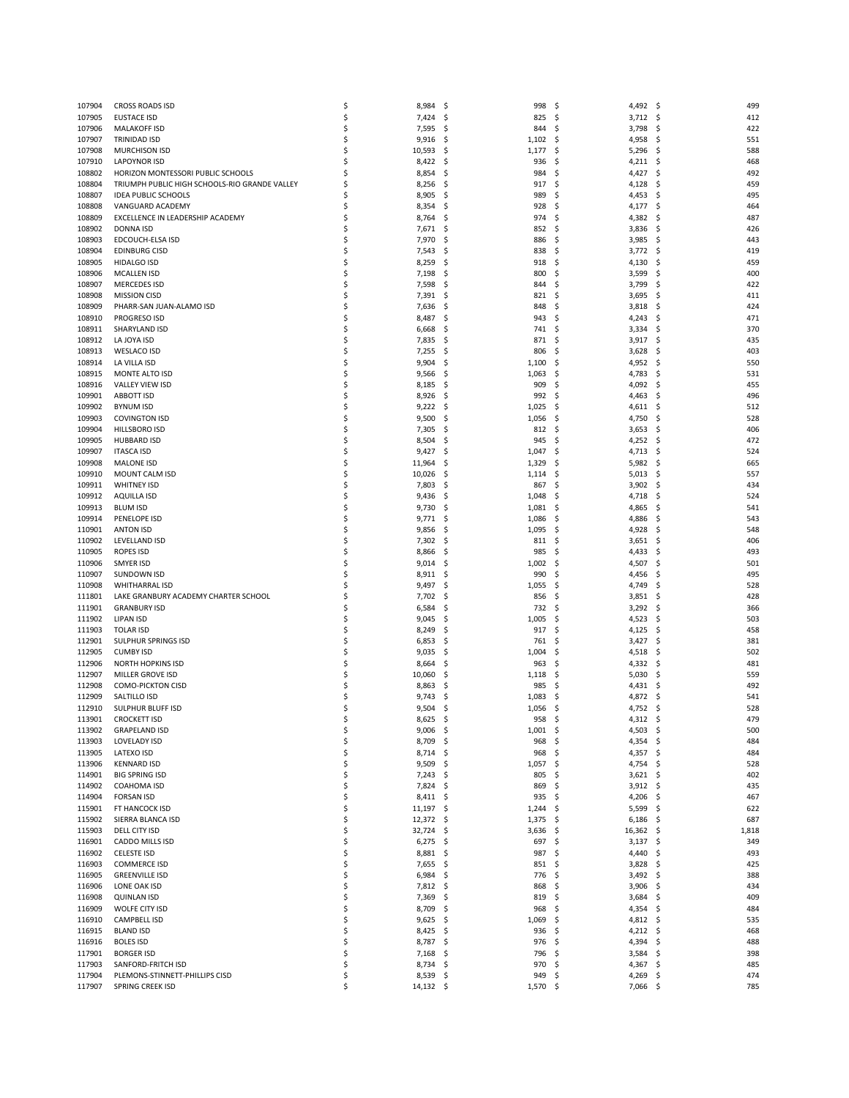| 107904           | <b>CROSS ROADS ISD</b>                                                      | \$       | 8,984                   | \$          | 998               | \$<br>4,492 \$                    |          | 499        |
|------------------|-----------------------------------------------------------------------------|----------|-------------------------|-------------|-------------------|-----------------------------------|----------|------------|
| 107905           | <b>EUSTACE ISD</b>                                                          | \$       | 7,424                   | \$          | 825               | \$<br>3,712                       | -\$      | 412        |
| 107906           | <b>MALAKOFF ISD</b>                                                         | \$       | 7,595                   | -\$         | 844               | \$<br>3,798                       | \$       | 422        |
| 107907           | TRINIDAD ISD                                                                | \$       | 9,916                   | \$.         | 1,102             | Ś<br>4,958                        | S        | 551        |
| 107908           | <b>MURCHISON ISD</b>                                                        | \$       | 10,593                  | -\$         | 1,177             | \$<br>5,296                       | \$       | 588        |
| 107910           | <b>LAPOYNOR ISD</b>                                                         | \$       | 8,422                   | \$          | 936               | 4,211<br>Ś                        | \$       | 468        |
| 108802           | HORIZON MONTESSORI PUBLIC SCHOOLS                                           | \$       | 8,854                   | \$.         | 984               | Ś<br>4,427                        | S        | 492        |
| 108804<br>108807 | TRIUMPH PUBLIC HIGH SCHOOLS-RIO GRANDE VALLEY<br><b>IDEA PUBLIC SCHOOLS</b> | \$<br>\$ | 8,256<br>8,905          | -\$<br>-\$  | 917<br>989        | \$<br>4,128<br>Ś<br>4,453         | \$<br>Ś  | 459<br>495 |
| 108808           | VANGUARD ACADEMY                                                            | \$       | 8,354                   | \$.         | 928               | Ś<br>4,177                        | S        | 464        |
| 108809           | EXCELLENCE IN LEADERSHIP ACADEMY                                            | \$       | 8,764                   | -\$         | 974               | \$<br>4,382                       | S        | 487        |
| 108902           | <b>DONNA ISD</b>                                                            | \$       | 7,671                   | \$.         | 852               | Ś<br>3,836                        | Ś        | 426        |
| 108903           | EDCOUCH-ELSA ISD                                                            | \$       | 7,970                   | -\$         | 886               | 3,985<br>S                        | S        | 443        |
| 108904           | <b>EDINBURG CISD</b>                                                        | \$       | 7,543                   | \$.         | 838               | 3,772<br>\$                       | \$       | 419        |
| 108905           | <b>HIDALGO ISD</b>                                                          | \$       | 8,259                   | \$          | 918               | Ś<br>4,130                        | Ś        | 459        |
| 108906           | <b>MCALLEN ISD</b>                                                          | \$       | 7,198                   | -\$         | 800               | Ś<br>3,599                        | S        | 400        |
| 108907           | <b>MERCEDES ISD</b>                                                         | \$       | 7,598                   | \$.         | 844               | 3,799<br>\$                       | Ś        | 422        |
| 108908           | <b>MISSION CISD</b>                                                         | \$       | 7,391                   | \$          | 821               | Ś<br>3,695                        | Ś        | 411        |
| 108909           | PHARR-SAN JUAN-ALAMO ISD                                                    | \$       | 7,636                   | \$.         | 848               | Ś<br>3,818                        | S        | 424        |
| 108910           | PROGRESO ISD                                                                | \$       | 8,487                   | -\$         | 943               | \$<br>4,243                       | S        | 471        |
| 108911<br>108912 | SHARYLAND ISD<br>LA JOYA ISD                                                | \$<br>\$ | 6,668<br>7,835          | \$<br>\$.   | 741<br>871        | Ś<br>3,334<br>3,917<br>\$         | Ś<br>Ś   | 370<br>435 |
| 108913           | WESLACO ISD                                                                 | \$       | 7,255                   | \$          | 806               | Ś<br>3,628                        | S        | 403        |
| 108914           | LA VILLA ISD                                                                | \$       | 9,904                   | \$          | 1,100             | Ś<br>4,952                        | S        | 550        |
| 108915           | MONTE ALTO ISD                                                              | \$       | 9,566                   | -\$         | 1,063             | \$<br>4,783                       | S        | 531        |
| 108916           | VALLEY VIEW ISD                                                             | \$       | 8,185                   | \$.         | 909               | Ś<br>4,092                        | S        | 455        |
| 109901           | <b>ABBOTT ISD</b>                                                           | \$       | 8,926                   | \$.         | 992               | \$<br>4,463                       | S        | 496        |
| 109902           | <b>BYNUM ISD</b>                                                            | \$       | 9,222                   | -\$         | 1,025             | \$<br>4,611                       | S        | 512        |
| 109903           | <b>COVINGTON ISD</b>                                                        | \$       | 9,500                   | \$          | 1,056             | Ś<br>4,750                        | S        | 528        |
| 109904           | HILLSBORO ISD                                                               | \$       | 7,305                   | \$.         | 812               | \$<br>3,653                       | \$       | 406        |
| 109905           | <b>HUBBARD ISD</b>                                                          | \$       | 8,504                   | -\$         | 945               | 4,252<br>Ś                        | \$       | 472        |
| 109907           | <b>ITASCA ISD</b>                                                           | \$       | 9,427                   | \$          | 1,047             | \$<br>4,713                       | Ś        | 524        |
| 109908           | <b>MALONE ISD</b>                                                           | \$       | 11,964                  | \$          | 1,329             | \$<br>5,982                       | \$,      | 665        |
| 109910<br>109911 | MOUNT CALM ISD<br><b>WHITNEY ISD</b>                                        | \$<br>\$ | 10,026<br>7,803         | \$<br>\$    | 1,114<br>867      | Ś<br>5,013<br>Ś<br>3,902          | Ś<br>Ś   | 557<br>434 |
| 109912           | <b>AQUILLA ISD</b>                                                          | \$       | 9,436                   | \$.         | 1,048             | \$<br>4,718                       | S        | 524        |
| 109913           | <b>BLUM ISD</b>                                                             | \$       | 9,730                   | \$.         | 1,081             | Ś<br>4,865                        | S        | 541        |
| 109914           | PENELOPE ISD                                                                | \$       | 9,771                   | -\$         | 1,086             | 4,886<br>S                        | S        | 543        |
| 110901           | <b>ANTON ISD</b>                                                            | \$       | 9,856                   | \$.         | 1,095             | 4,928<br>\$                       | S        | 548        |
| 110902           | LEVELLAND ISD                                                               | \$       | 7,302                   | \$.         | 811               | Ś<br>3,651                        | S        | 406        |
| 110905           | <b>ROPES ISD</b>                                                            | \$       | 8,866                   | \$.         | 985               | Ś<br>4,433                        | Ś        | 493        |
| 110906           | SMYER ISD                                                                   | \$       | 9,014                   | -\$         | 1,002             | 4,507<br>S                        | S        | 501        |
| 110907           | <b>SUNDOWN ISD</b>                                                          | \$       | 8,911                   | -\$         | 990               | Ś<br>4,456                        | S        | 495        |
| 110908           | <b>WHITHARRAL ISD</b>                                                       | \$       | 9,497                   | \$.         | 1,055             | 4,749<br>S                        | Ś        | 528        |
| 111801<br>111901 | LAKE GRANBURY ACADEMY CHARTER SCHOOL<br><b>GRANBURY ISD</b>                 | \$<br>\$ | 7,702                   | -\$         | 856<br>732        | 3,851<br>\$<br>Ś                  | -\$<br>S | 428<br>366 |
| 111902           | <b>LIPAN ISD</b>                                                            | \$       | 6,584<br>9,045          | \$.<br>\$.  | 1,005             | 3,292<br>Ś<br>4,523               | Ś        | 503        |
| 111903           | <b>TOLAR ISD</b>                                                            | \$       | 8,249                   | \$          | 917               | 4,125<br>Ś                        | S        | 458        |
| 112901           | <b>SULPHUR SPRINGS ISD</b>                                                  | \$       | 6,853                   | \$.         | 761               | Ś<br>3,427                        | S        | 381        |
| 112905           | <b>CUMBY ISD</b>                                                            | \$       | 9,035                   | \$          | 1,004             | 4,518<br>Ś                        |          | 502        |
| 112906           | <b>NORTH HOPKINS ISD</b>                                                    | \$       | 8,664                   | S           | 963               | 4,332<br>S                        | S        | 481        |
| 112907           | MILLER GROVE ISD                                                            | \$       | 10,060                  | \$          | 1,118             | \$<br>5,030                       | S        | 559        |
| 112908           | <b>COMO-PICKTON CISD</b>                                                    | \$       | 8,863                   | \$          | 985               | Ś<br>4,431                        | S        | 492        |
| 112909           | SALTILLO ISD                                                                | \$       | 9,743                   | S           | 1,083             | 4,872<br>S                        |          | 541        |
| 112910           | SULPHUR BLUFF ISD                                                           | \$       | 9,504                   | \$          | 1,056             | \$<br>4,752                       | -S       | 528        |
| 113901           | <b>CROCKETT ISD</b>                                                         | ς        | 8,625                   | \$          | 958               | \$<br>4,312                       | S        | 479<br>500 |
| 113902<br>113903 | <b>GRAPELAND ISD</b><br><b>LOVELADY ISD</b>                                 | \$<br>\$ | 9,006<br>8,709          | - \$<br>-\$ | $1,001$ \$<br>968 | 4,503 \$<br>4,354 \$<br>\$        |          | 484        |
| 113905           | LATEXO ISD                                                                  | \$       | 8,714                   | -\$         | 968               | Ś<br>4,357 \$                     |          | 484        |
| 113906           | <b>KENNARD ISD</b>                                                          | \$       | 9,509                   | -\$         | 1,057             | \$<br>4,754 \$                    |          | 528        |
| 114901           | <b>BIG SPRING ISD</b>                                                       | \$       | 7,243                   | -\$         | 805               | \$<br>$3,621$ \$                  |          | 402        |
| 114902           | COAHOMA ISD                                                                 | \$       | 7,824                   | \$.         | 869               | \$<br>$3,912$ \$                  |          | 435        |
| 114904           | <b>FORSAN ISD</b>                                                           | \$       | 8,411                   | - \$        | 935               | 4,206<br>\$                       | -\$      | 467        |
| 115901           | FT HANCOCK ISD                                                              | \$       | 11,197                  | -\$         | 1,244             | 5,599<br>\$,                      | \$       | 622        |
| 115902           | SIERRA BLANCA ISD                                                           | \$       | 12,372                  | -\$         | 1,375             | \$<br>6,186                       | \$       | 687        |
| 115903           | DELL CITY ISD                                                               | \$       | 32,724                  | -\$         | 3,636             | 16,362 \$<br>\$                   |          | 1,818      |
| 116901           | CADDO MILLS ISD                                                             | \$       | 6,275                   | -\$         | 697               | $3,137$ \$<br>\$                  |          | 349        |
| 116902<br>116903 | <b>CELESTE ISD</b><br><b>COMMERCE ISD</b>                                   | \$<br>\$ | 8,881<br>7,655          | -\$<br>- \$ | 987<br>851        | \$<br>4,440<br>\$<br>$3,828$ \$   | \$       | 493<br>425 |
| 116905           | <b>GREENVILLE ISD</b>                                                       | \$       | 6,984                   | -\$         | 776               | \$<br>$3,492$ \$                  |          | 388        |
| 116906           | LONE OAK ISD                                                                | \$       | 7,812                   | - \$        | 868               | \$<br>3,906                       | -\$      | 434        |
| 116908           | <b>QUINLAN ISD</b>                                                          | \$       | 7,369                   | -\$         | 819               | 3,684<br>\$                       | -\$      | 409        |
| 116909           | WOLFE CITY ISD                                                              | \$       | 8,709                   | -\$         | 968               | \$<br>4,354                       | \$       | 484        |
| 116910           | CAMPBELL ISD                                                                | \$       | 9,625                   | \$.         | 1,069             | \$<br>4,812 \$                    |          | 535        |
| 116915           | <b>BLAND ISD</b>                                                            | \$       | 8,425                   | -\$         | 936               | 4,212 \$<br>\$                    |          | 468        |
| 116916           | <b>BOLES ISD</b>                                                            | \$       | 8,787                   | -\$         | 976               | \$<br>4,394                       | \$       | 488        |
| 117901           | <b>BORGER ISD</b>                                                           | \$       | 7,168                   | \$.         | 796               | \$<br>3,584                       | \$       | 398        |
| 117903<br>117904 | SANFORD-FRITCH ISD                                                          | \$       | 8,734                   | -\$         | 970               | \$<br>4,367                       | \$       | 485        |
| 117907           | PLEMONS-STINNETT-PHILLIPS CISD<br><b>SPRING CREEK ISD</b>                   | \$<br>\$ | $8,539$ \$<br>14,132 \$ |             | 949<br>1,570      | \$<br>4,269 \$<br>\$,<br>7,066 \$ |          | 474<br>785 |
|                  |                                                                             |          |                         |             |                   |                                   |          |            |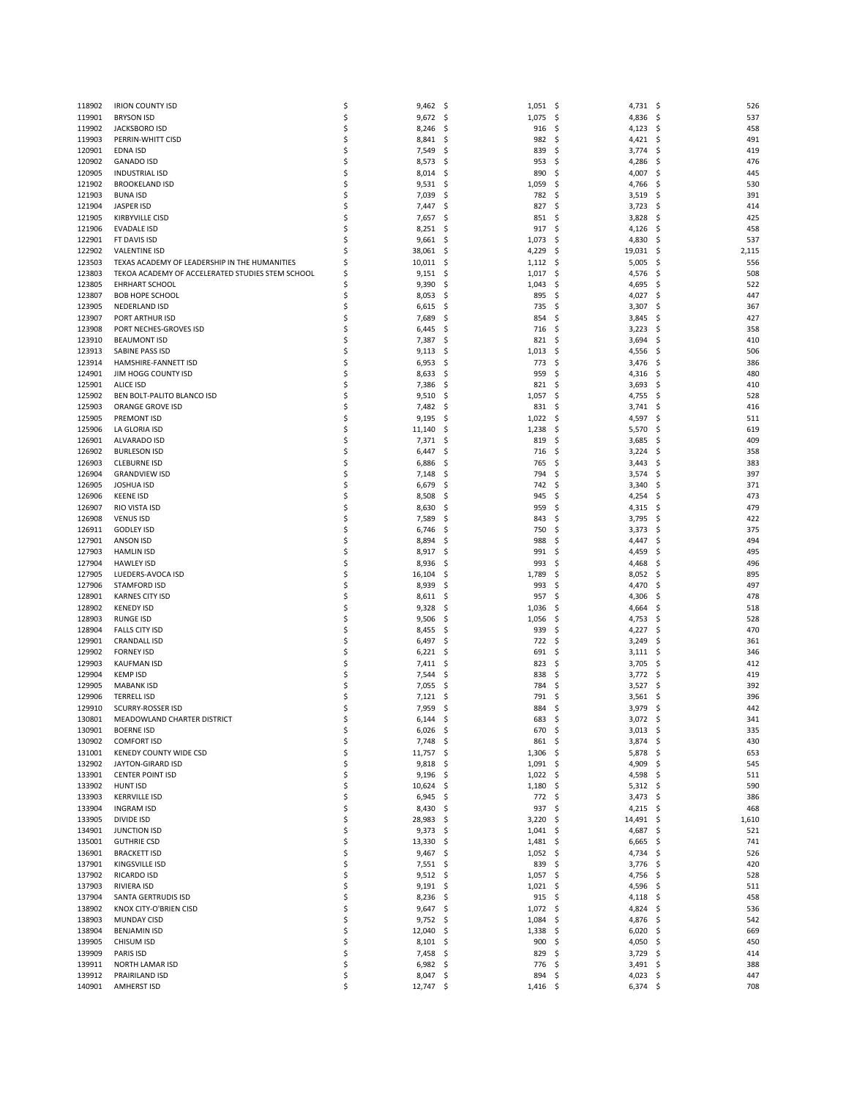| 118902           | <b>IRION COUNTY ISD</b>                          | \$       | 9,462               | - \$        | 1,051          | - \$<br>4,731 \$        |         | 526        |
|------------------|--------------------------------------------------|----------|---------------------|-------------|----------------|-------------------------|---------|------------|
| 119901           | <b>BRYSON ISD</b>                                | \$       | 9,672               | -\$         | 1,075          | \$<br>4,836             | -\$     | 537        |
| 119902           | JACKSBORO ISD                                    | \$       | 8,246               | \$          | 916            | Ś<br>4,123              | \$,     | 458        |
| 119903           | PERRIN-WHITT CISD                                | \$       | 8,841               | -\$         | 982            | \$<br>$4,421$ \$        |         | 491        |
| 120901           | EDNA ISD                                         | \$       | 7,549               | \$          | 839            | \$<br>3,774             | \$      | 419        |
| 120902           | <b>GANADO ISD</b>                                | \$       | 8,573               | \$          | 953            | Ś<br>4,286              | \$      | 476        |
| 120905           | <b>INDUSTRIAL ISD</b>                            | \$       | 8,014               | -\$         | 890            | 4,007<br>S              | \$.     | 445        |
| 121902           | <b>BROOKELAND ISD</b>                            | \$       | 9,531               | -\$         | 1,059          | \$<br>4,766             | \$,     | 530        |
| 121903           | <b>BUNA ISD</b>                                  | \$       | 7,039               | \$          | 782            | Ś<br>3,519              | \$      | 391        |
| 121904           | <b>JASPER ISD</b>                                | \$       | 7,447               | \$          | 827            | \$<br>3,723             | -\$     | 414        |
| 121905           | <b>KIRBYVILLE CISD</b>                           | \$       | 7,657               | -\$         | 851            | \$<br>3,828             | \$      | 425        |
| 121906           | <b>EVADALE ISD</b>                               | \$       | 8,251               | \$          | 917            | \$<br>4,126             | \$      | 458        |
| 122901           | FT DAVIS ISD                                     | \$       | 9,661               | -\$         | 1,073          | \$<br>4,830             | -\$     | 537        |
| 122902           | <b>VALENTINE ISD</b>                             | Ś        | 38,061              | \$          | 4,229          | \$<br>19,031            | \$      | 2,115      |
| 123503           | TEXAS ACADEMY OF LEADERSHIP IN THE HUMANITIES    | \$       | 10,011              | \$          | 1,112          | \$<br>5,005             | Ś       | 556        |
| 123803           | TEKOA ACADEMY OF ACCELERATED STUDIES STEM SCHOOL | \$       | 9,151               | \$          | 1,017          | \$<br>4,576             | S       | 508        |
| 123805           | <b>EHRHART SCHOOL</b>                            | Ś        | 9,390               | \$          | 1,043          | Ś<br>4,695              | \$      | 522        |
| 123807           | <b>BOB HOPE SCHOOL</b>                           | \$,      | 8,053               | \$          | 895            | \$<br>4,027             | \$      | 447        |
| 123905           | NEDERLAND ISD                                    | \$       | 6,615               | \$          | 735            | 3,307<br>\$             | \$      | 367        |
| 123907           | PORT ARTHUR ISD                                  | Ś        | 7,689               | \$,         | 854            | Ś<br>3,845              | \$      | 427        |
| 123908           | PORT NECHES-GROVES ISD                           | \$       | 6,445               | \$          | 716            | \$<br>3,223             | \$      | 358        |
| 123910           | <b>BEAUMONT ISD</b>                              | \$       | 7,387               | \$          | 821            | 3,694<br>\$             | \$      | 410        |
| 123913<br>123914 | SABINE PASS ISD                                  | \$<br>\$ | 9,113               | \$          | 1,013<br>773   | Ś<br>4,556<br>\$        | \$      | 506        |
| 124901           | HAMSHIRE-FANNETT ISD<br>JIM HOGG COUNTY ISD      | \$       | 6,953<br>8,633      | \$<br>\$    | 959            | 3,476<br>Ś<br>4,316     | \$<br>Ś | 386<br>480 |
| 125901           | ALICE ISD                                        | \$       | 7,386               | \$          | 821            | \$<br>3,693             | \$      | 410        |
| 125902           | BEN BOLT-PALITO BLANCO ISD                       | \$,      | 9,510               | \$          | 1,057          | \$<br>4,755             | \$      | 528        |
| 125903           | ORANGE GROVE ISD                                 | \$       | 7,482               | \$,         | 831            | Ś<br>3,741              | Ś       | 416        |
| 125905           | <b>PREMONT ISD</b>                               | \$       | 9,195               | \$          | 1,022          | \$<br>4,597             | S       | 511        |
| 125906           | LA GLORIA ISD                                    | \$       | 11,140              | \$          | 1,238          | 5,570<br>\$             | \$      | 619        |
| 126901           | ALVARADO ISD                                     | \$       | 7,371               | \$          | 819            | Ś<br>3,685              | \$      | 409        |
| 126902           | <b>BURLESON ISD</b>                              | \$       | 6,447               | \$          | 716            | Ś<br>3,224              | \$      | 358        |
| 126903           | <b>CLEBURNE ISD</b>                              | \$       | 6,886               | \$          | 765            | \$<br>3,443             | \$      | 383        |
| 126904           | <b>GRANDVIEW ISD</b>                             | \$       | 7,148               | \$          | 794            | \$<br>3,574             | Ś       | 397        |
| 126905           | <b>JOSHUA ISD</b>                                | \$       | 6,679               | \$          | 742            | Ś<br>3,340              | \$      | 371        |
| 126906           | <b>KEENE ISD</b>                                 | \$       | 8,508               | \$          | 945            | \$<br>4,254             | \$      | 473        |
| 126907           | RIO VISTA ISD                                    | \$       | 8,630               | \$          | 959            | \$<br>4,315             | S       | 479        |
| 126908           | <b>VENUS ISD</b>                                 | \$       | 7,589               | \$          | 843            | Ś<br>3,795              | \$      | 422        |
| 126911           | <b>GODLEY ISD</b>                                | \$       | 6,746               | \$,         | 750            | Ś<br>3,373              | S       | 375        |
| 127901           | ANSON ISD                                        | \$       | 8,894               | \$          | 988            | \$<br>4,447             | S       | 494        |
| 127903           | <b>HAMLIN ISD</b>                                | \$       | 8,917               | \$          | 991            | Ś<br>4,459              | Ś       | 495        |
| 127904           | <b>HAWLEY ISD</b>                                | \$       | 8,936               | \$,         | 993            | 4,468<br>S              | S       | 496        |
| 127905           | LUEDERS-AVOCA ISD                                | \$       | 16,104              | \$          | 1,789          | \$<br>8,052             | \$      | 895        |
| 127906           | <b>STAMFORD ISD</b>                              | \$       | 8,939               | \$          | 993            | Ś<br>4,470              | Ś       | 497        |
| 128901           | <b>KARNES CITY ISD</b>                           | \$       | 8,611               | \$,         | 957            | 4,306<br>S              | S       | 478        |
| 128902           | <b>KENEDY ISD</b>                                | \$       | 9,328               | \$          | 1,036          | \$<br>4,664             | \$      | 518        |
| 128903           | <b>RUNGE ISD</b>                                 | \$       | 9,506               | \$          | 1,056          | \$<br>4,753             | \$      | 528        |
| 128904           | <b>FALLS CITY ISD</b>                            | \$       | 8,455               | -\$         | 939            | \$<br>4,227             | S       | 470        |
| 129901           | <b>CRANDALL ISD</b>                              | \$       | 6,497               | \$          | 722            | \$<br>3,249             | \$      | 361        |
| 129902           | <b>FORNEY ISD</b>                                | \$       | 6,221               | \$          | 691            | Ś<br>3,111              | \$      | 346        |
| 129903           | <b>KAUFMAN ISD</b>                               | \$       | 7,411               | -\$         | 823            | 3,705<br>S              | \$,     | 412        |
| 129904           | <b>KEMP ISD</b>                                  | \$       | 7,544               | \$          | 838            | \$<br>3,772             | -\$     | 419        |
| 129905           | <b>MABANK ISD</b>                                | \$       | 7,055               | \$,         | 784            | S<br>3,527              | S       | 392        |
| 129906           | <b>TERRELL ISD</b>                               | \$       | 7,121               | S           | 791            | 3,561<br>S              | S       | 396        |
| 129910           | SCURRY-ROSSER ISD                                | \$       | 7,959               | \$          | 884            | 3,979<br>\$             | \$      | 442        |
| 130801           | MEADOWLAND CHARTER DISTRICT                      |          | 6,144               | S           | 683            | Ś<br>3,072              | Ś       | 341        |
| 130901           | <b>BOERNE ISD</b>                                | \$       | 6,026               | - \$        | 670            | -\$<br>$3,013$ \$       |         | 335        |
| 130902           | <b>COMFORT ISD</b>                               | \$       | 7,748               | - \$        | 861 \$         | $3,874$ \$              |         | 430        |
| 131001           | KENEDY COUNTY WIDE CSD                           | \$       | 11,757              | - \$        | 1,306          | \$,<br>$5,878$ \$       |         | 653        |
| 132902           | JAYTON-GIRARD ISD                                | \$       | 9,818               | - \$        | $1,091$ \$     | 4,909 \$                |         | 545        |
| 133901           | <b>CENTER POINT ISD</b>                          | \$       | 9,196               | - \$        | 1,022          | \$,<br>4,598            | - \$    | 511        |
| 133902           | <b>HUNT ISD</b>                                  | \$       | 10,624              | -\$         | 1,180          | \$<br>$5,312$ \$        |         | 590        |
| 133903           | <b>KERRVILLE ISD</b>                             | \$       | 6,945               | - \$        | 772            | $3,473$ \$<br>\$        |         | 386        |
| 133904           | <b>INGRAM ISD</b>                                | \$       | 8,430               | - \$        | 937            | \$,<br>4,215 \$         |         | 468        |
| 133905           | DIVIDE ISD                                       | \$       | 28,983              | - \$        | 3,220          | \$<br>14,491 \$         |         | 1,610      |
| 134901           | JUNCTION ISD                                     | \$       | $9,373$ \$          |             | $1,041$ \$     | 4,687 \$                |         | 521        |
| 135001           | <b>GUTHRIE CSD</b>                               | \$       | $13,330$ \$         |             | 1,481          | 6,665<br>-\$            | - \$    | 741        |
| 136901           | <b>BRACKETT ISD</b>                              | \$       | $9,467$ \$          |             | 1,052          | \$<br>4,734 \$          |         | 526        |
| 137901           | <b>KINGSVILLE ISD</b>                            | \$       | $7,551$ \$          |             | 839            | 3,776 \$<br>\$          |         | 420        |
| 137902           | RICARDO ISD                                      | \$       | $9,512$ \$          |             | $1,057$ \$     | 4,756 \$                |         | 528        |
| 137903           | RIVIERA ISD                                      | \$<br>\$ | 9,191               | - \$        | 1,021          | \$<br>4,596             | - \$    | 511<br>458 |
| 137904<br>138902 | SANTA GERTRUDIS ISD<br>KNOX CITY-O'BRIEN CISD    |          | 8,236               | -\$         | 915            | \$<br>$4,118$ \$<br>-\$ |         | 536        |
| 138903           | <b>MUNDAY CISD</b>                               | \$<br>\$ | $9,647$ \$<br>9,752 |             | 1,072          | 4,824 \$<br>\$          | -\$     | 542        |
| 138904           | <b>BENJAMIN ISD</b>                              | \$       | 12,040              | -\$<br>- \$ | 1,084<br>1,338 | 4,876<br>\$<br>6,020    | -\$     | 669        |
| 139905           | CHISUM ISD                                       | \$       | $8,101$ \$          |             | 900            | -\$<br>4,050 \$         |         | 450        |
| 139909           | PARIS ISD                                        | \$       | 7,458               | -\$         | 829            | 3,729<br>\$             | -\$     | 414        |
| 139911           | NORTH LAMAR ISD                                  | \$       | 6,982               | - \$        | 776            | \$<br>3,491 \$          |         | 388        |
| 139912           | PRAIRILAND ISD                                   | \$       | $8,047$ \$          |             | 894            | \$<br>4,023 \$          |         | 447        |
| 140901           | <b>AMHERST ISD</b>                               | \$       | 12,747 \$           |             | $1,416$ \$     | $6,374$ \$              |         | 708        |
|                  |                                                  |          |                     |             |                |                         |         |            |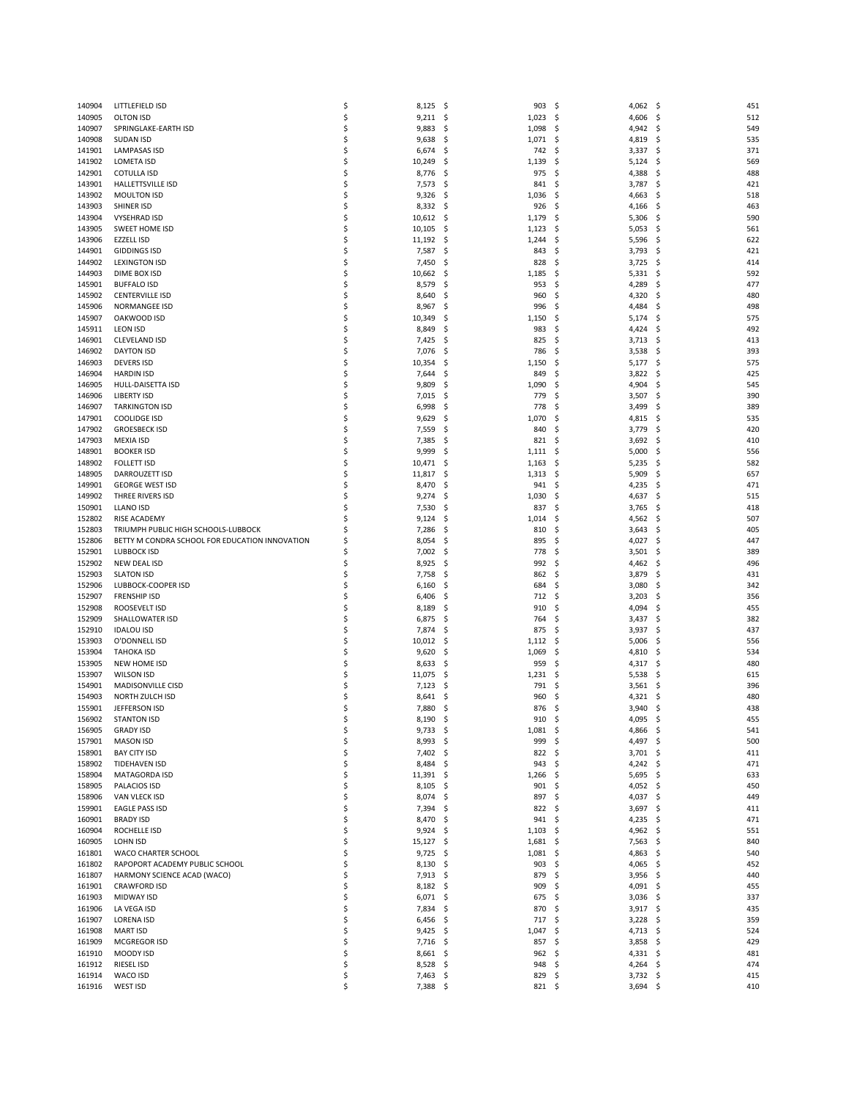| 140904           | LITTLEFIELD ISD                                       | \$       | 8,125           | -\$        | 903            | \$<br>4,062 \$                 |              | 451              |
|------------------|-------------------------------------------------------|----------|-----------------|------------|----------------|--------------------------------|--------------|------------------|
| 140905           | <b>OLTON ISD</b>                                      | \$       | 9,211           | -\$        | 1,023          | \$,<br>4,606                   | -\$          | 512              |
| 140907           | SPRINGLAKE-EARTH ISD                                  | \$       | 9,883           | \$         | 1,098          | Ś<br>4,942                     | \$           | 549              |
| 140908           | <b>SUDAN ISD</b>                                      | \$       | 9,638           | -\$        | 1,071          | \$,<br>4,819                   | \$.          | 535              |
| 141901           | <b>LAMPASAS ISD</b>                                   | \$       | 6,674           | \$         | 742            | \$<br>3,337                    | -\$          | 371              |
| 141902           | <b>LOMETA ISD</b>                                     | \$       | 10,249          | \$         | 1,139          | Ś<br>5,124                     | \$           | 569              |
| 142901           | <b>COTULLA ISD</b>                                    | \$       | 8,776           | -\$        | 975            | \$<br>4,388                    | \$.          | 488              |
| 143901           | HALLETTSVILLE ISD                                     | \$       | 7,573           | -\$        | 841            | 3,787<br>\$                    | -\$          | 421              |
| 143902           | <b>MOULTON ISD</b>                                    | \$       | 9,326           | \$         | 1,036          | Ś<br>4,663                     | Ś            | 518              |
| 143903           | SHINER ISD                                            | \$       | 8,332           | -\$        | 926            | Ś<br>4,166                     | \$           | 463              |
| 143904           | <b>VYSEHRAD ISD</b>                                   | \$       | 10,612          | \$         | 1,179          | 5,306<br>\$                    | \$           | 590              |
| 143905           | <b>SWEET HOME ISD</b>                                 | \$       | 10,105          | \$         | 1,123          | \$<br>5,053                    | \$           | 561              |
| 143906           | <b>EZZELL ISD</b>                                     | \$       | 11,192          | \$         | 1,244          | \$<br>5,596                    | \$           | 622              |
| 144901           | <b>GIDDINGS ISD</b>                                   | \$       | 7,587           | \$         | 843            | Ś<br>3,793                     | \$           | 421              |
| 144902           | <b>LEXINGTON ISD</b>                                  | \$       | 7,450           | \$         | 828            | Ś<br>3,725                     | \$           | 414              |
| 144903           | DIME BOX ISD                                          | \$       | 10,662          | \$         | 1,185          | 5,331<br>\$                    | \$           | 592              |
| 145901           | <b>BUFFALO ISD</b>                                    | \$       | 8,579           | \$         | 953            | 4,289<br>Ś                     | Ś            | 477              |
| 145902           | <b>CENTERVILLE ISD</b>                                | \$       | 8,640           | \$         | 960            | Ś<br>4,320                     | \$           | 480              |
| 145906           | NORMANGEE ISD                                         | \$       | 8,967           | \$         | 996            | 4,484<br>Ś                     |              | \$<br>498        |
| 145907           | OAKWOOD ISD                                           | \$       | 10,349          | \$         | 1,150          | Ś<br>5,174                     | \$           | 575              |
| 145911           | <b>LEON ISD</b>                                       | \$       | 8,849           | \$         | 983            | \$<br>4,424                    | \$           | 492              |
| 146901           | CLEVELAND ISD                                         | \$       | 7,425           | \$         | 825            | \$<br>3,713                    | $\mathsf{S}$ | 413              |
| 146902           | <b>DAYTON ISD</b>                                     | \$       | 7,076           | \$         | 786            | \$<br>3,538<br>\$              | \$           | 393              |
| 146903<br>146904 | <b>DEVERS ISD</b><br><b>HARDIN ISD</b>                | \$<br>\$ | 10,354<br>7,644 | \$<br>\$   | 1,150<br>849   | 5,177<br>3,822<br>Ś            | \$           | 575<br>425<br>\$ |
| 146905           | HULL-DAISETTA ISD                                     | \$       | 9,809           | \$         | 1,090          | Ś<br>4,904                     | Ś            | 545              |
| 146906           | LIBERTY ISD                                           | \$       | 7,015           | \$         | 779            | \$<br>3,507                    | \$           | 390              |
| 146907           | <b>TARKINGTON ISD</b>                                 | \$       | 6,998           | \$         | 778            | 3,499<br>Ś                     | Ś            | 389              |
| 147901           | <b>COOLIDGE ISD</b>                                   | \$       | 9,629           | \$         | 1,070          | 4,815<br>S                     | Ś            | 535              |
| 147902           | <b>GROESBECK ISD</b>                                  | \$       | 7,559           | \$         | 840            | 3,779<br>\$                    |              | 420<br>\$        |
| 147903           | MEXIA ISD                                             | \$       | 7,385           | \$         | 821            | Ś<br>3,692                     | \$           | 410              |
| 148901           | <b>BOOKER ISD</b>                                     | \$       | 9,999           | \$         | 1,111          | Ś<br>5,000                     |              | \$<br>556        |
| 148902           | <b>FOLLETT ISD</b>                                    | \$       | 10,471          | \$         | 1,163          | 5,235<br>\$                    |              | \$<br>582        |
| 148905           | <b>DARROUZETT ISD</b>                                 | \$       | 11,817          | \$         | 1,313          | \$<br>5,909                    | Ś            | 657              |
| 149901           | <b>GEORGE WEST ISD</b>                                | \$       | 8,470           | \$         | 941            | Ś<br>4,235                     | \$           | 471              |
| 149902           | THREE RIVERS ISD                                      | \$       | 9,274           | \$         | 1,030          | 4,637<br>S                     |              | \$<br>515        |
| 150901           | <b>LLANO ISD</b>                                      | \$       | 7,530           | \$         | 837            | Ś<br>3,765                     | Ś            | 418              |
| 152802           | RISE ACADEMY                                          | \$       | 9,124           | \$         | 1,014          | Ś<br>4,562                     | \$           | 507              |
| 152803           | TRIUMPH PUBLIC HIGH SCHOOLS-LUBBOCK                   | Ś        | 7,286           | \$         | 810            | Ś<br>3,643                     | S            | 405              |
| 152806           | BETTY M CONDRA SCHOOL FOR EDUCATION INNOVATION        | \$,      | 8,054           | \$         | 895            | \$<br>4,027                    | \$           | 447              |
| 152901           | <b>LUBBOCK ISD</b>                                    | \$       | 7,002           | \$         | 778            | 3,501<br>Ś                     |              | \$<br>389        |
| 152902           | NEW DEAL ISD                                          | \$       | 8,925           | \$,        | 992            | Ś<br>4,462                     | S            | 496              |
| 152903           | <b>SLATON ISD</b>                                     | \$       | 7,758           | \$         | 862            | 3,879<br>\$                    | \$           | 431              |
| 152906           | LUBBOCK-COOPER ISD                                    | \$       | 6,160           | \$         | 684            | 3,080<br>Ś                     |              | Ś<br>342         |
| 152907           | <b>FRENSHIP ISD</b>                                   | \$       | 6,406           | \$,        | 712            | 3,203<br>S                     | \$           | 356              |
| 152908           | ROOSEVELT ISD                                         | \$       | 8,189           | \$         | 910            | 4,094<br>\$                    | \$           | 455              |
| 152909           | SHALLOWATER ISD                                       | \$       | 6,875           | \$         | 764            | Ś<br>3,437                     | \$           | 382              |
| 152910           | <b>IDALOU ISD</b>                                     | \$       | 7,874           | \$         | 875            | Ś<br>3,937                     |              | 437<br>S         |
| 153903           | O'DONNELL ISD                                         | \$       | 10,012          | \$         | 1,112          | \$<br>5,006                    | \$           | 556              |
| 153904           | <b>TAHOKA ISD</b>                                     | \$       | 9,620           | \$         | 1,069          | Ś<br>4,810                     | Ś            | 534              |
| 153905           | <b>NEW HOME ISD</b>                                   | \$,      | 8,633           | \$         | 959            | Ś<br>4,317                     | \$.          | 480              |
| 153907           | <b>WILSON ISD</b>                                     | \$       | 11,075          | -\$        | 1,231          | \$<br>5,538                    | \$           | 615              |
| 154901           | <b>MADISONVILLE CISD</b>                              | \$       | 7,123           | \$         | 791            | Ś<br>3,561                     | S            | 396              |
| 154903           | NORTH ZULCH ISD                                       | \$       | 8,641           | S          | 960            | 4,321<br>S                     | S            | 480              |
| 155901           | JEFFERSON ISD                                         | \$       | 7,880           | \$         | 876            | 3,940<br>\$                    | \$           | 438              |
| 156902           | <b>STANTON ISD</b>                                    |          | 8,190           | S          | 910            | Ś<br>4,095                     |              | 455<br>S         |
| 156905           | <b>GRADY ISD</b>                                      | \$       | 9,733           | - \$       | 1,081          | -\$<br>4,866 \$                |              | 541              |
| 157901           | <b>MASON ISD</b>                                      | \$       | 8,993           | - \$       | 999            | 4,497 \$<br>\$                 |              | 500              |
| 158901           | <b>BAY CITY ISD</b>                                   | \$       | 7,402           | -\$        | 822            | \$<br>$3,701$ \$               |              | 411              |
| 158902           | <b>TIDEHAVEN ISD</b>                                  | \$       | 8,484           | - \$       | 943            | \$<br>4,242 \$                 |              | 471              |
| 158904           | MATAGORDA ISD                                         | \$       | 11,391          | - \$       | 1,266          | \$<br>$5,695$ \$               |              | 633              |
| 158905           | PALACIOS ISD                                          | \$       | 8,105           | -\$        | 901            | \$<br>4,052 \$                 |              | 450              |
| 158906           | VAN VLECK ISD                                         | \$       | 8,074           | -\$        | 897            | 4,037 \$<br>\$                 |              | 449              |
| 159901           | EAGLE PASS ISD                                        | \$       | 7,394           | -\$        | 822            | \$<br>$3,697$ \$               |              | 411              |
| 160901           | <b>BRADY ISD</b>                                      | \$       | 8,470           | \$,        | 941            | \$<br>4,235 \$                 |              | 471              |
| 160904<br>160905 | ROCHELLE ISD                                          | \$<br>\$ | 9,924           | -\$        | 1,103<br>1,681 | \$<br>4,962 \$<br>\$,<br>7,563 |              | 551<br>840       |
|                  | LOHN ISD                                              |          | $15,127$ \$     |            |                |                                | -\$          |                  |
| 161801<br>161802 | WACO CHARTER SCHOOL<br>RAPOPORT ACADEMY PUBLIC SCHOOL | \$<br>\$ | 9,725<br>8,130  | \$,<br>-\$ | 1,081<br>903   | \$<br>4,863<br>4,065<br>\$     | -\$<br>-\$   | 540<br>452       |
| 161807           | HARMONY SCIENCE ACAD (WACO)                           | \$       | $7,913$ \$      |            | 879            | \$<br>$3,956$ \$               |              | 440              |
| 161901           | <b>CRAWFORD ISD</b>                                   | \$       | 8,182           | -\$        | 909            | \$<br>4,091 \$                 |              | 455              |
| 161903           | <b>MIDWAY ISD</b>                                     | \$       | 6,071           | \$         | 675            | Ś<br>3,036                     | - \$         | 337              |
| 161906           | LA VEGA ISD                                           | \$       | 7,834           | - \$       | 870            | \$<br>$3,917$ \$               |              | 435              |
| 161907           | <b>LORENA ISD</b>                                     | \$       | 6,456           | \$         | 717            | \$<br>3,228                    | \$           | 359              |
| 161908           | <b>MART ISD</b>                                       | \$       | 9,425           | -\$        | 1,047          | \$<br>4,713 \$                 |              | 524              |
| 161909           | MCGREGOR ISD                                          | \$       | 7,716 \$        |            | 857            | S.<br>$3,858$ \$               |              | 429              |
| 161910           | MOODY ISD                                             | \$       | 8,661           | -\$        | 962            | \$<br>$4,331$ \$               |              | 481              |
| 161912           | <b>RIESEL ISD</b>                                     | \$       | 8,528           | - \$       | 948            | \$<br>4,264 \$                 |              | 474              |
| 161914           | WACO ISD                                              | \$       | $7,463$ \$      |            | 829            | \$<br>$3,732$ \$               |              | 415              |
| 161916           | WEST ISD                                              | \$       | 7,388           | - \$       | 821 \$         | $3,694$ \$                     |              | 410              |
|                  |                                                       |          |                 |            |                |                                |              |                  |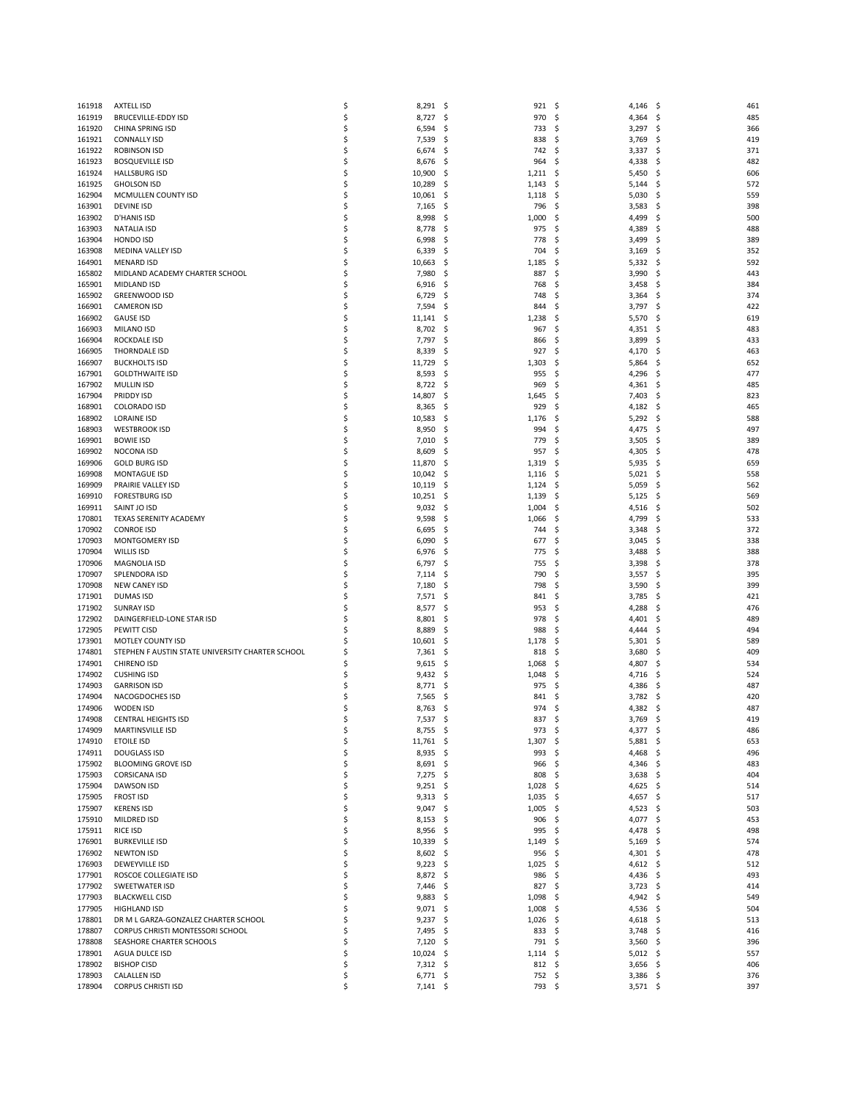| 161918           | <b>AXTELL ISD</b>                                                      | \$       | 8,291                 | - \$      | 921                  | - \$<br>4,146                       | -\$      | 461        |
|------------------|------------------------------------------------------------------------|----------|-----------------------|-----------|----------------------|-------------------------------------|----------|------------|
| 161919           | <b>BRUCEVILLE-EDDY ISD</b>                                             | \$       | 8,727                 | -\$       | 970                  | \$,<br>4,364                        | -\$      | 485        |
| 161920           | CHINA SPRING ISD                                                       | \$       | 6,594                 | \$        | 733                  | Ś<br>3,297                          | \$,      | 366        |
| 161921           | <b>CONNALLY ISD</b>                                                    | \$       | 7,539                 | \$        | 838                  | Ś<br>3,769                          | \$       | 419        |
| 161922<br>161923 | ROBINSON ISD<br><b>BOSQUEVILLE ISD</b>                                 | \$<br>\$ | 6,674<br>8,676        | \$<br>\$  | 742<br>964           | \$<br>3,337<br>Ś<br>4,338           | -\$<br>Ś | 371<br>482 |
| 161924           | <b>HALLSBURG ISD</b>                                                   | \$       | 10,900                | -\$       | 1,211                | \$,<br>5,450                        | \$.      | 606        |
| 161925           | <b>GHOLSON ISD</b>                                                     | \$       | 10,289                | \$,       | 1,143                | Ś<br>5,144                          | Ś        | 572        |
| 162904           | MCMULLEN COUNTY ISD                                                    | \$       | 10,061                | \$        | 1,118                | \$<br>5,030                         | Ś        | 559        |
| 163901           | DEVINE ISD                                                             | \$       | 7,165                 | \$        | 796                  | \$<br>3,583                         | Ś        | 398        |
| 163902           | D'HANIS ISD                                                            | \$       | 8,998                 | \$        | 1,000                | 4,499<br>S                          | S        | 500        |
| 163903<br>163904 | <b>NATALIA ISD</b><br>HONDO ISD                                        | \$<br>\$ | 8,778<br>6,998        | \$<br>\$  | 975<br>778           | \$<br>4,389<br>Ś<br>3,499           | \$<br>\$ | 488<br>389 |
| 163908           | <b>MEDINA VALLEY ISD</b>                                               | \$       | 6,339                 | \$        | 704                  | Ś<br>3,169                          | S        | 352        |
| 164901           | <b>MENARD ISD</b>                                                      | \$       | 10,663                | \$        | 1,185                | \$<br>5,332                         | \$       | 592        |
| 165802           | MIDLAND ACADEMY CHARTER SCHOOL                                         | \$       | 7,980                 | \$        | 887                  | 3,990<br>\$                         | \$       | 443        |
| 165901           | <b>MIDLAND ISD</b>                                                     | \$       | 6,916                 | -\$       | 768                  | Ś<br>3,458                          | Ś        | 384        |
| 165902           | GREENWOOD ISD                                                          | \$       | 6,729                 | \$        | 748                  | \$<br>3,364                         | \$       | 374        |
| 166901<br>166902 | CAMERON ISD<br><b>GAUSE ISD</b>                                        | \$<br>\$ | 7,594<br>11,141       | \$<br>-\$ | 844<br>1,238         | 3,797<br>Ś<br>Ś                     | \$<br>S  | 422<br>619 |
| 166903           | MILANO ISD                                                             | \$       | 8,702                 | \$        | 967                  | 5,570<br>\$<br>4,351                | \$       | 483        |
| 166904           | ROCKDALE ISD                                                           | \$       | 7,797                 | \$        | 866                  | Ś<br>3,899                          | Ś        | 433        |
| 166905           | <b>THORNDALE ISD</b>                                                   | \$       | 8,339                 | \$        | 927                  | Ś<br>4,170                          | \$       | 463        |
| 166907           | <b>BUCKHOLTS ISD</b>                                                   | \$       | 11,729                | \$        | 1,303                | 5,864<br>S                          | \$       | 652        |
| 167901           | <b>GOLDTHWAITE ISD</b>                                                 | \$       | 8,593                 | \$,       | 955                  | Ś<br>4,296                          | S        | 477        |
| 167902           | <b>MULLIN ISD</b>                                                      | \$       | 8,722                 | \$        | 969                  | Ś<br>4,361                          | \$       | 485        |
| 167904<br>168901 | PRIDDY ISD<br><b>COLORADO ISD</b>                                      | \$<br>\$ | 14,807<br>8,365       | \$<br>\$  | 1,645<br>929         | 7,403<br>\$<br>Ś<br>4,182           | \$<br>Ś  | 823<br>465 |
| 168902           | LORAINE ISD                                                            | \$       | 10,583                | \$        | 1,176                | Ś<br>5,292                          | \$       | 588        |
| 168903           | <b>WESTBROOK ISD</b>                                                   | \$       | 8,950                 | \$        | 994                  | Ś<br>4,475                          | S        | 497        |
| 169901           | <b>BOWIE ISD</b>                                                       | \$       | 7,010                 | \$        | 779                  | Ś<br>3,505                          | Ś        | 389        |
| 169902           | NOCONA ISD                                                             | \$       | 8,609                 | \$        | 957                  | 4,305<br>Ś                          | \$       | 478        |
| 169906           | <b>GOLD BURG ISD</b>                                                   | \$       | 11,870                | \$,       | 1,319                | 5,935<br>S                          | S        | 659        |
| 169908           | <b>MONTAGUE ISD</b>                                                    | \$       | 10,042                | \$        | 1,116                | \$<br>5,021                         | \$       | 558        |
| 169909<br>169910 | PRAIRIE VALLEY ISD<br><b>FORESTBURG ISD</b>                            | \$<br>\$ | 10,119<br>10,251      | \$<br>\$, | 1,124<br>1,139       | \$<br>5,059<br>5,125<br>S           | Ś<br>S   | 562<br>569 |
| 169911           | SAINT JO ISD                                                           | \$       | 9,032                 | \$        | 1,004                | \$<br>4,516                         | \$       | 502        |
| 170801           | TEXAS SERENITY ACADEMY                                                 | \$       | 9,598                 | \$        | 1,066                | 4,799<br>\$                         | Ś        | 533        |
| 170902           | <b>CONROE ISD</b>                                                      | \$       | 6,695                 | \$,       | 744                  | Ś<br>3,348                          | S        | 372        |
| 170903           | MONTGOMERY ISD                                                         | \$       | 6,090                 | \$        | 677                  | \$<br>3,045                         | \$       | 338        |
| 170904           | <b>WILLIS ISD</b>                                                      | \$       | 6,976                 | \$        | 775                  | Ś<br>3,488                          | Ś        | 388        |
| 170906<br>170907 | <b>MAGNOLIA ISD</b><br>SPLENDORA ISD                                   | \$<br>\$ | 6,797<br>7,114        | \$,<br>\$ | 755<br>790           | Ś<br>3,398<br>\$<br>3,557           | S<br>\$  | 378<br>395 |
| 170908           | <b>NEW CANEY ISD</b>                                                   | \$       | 7,180                 | \$        | 798                  | Ś<br>3,590                          | Ś        | 399        |
| 171901           | <b>DUMAS ISD</b>                                                       | \$       | 7,571                 | -\$       | 841                  | 3,785<br>S                          | S        | 421        |
| 171902           | <b>SUNRAY ISD</b>                                                      | \$       | 8,577                 | \$        | 953                  | \$<br>4,288                         | \$       | 476        |
| 172902           | DAINGERFIELD-LONE STAR ISD                                             | \$       | 8,801                 | \$,       | 978                  | Ś<br>4,401                          | S        | 489        |
| 172905           | PEWITT CISD                                                            | Ś        | 8,889                 | \$        | 988                  | Ś<br>4,444                          | \$.      | 494        |
| 173901           | MOTLEY COUNTY ISD                                                      | S        | 10,601                | \$        | 1,178                | \$<br>5,301                         | \$,      | 589        |
| 174801<br>174901 | STEPHEN F AUSTIN STATE UNIVERSITY CHARTER SCHOOL<br><b>CHIRENO ISD</b> | S<br>\$  | 7,361<br>9,615        | \$<br>\$, | 818<br>1,068         | Ś<br>3,680<br>4,807<br>S            | S<br>S   | 409<br>534 |
| 174902           | <b>CUSHING ISD</b>                                                     | Ś        | 9,432                 | -\$       | 1,048                | 4,716<br>S                          | S        | 524        |
| 174903           | <b>GARRISON ISD</b>                                                    | \$,      | 8,771                 | \$,       | 975                  | Ś<br>4,386                          | S        | 487        |
| 174904           | NACOGDOCHES ISD                                                        | \$       | 7,565                 | \$,       | 841                  | 3,782<br>S                          | S        | 420        |
| 174906           | WODEN ISD                                                              | Ś        | 8,763                 | \$,       | 974                  | \$<br>4,382                         | -S       | 487        |
| 174908<br>174909 | CENTRAL HEIGHTS ISD<br><b>MARTINSVILLE ISD</b>                         | \$       | 7,537<br>8,755        | Ŝ<br>- \$ | 837<br>973           | Ŝ.<br>$3,769$ \$<br>\$<br>4,377 \$  |          | 419<br>486 |
| 174910           | <b>ETOILE ISD</b>                                                      | \$       | $11,761$ \$           |           | 1,307                | \$<br>$5,881$ \$                    |          | 653        |
| 174911           | <b>DOUGLASS ISD</b>                                                    | \$       | 8,935                 | - \$      | 993                  | 4,468 \$<br>S                       |          | 496        |
| 175902           | <b>BLOOMING GROVE ISD</b>                                              | \$       | $8,691$ \$            |           | 966                  | \$<br>4,346 \$                      |          | 483        |
| 175903           | <b>CORSICANA ISD</b>                                                   | \$,      | 7,275 \$              |           | 808                  | $3,638$ \$<br>-S                    |          | 404        |
| 175904           | DAWSON ISD                                                             | \$       | $9,251$ \$            |           | 1,028                | 4,625 \$<br>-\$                     |          | 514        |
| 175905<br>175907 | <b>FROST ISD</b><br><b>KERENS ISD</b>                                  | \$<br>\$ | 9,313<br>$9,047$ \$   | - \$      | 1,035<br>1,005       | 4,657 \$<br>S<br>$4,523$ \$<br>-S   |          | 517<br>503 |
| 175910           | MILDRED ISD                                                            | \$       | $8,153$ \$            |           | 906                  | \$<br>4,077 \$                      |          | 453        |
| 175911           | RICE ISD                                                               | \$       | 8,956                 | - \$      | 995                  | 4,478 \$<br>S                       |          | 498        |
| 176901           | <b>BURKEVILLE ISD</b>                                                  | \$       | $10,339$ \$           |           | 1,149                | $5,169$ \$<br>S                     |          | 574        |
| 176902           | <b>NEWTON ISD</b>                                                      | \$       | $8,602$ \$            |           | 956                  | 4,301 \$<br>\$,                     |          | 478        |
| 176903           | DEWEYVILLE ISD                                                         | \$       | $9,223$ \$            |           | 1,025                | 4,612 \$<br>S                       |          | 512        |
| 177901<br>177902 | ROSCOE COLLEGIATE ISD<br>SWEETWATER ISD                                | \$<br>\$ | 8,872 \$<br>7,446     | - \$      | 986<br>827           | S.<br>4,436 \$<br>$3,723$ \$<br>\$, |          | 493<br>414 |
| 177903           | <b>BLACKWELL CISD</b>                                                  | \$       | $9,883$ \$            |           | 1,098                | 4,942 \$<br>-\$                     |          | 549        |
| 177905           | <b>HIGHLAND ISD</b>                                                    | \$       | $9,071$ \$            |           | $1,008$ \$           | 4,536 \$                            |          | 504        |
| 178801           | DR M L GARZA-GONZALEZ CHARTER SCHOOL                                   | Ś        | 9,237                 | -\$       | 1,026                | 4,618 \$<br>-\$                     |          | 513        |
| 178807           | CORPUS CHRISTI MONTESSORI SCHOOL                                       | \$       | 7,495                 | - \$      | 833                  | -\$<br>$3,748$ \$                   |          | 416        |
| 178808           | SEASHORE CHARTER SCHOOLS                                               | S        | $7,120$ \$            |           | 791                  | -\$<br>$3,560$ \$                   |          | 396        |
| 178901<br>178902 | AGUA DULCE ISD<br><b>BISHOP CISD</b>                                   | Ś<br>\$  | 10,024 \$<br>7,312 \$ |           | 1,114<br>$812 \quad$ | $5,012$ \$<br>-\$<br>$3,656$ \$     |          | 557<br>406 |
| 178903           | <b>CALALLEN ISD</b>                                                    | \$       | $6,771$ \$            |           | 752 \$               | $3,386$ \$                          |          | 376        |
| 178904           | <b>CORPUS CHRISTI ISD</b>                                              | \$       | $7,141$ \$            |           | 793 \$               | $3,571$ \$                          |          | 397        |
|                  |                                                                        |          |                       |           |                      |                                     |          |            |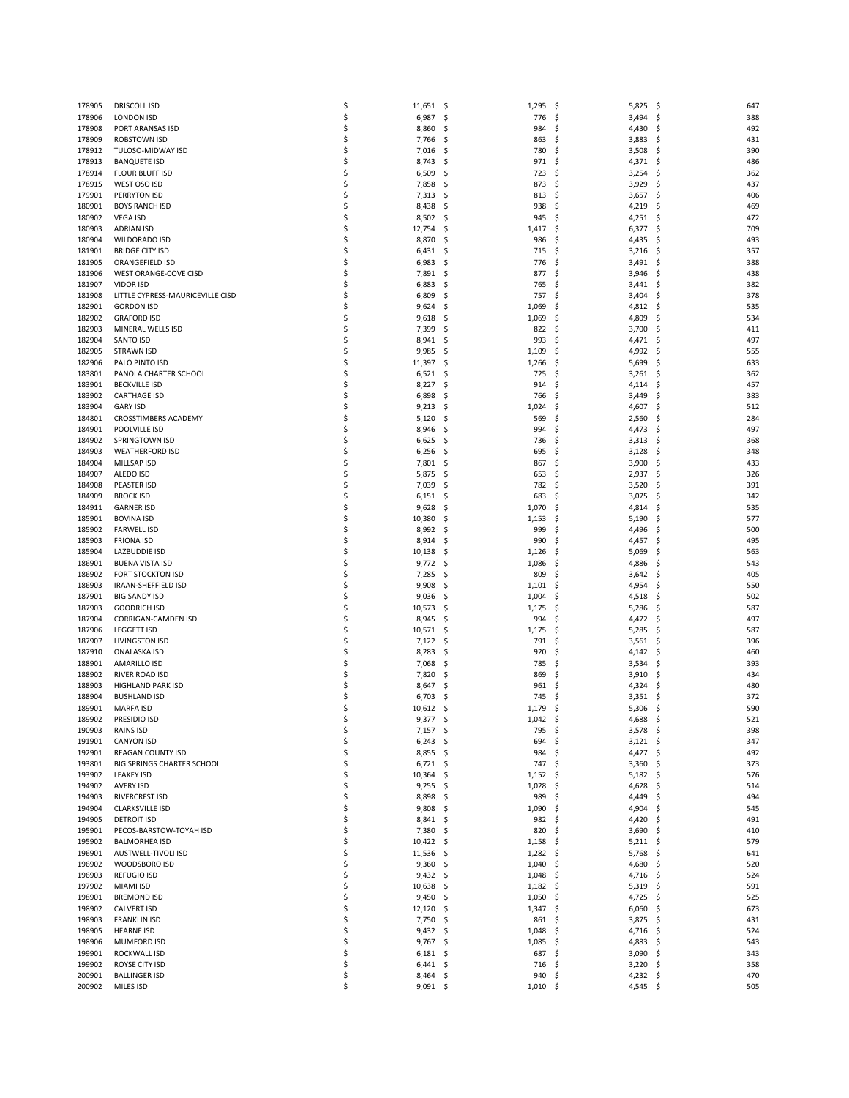| 178905           | <b>DRISCOLL ISD</b>                         | \$       | 11,651                   | - \$         | 1,295             | \$,<br>5,825                           | - \$<br>647            |
|------------------|---------------------------------------------|----------|--------------------------|--------------|-------------------|----------------------------------------|------------------------|
| 178906           | <b>LONDON ISD</b>                           | \$       | 6,987                    | -\$          | 776               | 3,494<br>\$                            | -\$<br>388             |
| 178908           | PORT ARANSAS ISD                            | \$       | 8,860                    | \$           | 984               | Ś<br>4,430                             | \$<br>492              |
| 178909           | <b>ROBSTOWN ISD</b>                         | \$       | 7,766                    | -\$          | 863               | \$<br>3,883                            | 431<br>\$,             |
| 178912           | TULOSO-MIDWAY ISD                           | \$       | 7,016                    | \$           | 780               | \$<br>3,508                            | \$<br>390              |
| 178913           | <b>BANQUETE ISD</b>                         | \$       | 8,743                    | \$           | 971               | Ś<br>4,371                             | \$<br>486              |
| 178914           | <b>FLOUR BLUFF ISD</b>                      | \$       | 6,509                    | -\$          | 723               | \$<br>3,254                            | 362<br>\$,             |
| 178915           | WEST OSO ISD                                | \$<br>\$ | 7,858                    | \$           | 873               | 3,929<br>\$,<br>Ś                      | 437<br>\$              |
| 179901<br>180901 | PERRYTON ISD<br><b>BOYS RANCH ISD</b>       | \$       | 7,313<br>8,438           | \$<br>\$     | 813<br>938        | 3,657<br>4,219<br>Ś                    | \$<br>406<br>469<br>S  |
| 180902           | <b>VEGA ISD</b>                             | \$       | 8,502                    | \$           | 945               | 4,251<br>\$                            | 472<br>-\$             |
| 180903           | <b>ADRIAN ISD</b>                           | \$       | 12,754                   | \$           | 1,417             | Ś<br>6,377                             | Ś<br>709               |
| 180904           | WILDORADO ISD                               | \$       | 8,870                    | \$           | 986               | Ś<br>4,435                             | \$<br>493              |
| 181901           | <b>BRIDGE CITY ISD</b>                      | \$       | 6,431                    | \$           | 715               | Ś<br>3,216                             | Ś<br>357               |
| 181905           | ORANGEFIELD ISD                             | \$       | 6,983                    | \$           | 776               | Ś<br>3,491                             | Ś<br>388               |
| 181906           | WEST ORANGE-COVE CISD                       | \$       | 7,891                    | \$,          | 877               | 3,946<br>\$                            | 438<br>S               |
| 181907           | <b>VIDOR ISD</b>                            | \$       | 6,883                    | \$           | 765               | \$<br>3,441                            | 382<br>S               |
| 181908           | LITTLE CYPRESS-MAURICEVILLE CISD            | \$       | 6,809                    | \$           | 757               | Ś<br>3,404                             | 378<br>S               |
| 182901           | <b>GORDON ISD</b>                           | \$       | 9,624                    | \$           | 1,069             | 4,812<br>Ś                             | 535<br>S               |
| 182902           | <b>GRAFORD ISD</b>                          | \$       | 9,618                    | \$,          | 1,069             | 4,809<br>S                             | 534<br>S               |
| 182903<br>182904 | MINERAL WELLS ISD                           | \$<br>\$ | 7,399<br>8,941           | \$           | 822<br>993        | \$<br>3,700<br>4,471<br>\$             | \$<br>411<br>497<br>\$ |
| 182905           | <b>SANTO ISD</b><br><b>STRAWN ISD</b>       | \$       | 9,985                    | \$<br>\$     | 1,109             | Ś<br>4,992                             | 555<br>S               |
| 182906           | PALO PINTO ISD                              | \$       | 11,397                   | \$           | 1,266             | \$<br>5,699                            | \$<br>633              |
| 183801           | PANOLA CHARTER SCHOOL                       | \$       | 6,521                    | \$           | 725               | \$<br>3,261                            | \$<br>362              |
| 183901           | <b>BECKVILLE ISD</b>                        | \$       | 8,227                    | \$           | 914               | Ś<br>4,114                             | 457<br>S               |
| 183902           | <b>CARTHAGE ISD</b>                         | \$       | 6,898                    | \$           | 766               | \$<br>3,449                            | \$<br>383              |
| 183904           | <b>GARY ISD</b>                             | \$       | 9,213                    | \$,          | 1,024             | Ś<br>4,607                             | 512<br>S               |
| 184801           | CROSSTIMBERS ACADEMY                        | \$       | 5,120                    | \$,          | 569               | Ś<br>2,560                             | Ś<br>284               |
| 184901           | POOLVILLE ISD                               | \$       | 8,946                    | \$           | 994               | \$<br>4,473                            | \$<br>497              |
| 184902           | SPRINGTOWN ISD                              | \$       | 6,625                    | \$           | 736               | Ś<br>3,313                             | 368<br>S               |
| 184903           | <b>WEATHERFORD ISD</b>                      | \$       | 6,256                    | \$           | 695               | \$<br>3,128                            | Ś<br>348               |
| 184904           | MILLSAP ISD                                 | \$       | 7,801                    | \$           | 867               | 3,900<br>\$                            | 433<br>\$,             |
| 184907<br>184908 | ALEDO ISD<br>PEASTER ISD                    | \$<br>\$ | 5,875<br>7,039           | \$<br>\$     | 653<br>782        | \$<br>2,937<br>\$<br>3,520             | \$<br>326<br>\$<br>391 |
| 184909           | <b>BROCK ISD</b>                            | \$       | 6,151                    | \$,          | 683               | 3,075<br>\$                            | \$<br>342              |
| 184911           | <b>GARNER ISD</b>                           | \$       | 9,628                    | \$           | 1,070             | \$<br>4,814                            | Ś<br>535               |
| 185901           | <b>BOVINA ISD</b>                           | \$       | 10,380                   | \$           | 1,153             | Ś<br>5,190                             | \$<br>577              |
| 185902           | <b>FARWELL ISD</b>                          | \$       | 8,992                    | \$           | 999               | Ś<br>4,496                             | 500<br>S               |
| 185903           | <b>FRIONA ISD</b>                           | \$       | 8,914                    | \$           | 990               | \$<br>4,457                            | 495<br>\$,             |
| 185904           | LAZBUDDIE ISD                               | \$       | 10,138                   | \$           | 1,126             | 5,069<br>Ś                             | \$<br>563              |
| 186901           | <b>BUENA VISTA ISD</b>                      | \$       | 9,772                    | \$,          | 1,086             | 4,886<br>S                             | 543<br>S               |
| 186902           | <b>FORT STOCKTON ISD</b>                    | \$       | 7,285                    | \$           | 809               | \$<br>3,642                            | 405<br>S               |
| 186903           | IRAAN-SHEFFIELD ISD                         | \$<br>\$ | 9,908                    | \$           | 1,101             | 4,954<br>\$                            | \$<br>550              |
| 187901<br>187903 | <b>BIG SANDY ISD</b><br><b>GOODRICH ISD</b> | \$       | 9,036<br>10,573          | \$,<br>\$    | 1,004<br>1,175    | 4,518<br>S<br>\$<br>5,286              | 502<br>S<br>587<br>S   |
| 187904           | CORRIGAN-CAMDEN ISD                         | \$       | 8,945                    | \$           | 994               | Ś<br>4,472                             | \$<br>497              |
| 187906           | <b>LEGGETT ISD</b>                          | \$       | 10,571                   | \$           | 1,175             | Ś<br>5,285                             | 587<br>S               |
| 187907           | LIVINGSTON ISD                              | \$       | 7,122                    | \$           | 791               | \$<br>3,561                            | 396<br>\$,             |
| 187910           | ONALASKA ISD                                | \$       | 8,283                    | \$           | 920               | Ś<br>4,142                             | Ś<br>460               |
| 188901           | AMARILLO ISD                                | \$       | 7,068                    | \$,          | 785               | 3,534<br>S                             | 393<br>S               |
| 188902           | RIVER ROAD ISD                              | \$       | 7,820                    | \$,          | 869               | 3,910<br>\$                            | 434<br>\$,             |
| 188903           | <b>HIGHLAND PARK ISD</b>                    | \$       | 8,647                    | S            | 961               | Ś<br>4,324                             | 480<br>S               |
| 188904           | <b>BUSHLAND ISD</b>                         | \$       | 6,703                    | S            | 745               | 3,351<br>S                             | 372<br>S               |
| 189901           | <b>MARFA ISD</b>                            | \$       | 10,612                   | \$           | 1,179             | \$<br>5,306                            | 590<br>-\$             |
| 189902           | PRESIDIO ISD                                |          | 9,377                    | S            | 1,042             | \$<br>4,688                            | 521<br>S               |
| 190903<br>191901 | RAINS ISD<br><b>CANYON ISD</b>              | \$<br>\$ | $7,157$ \$<br>$6,243$ \$ |              | 795<br>694        | -\$<br>$3,578$ \$<br>-\$<br>$3,121$ \$ | 398<br>347             |
| 192901           | REAGAN COUNTY ISD                           | \$       | 8,855                    | - \$         | 984               | \$<br>$4,427$ \$                       | 492                    |
| 193801           | BIG SPRINGS CHARTER SCHOOL                  | \$       | $6,721$ \$               |              | 747               | -\$<br>$3,360$ \$                      | 373                    |
| 193902           | <b>LEAKEY ISD</b>                           | \$       | $10,364$ \$              |              | 1,152             | -\$<br>$5,182$ \$                      | 576                    |
| 194902           | <b>AVERY ISD</b>                            | \$       | 9,255                    | - \$         | 1,028             | \$<br>4,628 \$                         | 514                    |
| 194903           | RIVERCREST ISD                              | \$       | 8,898                    | - \$         | 989               | \$<br>$4,449$ \$                       | 494                    |
| 194904           | <b>CLARKSVILLE ISD</b>                      | \$       | $9,808$ \$               |              | 1,090             | 4,904<br>S                             | 545<br>-\$             |
| 194905           | <b>DETROIT ISD</b>                          | \$       | $8,841$ \$               |              | 982               | \$<br>$4,420$ \$                       | 491                    |
| 195901           | PECOS-BARSTOW-TOYAH ISD                     | \$       | 7,380                    | - \$         | 820               | \$<br>$3,690$ \$                       | 410                    |
| 195902           | <b>BALMORHEA ISD</b>                        | \$       | $10,422$ \$              |              | 1,158             | $5,211$ \$<br>-\$                      | 579                    |
| 196901<br>196902 | AUSTWELL-TIVOLI ISD<br>WOODSBORO ISD        | \$<br>\$ | 11,536<br>9,360          | - \$<br>- \$ | 1,282<br>1,040    | \$<br>5,768<br>4,680<br>\$             | \$<br>641<br>520<br>\$ |
| 196903           | <b>REFUGIO ISD</b>                          | \$       | $9,432$ \$               |              | $1,048$ \$        | 4,716 \$                               | 524                    |
| 197902           | <b>MIAMI ISD</b>                            | \$       | 10,638                   | \$           | 1,182             | $5,319$ \$<br>-\$                      | 591                    |
| 198901           | <b>BREMOND ISD</b>                          | \$       | 9,450                    | - \$         | 1,050             | 4,725<br>-\$                           | 525<br>\$.             |
| 198902           | CALVERT ISD                                 | \$       | $12,120$ \$              |              | $1,347$ \$        | $6,060$ \$                             | 673                    |
| 198903           | <b>FRANKLIN ISD</b>                         | \$       | 7,750                    | -\$          | 861               | 3,875<br>\$,                           | 431<br>- \$            |
| 198905           | <b>HEARNE ISD</b>                           | \$       | 9,432                    | -\$          | 1,048             | $4,716$ \$<br>\$,                      | 524                    |
| 198906           | <b>MUMFORD ISD</b>                          | \$       | $9,767$ \$               |              | 1,085             | 4,883 \$<br>-\$                        | 543                    |
| 199901           | ROCKWALL ISD                                | \$       | 6,181                    | - \$         | 687               | $3,090$ \$<br>\$                       | 343                    |
| 199902           | ROYSE CITY ISD                              | \$       | $6,441$ \$               |              | 716               | $3,220$ \$<br>- \$                     | 358                    |
| 200901<br>200902 | <b>BALLINGER ISD</b><br>MILES ISD           | \$<br>\$ | $8,464$ \$<br>$9,091$ \$ |              | 940<br>$1,010$ \$ | \$<br>4,232 \$<br>4,545 \$             | 470<br>505             |
|                  |                                             |          |                          |              |                   |                                        |                        |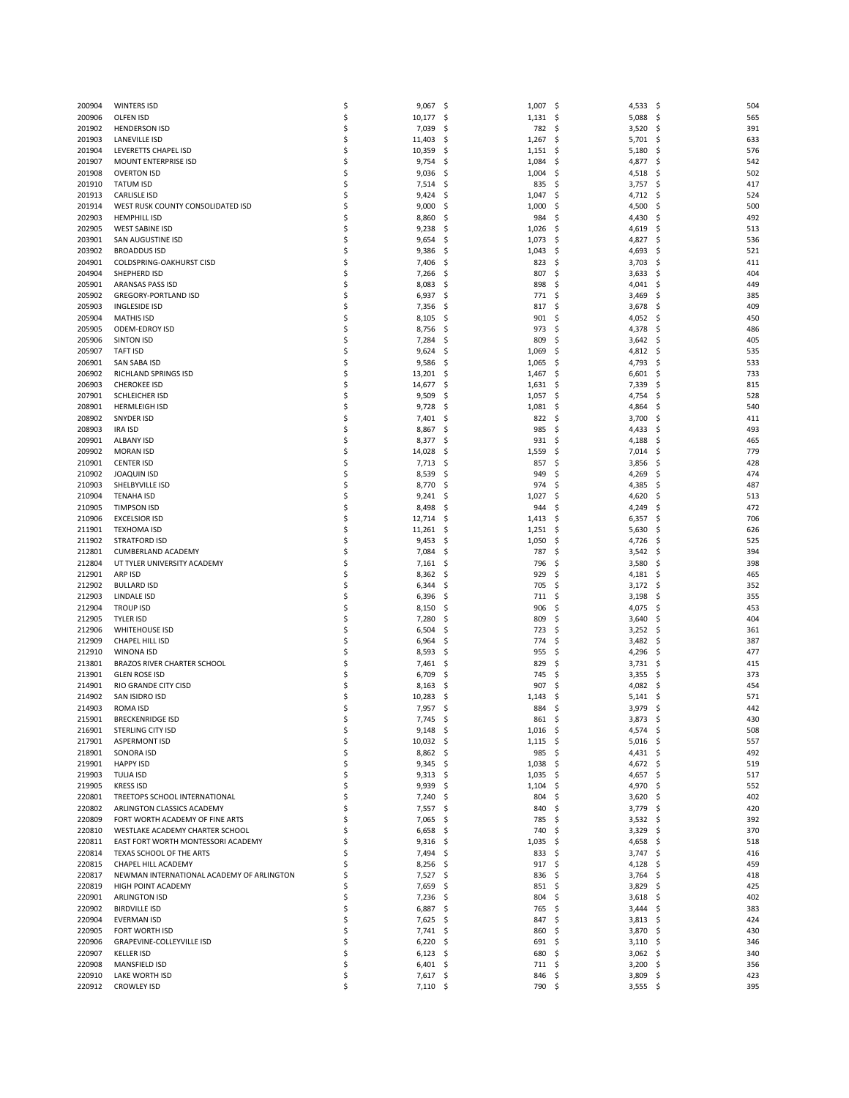| 200904           | <b>WINTERS ISD</b>                                                    | \$       | 9,067<br>\$                 | 1,007        | -\$<br>4,533              | - \$<br>504             |
|------------------|-----------------------------------------------------------------------|----------|-----------------------------|--------------|---------------------------|-------------------------|
| 200906           | <b>OLFEN ISD</b>                                                      | \$       | 10,177<br>Ś                 | 1,131        | 5,088<br>-\$              | 565<br>\$               |
| 201902           | <b>HENDERSON ISD</b>                                                  | \$       | 7,039<br>Ś                  | 782          | 3,520<br>Ś                | Ś<br>39                 |
| 201903           | <b>LANEVILLE ISD</b>                                                  | \$       | 11,403<br>\$                | 1,267        | 5,701<br>S                | \$<br>633               |
| 201904           | LEVERETTS CHAPEL ISD                                                  | \$       | 10,359<br>S                 | 1,151        | 5,180<br>S                | 576<br>\$,              |
| 201907           | MOUNT ENTERPRISE ISD                                                  | \$       | 9,754<br>Ś                  | 1,084        | 4,877<br>S                | 542<br>S                |
| 201908           | <b>OVERTON ISD</b>                                                    | \$       | 9,036<br>\$                 | 1,004        | 4,518<br>S                | 502<br>S                |
| 201910           | <b>TATUM ISD</b>                                                      | \$       | 7,514<br>\$                 | 835          | 3,757<br>S                | \$<br>41                |
| 201913           | <b>CARLISLE ISD</b>                                                   | \$       | 9,424<br>S                  | 1,047        | 4,712<br>S                | 524<br>S                |
| 201914           | WEST RUSK COUNTY CONSOLIDATED ISD                                     | \$       | 9,000<br>\$                 | 1,000        | 4,500<br>S                | \$<br>500               |
| 202903           | <b>HEMPHILL ISD</b>                                                   | \$       | 8,860<br>\$,                | 984          | Ś<br>4,430                | 492<br>S                |
| 202905           | <b>WEST SABINE ISD</b>                                                | \$       | 9,238<br>S                  | 1,026        | Ś<br>4,619                | 513<br>S                |
| 203901           | SAN AUGUSTINE ISD                                                     | \$       | 9,654<br>\$                 | 1,073        | 4,827<br>\$,              | 536<br>\$,              |
| 203902           | <b>BROADDUS ISD</b>                                                   | \$       | 9,386<br>Ś                  | 1,043        | 4,693<br>S                | 52<br>S                 |
| 204901           | COLDSPRING-OAKHURST CISD                                              | \$       | 7,406<br>S                  | 823          | Ś<br>3,703                | 41<br>S                 |
| 204904           | SHEPHERD ISD                                                          | \$       | 7,266<br>\$                 | 807          | \$<br>3,633               | 404<br>\$,              |
| 205901           | ARANSAS PASS ISD                                                      | \$       | 8,083<br>Ś                  | 898          | 4,041<br>S                | 449<br>S                |
| 205902           | <b>GREGORY-PORTLAND ISD</b>                                           | \$       | 6,937<br>S                  | 771          | 3,469<br>S                | 385<br>S                |
| 205903           | <b>INGLESIDE ISD</b>                                                  | \$       | 7,356<br>S                  | 817          | \$<br>3,678               | 409<br>S                |
| 205904           | <b>MATHIS ISD</b>                                                     | \$       | 8,105<br>S                  | 901          | \$<br>4,052               | 450<br>S                |
| 205905           | <b>ODEM-EDROY ISD</b>                                                 | \$       | 8,756<br>Ś                  | 973          | Ś<br>4,378                | 486<br>S                |
| 205906           | <b>SINTON ISD</b>                                                     | \$       | 7,284<br>\$                 | 809          | 3,642<br>S                | 40<br>\$,               |
| 205907           | <b>TAFT ISD</b>                                                       | \$       | 9,624<br>S                  | 1,069        | Ś<br>4,812                | 535<br>S                |
| 206901           | SAN SABA ISD                                                          | \$       | 9,586<br>S                  | 1,065        | Ś<br>4,793                | 533<br>S                |
| 206902           | RICHLAND SPRINGS ISD                                                  | \$       | 13,201<br>S                 | 1,467        | 6,601<br>\$,              | 733<br>\$,              |
| 206903           | <b>CHEROKEE ISD</b>                                                   | \$       | 14,677<br>Ś                 | 1,631        | 7,339<br>S                | 81<br>S                 |
| 207901           | SCHLEICHER ISD                                                        | \$       | 9,509<br>Ś                  | 1,057        | 4,754<br>S                | 528<br>S                |
| 208901           | <b>HERMLEIGH ISD</b>                                                  | \$       | 9,728<br>S                  | 1,081        | 4,864<br>S                | 540<br>S                |
| 208902           | <b>SNYDER ISD</b>                                                     | \$       | 7,401<br>S                  | 822          | 3,700<br>S                | 41<br>S                 |
| 208903           | IRA ISD                                                               | \$       | 8,867<br>\$                 | 985          | Ś<br>4,433                | \$<br>493               |
| 209901           | ALBANY ISD                                                            | \$       | 8,377<br>S                  | 931          | 4,188<br>S                | 46<br>S                 |
| 209902           | <b>MORAN ISD</b>                                                      | \$       | 14,028<br>Ś                 | 1,559        | 7,014<br>S                | 779<br>S                |
| 210901           | <b>CENTER ISD</b>                                                     | \$       | 7,713<br>\$                 | 857          | Ś<br>3,856                | Ś<br>428                |
| 210902           | <b>JOAQUIN ISD</b>                                                    | \$<br>\$ | 8,539<br>Ś<br>Ś             | 949<br>974   | 4,269<br>S<br>Ś           | 474<br>S<br>S           |
| 210903<br>210904 | SHELBYVILLE ISD<br><b>TENAHA ISD</b>                                  | \$       | 8,770<br>9,241<br>S         | 1,027        | 4,385<br>Ś<br>4,620       | 487<br>513<br>Ś         |
| 210905           | <b>TIMPSON ISD</b>                                                    | \$       | 8,498<br>S                  | 944          | 4,249<br>S                | 472<br>S                |
| 210906           | <b>EXCELSIOR ISD</b>                                                  | \$       | 12,714<br>\$                | 1,413        | 6,357<br>S                | 70<br>S                 |
| 211901           | TEXHOMA ISD                                                           | \$       | 11,261<br>Ś                 | 1,251        | Ś<br>5,630                | \$<br>626               |
| 211902           | <b>STRATFORD ISD</b>                                                  | \$       | 9,453<br>S                  | 1,050        | 4,726<br>S                | 525<br>S                |
| 212801           | CUMBERLAND ACADEMY                                                    | \$       | 7,084<br>\$                 | 787          | \$<br>3,542               | 394<br>S                |
| 212804           | UT TYLER UNIVERSITY ACADEMY                                           | \$       | 7,161<br>\$                 | 796          | 3,580<br>S                | 398<br>S                |
| 212901           | ARP ISD                                                               | \$       | 8,362<br>\$,                | 929          | 4,181<br>S                | 46<br>\$,               |
| 212902           | <b>BULLARD ISD</b>                                                    | \$       | 6,344<br>\$                 | 705          | \$<br>3,172               | \$<br>352               |
| 212903           | LINDALE ISD                                                           | \$       | 6,396<br>\$                 | 711          | 3,198<br>S                | 355<br>S                |
| 212904           | <b>TROUP ISD</b>                                                      | \$       | 8,150<br>S                  | 906          | 4,075<br>S                | 453<br>S                |
| 212905           | <b>TYLER ISD</b>                                                      | \$       | 7,280<br>\$                 | 809          | \$<br>3,640               | \$<br>404               |
| 212906           | <b>WHITEHOUSE ISD</b>                                                 | \$       | 6,504<br>Ś                  | 723          | Ś<br>3,252                | \$<br>36 <sub>2</sub>   |
| 212909           | CHAPEL HILL ISD                                                       | \$       | 6,964<br>\$                 | 774          | 3,482<br>Ś                | 387<br>S                |
| 212910           | WINONA ISD                                                            | \$       | 8,593<br>S                  | 955          | Ś<br>4,296                | 47<br>S                 |
| 213801           | <b>BRAZOS RIVER CHARTER SCHOOL</b>                                    | \$       | 7,461<br>\$,                | 829          | 3,731<br>S                | 41<br>S                 |
| 213901           | <b>GLEN ROSE ISD</b>                                                  | \$       | 6,709<br>S                  | 745          | 3,355<br>S                | 373<br>S                |
| 214901           | RIO GRANDE CITY CISD                                                  | \$       | 8,163<br>S                  | 907          | 4,082<br>S                | S<br>454                |
| 214902           | SAN ISIDRO ISD                                                        | \$       | 10,283<br>Ś                 | 1,143        | 5,141<br>S                | \$<br>57                |
| 214903           | ROMA ISD                                                              | \$       | 7,957<br>Ś                  | 884          | 3,979<br>\$               | \$<br>442               |
| 215901           | <b>BRECKENRIDGE ISD</b>                                               |          | 7,745<br>Ś                  | 861          | Ś<br>3,873                | Ŝ.<br>430               |
| 216901           | STERLING CITY ISD                                                     | \$       | 9,148<br>- \$               | $1,016$ \$   | 4,574 \$                  | 508                     |
| 217901           | <b>ASPERMONT ISD</b>                                                  | \$       | 10,032 \$                   | 1,115        | $5,016$ \$<br>-\$         | 557                     |
| 218901           | SONORA ISD                                                            | \$       | 8,862<br>-\$                | 985          | \$<br>4,431               | \$<br>492               |
| 219901           | <b>HAPPY ISD</b>                                                      | \$       | 9,345<br>\$,                | 1,038        | \$<br>4,672               | 519<br>\$               |
| 219903           | TULIA ISD                                                             | \$       | 9,313<br>-\$                | 1,035        | 4,657<br>S                | 517<br>\$.              |
| 219905           | <b>KRESS ISD</b>                                                      | \$       | 9,939<br>-\$                | 1,104        | 4,970<br>\$,              | \$<br>552               |
| 220801           | TREETOPS SCHOOL INTERNATIONAL                                         | \$       | 7,240<br>-\$                | 804          | 3,620<br>\$,              | 402<br>\$               |
| 220802           | ARLINGTON CLASSICS ACADEMY                                            | \$       | 7,557<br>-\$                | 840          | 3,779<br>S                | 420<br>\$.              |
| 220809           | FORT WORTH ACADEMY OF FINE ARTS                                       | \$<br>\$ | 7,065<br>-\$                | 785          | 3,532<br>S<br>3,329       | 392<br>\$.<br>370       |
| 220810<br>220811 | WESTLAKE ACADEMY CHARTER SCHOOL<br>EAST FORT WORTH MONTESSORI ACADEMY | \$       | 6,658<br>\$                 | 740          | \$                        | \$                      |
| 220814           | TEXAS SCHOOL OF THE ARTS                                              | \$       | 9,316<br>-\$<br>7,494<br>\$ | 1,035<br>833 | 4,658<br>S<br>\$<br>3,747 | 518<br>\$.<br>\$<br>416 |
| 220815           | CHAPEL HILL ACADEMY                                                   | \$       | 8,256<br>-\$                | 917          | \$<br>4,128               | 459<br>\$               |
| 220817           | NEWMAN INTERNATIONAL ACADEMY OF ARLINGTON                             | \$       | 7,527<br>-\$                | 836          | \$<br>3,764               | 418<br>S                |
| 220819           | HIGH POINT ACADEMY                                                    | \$       | 7,659<br>\$                 | 851          | \$<br>3,829               | \$<br>42                |
| 220901           | <b>ARLINGTON ISD</b>                                                  | \$       | 7,236<br>-\$                | 804          | 3,618<br>S                | 402<br>\$,              |
| 220902           | <b>BIRDVILLE ISD</b>                                                  | \$       | 6,887<br>\$,                | 765          | \$<br>3,444               | 383<br>S                |
| 220904           | <b>EVERMAN ISD</b>                                                    | \$       | 7,625<br>\$                 | 847          | \$<br>3,813               | \$<br>42 <sub>4</sub>   |
| 220905           | FORT WORTH ISD                                                        | \$       | 7,741<br>-\$                | 860          | 3,870<br>S                | 430<br>\$,              |
| 220906           | <b>GRAPEVINE-COLLEYVILLE ISD</b>                                      | \$       | 6,220<br>-\$                | 691          | 3,110<br>S                | 346<br>\$.              |
| 220907           | <b>KELLER ISD</b>                                                     | \$       | 6,123<br>\$                 | 680          | 3,062<br>\$               | \$<br>340               |
| 220908           | MANSFIELD ISD                                                         | \$       | $6,401$ \$                  | 711          | 3,200<br>S                | 356<br>\$,              |
| 220910           | LAKE WORTH ISD                                                        | \$       | $7,617$ \$                  | 846          | -\$<br>3,809              | \$<br>423               |
| 220912           | <b>CROWLEY ISD</b>                                                    | \$       | 7,110 \$                    | 790 \$       | $3,555$ \$                | 395                     |
|                  |                                                                       |          |                             |              |                           |                         |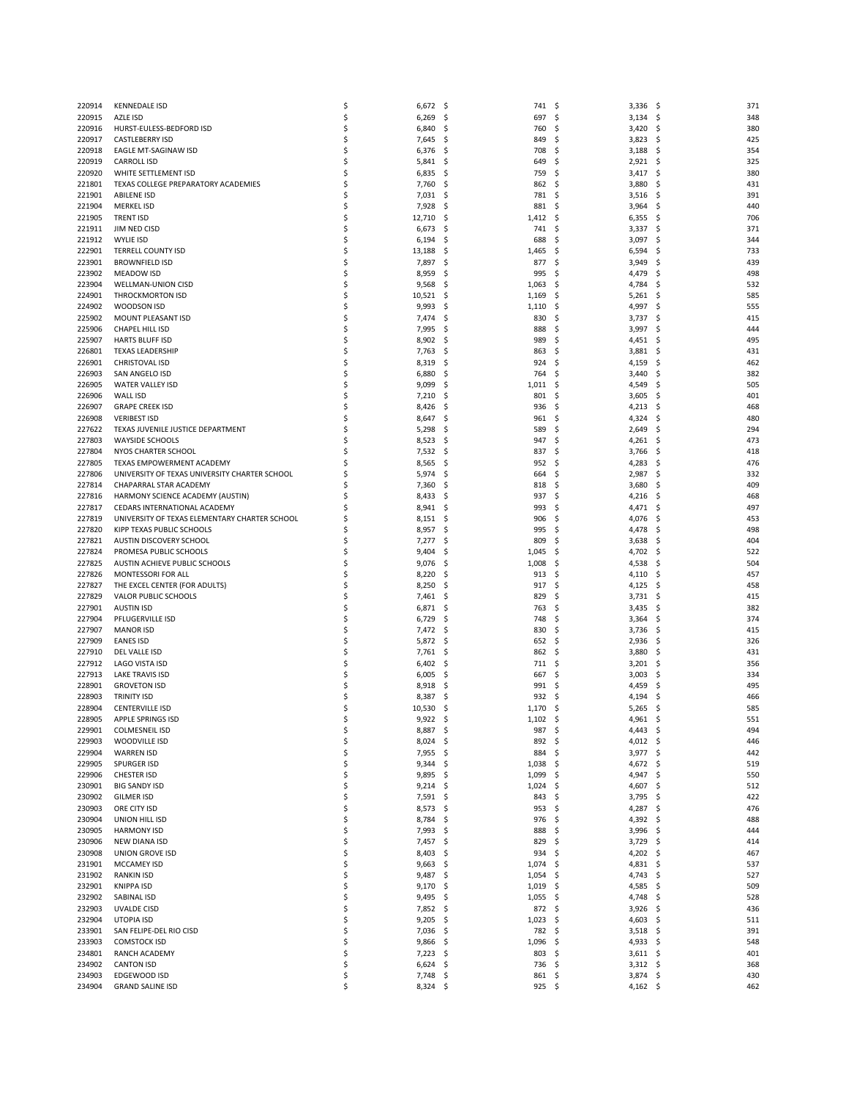| 220914           | <b>KENNEDALE ISD</b>                          | \$       | 6,672                  | - \$ | 741             | -\$<br>3,336                    | - \$<br>371 |
|------------------|-----------------------------------------------|----------|------------------------|------|-----------------|---------------------------------|-------------|
| 220915           | AZLE ISD                                      | \$       | 6,269                  | \$   | 697             | -\$<br>3,134                    | - \$<br>348 |
| 220916           | HURST-EULESS-BEDFORD ISD                      | \$       | 6,840                  | \$   | 760             | Ś<br>3,420                      | Ś<br>380    |
| 220917           | <b>CASTLEBERRY ISD</b>                        | \$       | 7,645                  | -\$  | 849             | 3,823<br>S                      | 425<br>S    |
| 220918           | EAGLE MT-SAGINAW ISD                          | \$       | 6,376                  | \$   | 708             | -\$<br>3,188                    | \$<br>354   |
| 220919           | <b>CARROLL ISD</b>                            | Ś        |                        |      |                 | Ś                               | \$<br>325   |
|                  | WHITE SETTLEMENT ISD                          |          | 5,841                  | \$,  | 649             | 2,921                           |             |
| 220920           |                                               | \$       | 6,835                  | -\$  | 759             | 3,417<br>S                      | 380<br>-\$  |
| 221801           | TEXAS COLLEGE PREPARATORY ACADEMIES           | \$       | 7,760                  | \$   | 862             | 3,880<br>S.                     | \$<br>431   |
| 221901           | <b>ABILENE ISD</b>                            | \$       | 7,031                  | \$   | 781             | Ś<br>3,516                      | Ś<br>391    |
| 221904           | <b>MERKEL ISD</b>                             | \$       | 7,928                  | \$   | 881             | 3,964<br>\$                     | 440<br>S    |
| 221905           | <b>TRENT ISD</b>                              | \$       | 12,710                 | \$   | 1,412           | \$<br>6,355                     | \$,<br>706  |
| 221911           | JIM NED CISD                                  | \$       | 6,673                  | \$   | 741             | Ś<br>3,337                      | Ś<br>371    |
| 221912           | <b>WYLIE ISD</b>                              | \$       | 6,194                  | -\$  | 688             | 3,097<br>S                      | \$<br>344   |
| 222901           | <b>TERRELL COUNTY ISD</b>                     | \$       | 13,188                 | S    | 1,465           | Ś<br>6,594                      | 733<br>S    |
| 223901           | <b>BROWNFIELD ISD</b>                         | \$       | 7,897                  | \$   | 877             | Ś<br>3,949                      | 439<br>S    |
| 223902           | <b>MEADOW ISD</b>                             | \$       | 8,959                  | S    | 995             | \$<br>4,479                     | 498<br>S    |
| 223904           | WELLMAN-UNION CISD                            | \$       | 9,568                  | S    | 1,063           | Ś<br>4,784                      | 532<br>S    |
| 224901           | THROCKMORTON ISD                              | \$       | 10,521                 | \$,  | 1,169           | \$<br>5,261                     | 585<br>S    |
| 224902           | WOODSON ISD                                   | \$       | 9,993                  | \$   | 1,110           | 4,997<br>\$                     | \$<br>555   |
| 225902           | MOUNT PLEASANT ISD                            | \$       | 7,474                  | \$,  | 830             | Ś<br>3,737                      | 415<br>S    |
| 225906           | CHAPEL HILL ISD                               | \$       | 7,995                  | \$   | 888             | \$<br>3,997                     | Ś<br>444    |
| 225907           | <b>HARTS BLUFF ISD</b>                        | \$       | 8,902                  | \$   | 989             | \$<br>4,451                     | 495<br>S    |
| 226801           | <b>TEXAS LEADERSHIP</b>                       | \$       | 7,763                  | \$   | 863             | \$<br>3,881                     | 431<br>S    |
|                  |                                               |          |                        |      |                 |                                 |             |
| 226901           | <b>CHRISTOVAL ISD</b>                         | \$       | 8,319                  | \$   | 924             | \$<br>4,159                     | 462<br>S    |
| 226903           | SAN ANGELO ISD                                | \$       | 6,880                  | -\$  | 764             | \$<br>3,440                     | 382<br>S    |
| 226905           | <b>WATER VALLEY ISD</b>                       | \$       | 9,099                  | \$   | 1,011           | \$<br>4,549                     | 505<br>S    |
| 226906           | <b>WALL ISD</b>                               | \$       | 7,210                  | \$,  | 801             | \$<br>3,605                     | 401<br>S    |
| 226907           | <b>GRAPE CREEK ISD</b>                        | \$       | 8,426                  | S    | 936             | \$<br>4,213                     | 468         |
| 226908           | <b>VERIBEST ISD</b>                           | Ś        | 8,647                  | .s   | 961             | \$<br>4,324                     | 480<br>S    |
| 227622           | TEXAS JUVENILE JUSTICE DEPARTMENT             | \$       | 5,298                  | \$   | 589             | \$<br>2,649                     | \$<br>294   |
| 227803           | <b>WAYSIDE SCHOOLS</b>                        | \$       | 8,523                  | \$,  | 947             | \$<br>4,261                     | 473<br>S    |
| 227804           | NYOS CHARTER SCHOOL                           | Ś        | 7,532                  | \$   | 837             | \$<br>3,766                     | Ś<br>418    |
| 227805           | TEXAS EMPOWERMENT ACADEMY                     | \$       | 8,565                  | \$   | 952             | 4,283<br>\$,                    | 476<br>S    |
| 227806           | UNIVERSITY OF TEXAS UNIVERSITY CHARTER SCHOOL | \$       | 5,974                  | \$   | 664             | \$<br>2,987                     | 332<br>S    |
| 227814           | CHAPARRAL STAR ACADEMY                        | Ś        | 7,360                  | \$   | 818             | \$<br>3,680                     | Ś<br>409    |
| 227816           | HARMONY SCIENCE ACADEMY (AUSTIN)              | \$       | 8,433                  | -\$  | 937             | \$<br>4,216                     | 468<br>S    |
| 227817           | CEDARS INTERNATIONAL ACADEMY                  | Ś        | 8,941                  | \$   | 993             | \$<br>4,471                     | 497<br>S    |
| 227819           | UNIVERSITY OF TEXAS ELEMENTARY CHARTER SCHOOL | \$       | 8,151                  | S    | 906             | Ś<br>4,076                      | Ś<br>453    |
| 227820           | KIPP TEXAS PUBLIC SCHOOLS                     | Ś        | 8,957                  | \$   | 995             | Ś<br>4,478                      | 498<br>S    |
|                  | AUSTIN DISCOVERY SCHOOL                       | \$       |                        |      | 809             | \$                              | 404         |
| 227821           |                                               |          | 7,277                  | \$   |                 | 3,638                           | S           |
| 227824           | PROMESA PUBLIC SCHOOLS                        | \$       | 9,404                  | \$   | 1,045           | 4,702<br>Ś                      | Ś<br>522    |
| 227825           | AUSTIN ACHIEVE PUBLIC SCHOOLS                 | \$       | 9,076                  | \$,  | 1,008           | 4,538<br>S                      | 504         |
| 227826           | MONTESSORI FOR ALL                            | \$       | 8,220                  | \$   | 913             | \$<br>4,110                     | 457<br>S    |
| 227827           | THE EXCEL CENTER (FOR ADULTS)                 | \$       | 8,250                  | \$   | 917             | Ś<br>4,125                      | Ś<br>458    |
| 227829           | VALOR PUBLIC SCHOOLS                          | \$       | 7,461                  | \$,  | 829             | 3,731<br>S                      | 415<br>S    |
| 227901           | <b>AUSTIN ISD</b>                             | \$       | 6,871                  | \$   | 763             | -\$<br>3,435                    | 382<br>S    |
| 227904           | PFLUGERVILLE ISD                              | \$       | 6,729                  | \$   | 748             | Ś<br>3,364                      | Ś<br>374    |
| 227907           | <b>MANOR ISD</b>                              | Ś        | 7,472                  | \$,  | 830             | 3,736<br>S                      | 415<br>S    |
| 227909           | <b>EANES ISD</b>                              | \$       | 5,872                  | \$,  | 652             | \$<br>2,936                     | 326<br>S    |
| 227910           | DEL VALLE ISD                                 | \$       | 7,761                  | S    | 862             | Ś<br>3,880                      | 431         |
| 227912           | <b>LAGO VISTA ISD</b>                         | \$       | 6,402                  | \$,  | 711             | 3,201<br>S                      | 356<br>S    |
| 227913           | <b>LAKE TRAVIS ISD</b>                        | \$       | 6,005                  | -\$  | 667             | \$<br>3,003                     | 334<br>S    |
| 228901           | <b>GROVETON ISD</b>                           | \$       | 8,918                  | S    | 991             | Ś<br>4,459                      | 495         |
| 228903           | <b>TRINITY ISD</b>                            | \$       | 8,387                  | S    | 932             | \$<br>4,194                     | 466         |
| 228904           | <b>CENTERVILLE ISD</b>                        | \$       | 10,530                 | \$   | 1,170           | \$<br>5,265                     | 585<br>-\$  |
| 228905           | <b>APPLE SPRINGS ISD</b>                      |          | 9,922                  | S    | $1,102$ \$      | 4,961                           | 551<br>S    |
|                  |                                               |          |                        |      |                 |                                 |             |
| 229901           | <b>COLMESNEIL ISD</b>                         | \$       | 8,887                  | - \$ | 987             | \$<br>$4,443$ \$                | 494         |
| 229903           | WOODVILLE ISD                                 | \$       | $8,024$ \$             |      | 892 \$          | 4,012 \$                        | 446         |
| 229904           | <b>WARREN ISD</b>                             | \$       | 7,955                  | - \$ | 884             | \$<br>$3,977$ \$                | 442         |
| 229905           | SPURGER ISD                                   | \$       | $9,344$ \$             |      | 1,038           | -\$<br>4,672 \$                 | 519         |
| 229906           | <b>CHESTER ISD</b>                            | \$       | 9,895                  | - \$ | 1,099           | \$<br>4,947 \$                  | 550         |
| 230901           | <b>BIG SANDY ISD</b>                          | \$       | 9,214                  | - \$ | 1,024           | \$<br>4,607 \$                  | 512         |
| 230902           | <b>GILMER ISD</b>                             | \$       | 7,591 \$               |      | 843             | 3,795 \$<br>\$                  | 422         |
| 230903           | ORE CITY ISD                                  | \$       | 8,573                  | - \$ | 953             | \$<br>4,287                     | 476<br>-\$  |
| 230904           | UNION HILL ISD                                | \$       | 8,784                  | -\$  | 976             | \$<br>4,392                     | - \$<br>488 |
| 230905           | <b>HARMONY ISD</b>                            | \$       | 7,993                  | - \$ | 888             | $3,996$ \$<br>\$                | 444         |
| 230906           | <b>NEW DIANA ISD</b>                          | \$       | 7,457 \$               |      | 829             | \$<br>3,729                     | -\$<br>414  |
| 230908           | UNION GROVE ISD                               | \$       | 8,403                  | \$   | 934             | \$<br>4,202                     | - \$<br>467 |
| 231901           | <b>MCCAMEY ISD</b>                            | \$       | 9,663                  | \$   | 1,074           | 4,831 \$<br>\$                  | 537         |
| 231902           | <b>RANKIN ISD</b>                             | \$       | $9,487$ \$             |      | 1,054           | -\$<br>4,743 \$                 | 527         |
| 232901           | <b>KNIPPA ISD</b>                             | \$       | 9,170                  | \$   | 1,019           | \$<br>4,585                     | \$<br>509   |
|                  |                                               |          |                        |      |                 |                                 |             |
| 232902           | SABINAL ISD                                   | \$       | 9,495                  | \$,  | 1,055           | \$<br>4,748                     | 528<br>\$   |
| 232903           | <b>UVALDE CISD</b>                            | \$       | 7,852 \$               |      | 872 \$          | $3,926$ \$                      | 436         |
| 232904           | UTOPIA ISD                                    | \$       | 9,205                  | \$   | 1,023           | 4,603<br>\$                     | 511<br>\$   |
| 233901           | SAN FELIPE-DEL RIO CISD                       | \$       | 7,036                  | \$.  | 782             | \$<br>3,518                     | 391<br>\$.  |
| 233903           | <b>COMSTOCK ISD</b>                           | \$       | 9,866                  | - \$ | 1,096           | \$<br>4,933 \$                  | 548         |
| 234801           |                                               |          |                        |      |                 |                                 |             |
|                  | RANCH ACADEMY                                 | \$       | 7,223                  | - \$ | 803             | \$<br>$3,611$ \$                | 401         |
| 234902           | <b>CANTON ISD</b>                             | \$       | $6,624$ \$             |      | 736             | \$<br>$3,312$ \$                | 368         |
| 234903<br>234904 | EDGEWOOD ISD<br><b>GRAND SALINE ISD</b>       | \$<br>\$ | 7,748 \$<br>$8,324$ \$ |      | 861<br>$925$ \$ | -\$<br>$3,874$ \$<br>$4,162$ \$ | 430<br>462  |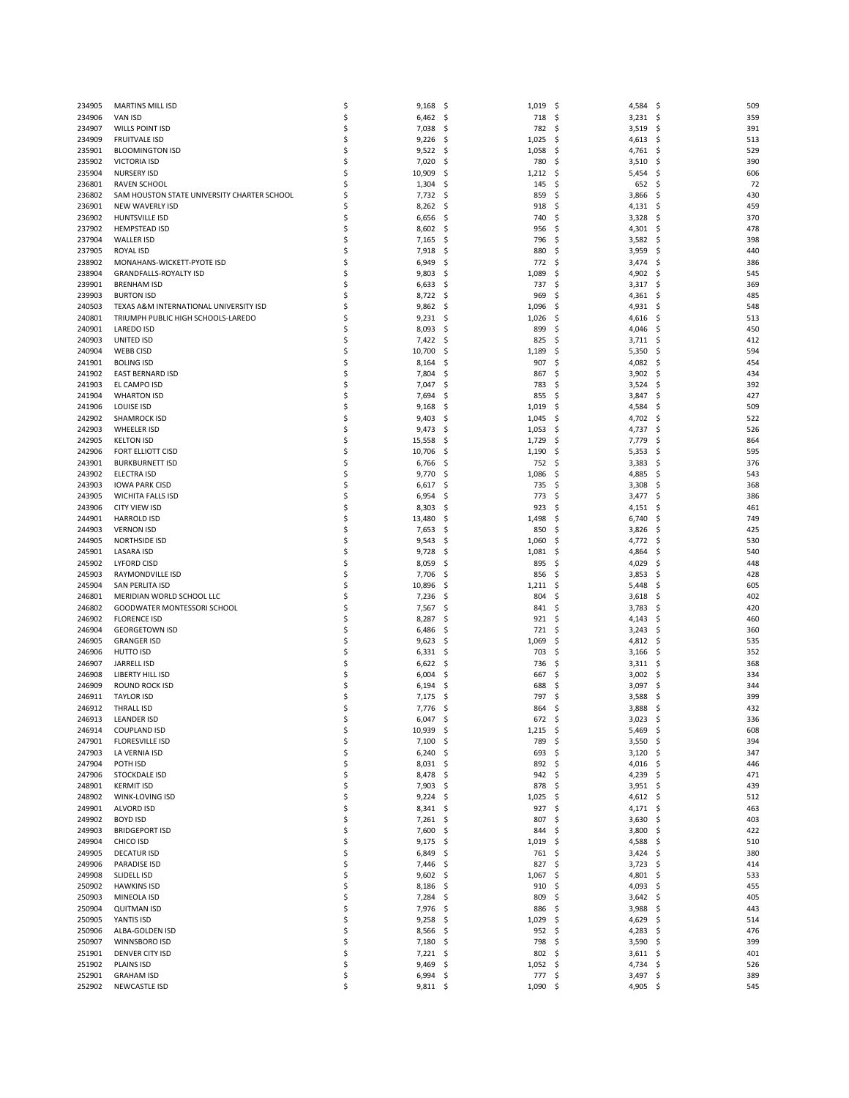| 234905           | <b>MARTINS MILL ISD</b>                     | \$ | 9,168      | - \$ | 1,019    | -\$<br>4,584       | - \$<br>509     |
|------------------|---------------------------------------------|----|------------|------|----------|--------------------|-----------------|
| 234906           | <b>VAN ISD</b>                              | \$ | 6,462      | - \$ | 718      | -\$<br>$3,231$ \$  | 35 <sub>9</sub> |
| 234907           | WILLS POINT ISD                             | \$ | 7,038      | \$   | 782      | Ś<br>3,519         | Ś<br>391        |
| 234909           | <b>FRUITVALE ISD</b>                        | \$ | 9,226      | -\$  | 1,025    | 4,613<br>S         | 513<br>\$.      |
| 235901           | <b>BLOOMINGTON ISD</b>                      | \$ | 9,522      | \$   | 1,058    | \$<br>4,761        | \$<br>529       |
|                  | <b>VICTORIA ISD</b>                         | \$ |            |      |          | Ś                  | \$<br>390       |
| 235902<br>235904 | <b>NURSERY ISD</b>                          | \$ | 7,020      | \$   | 780      | 3,510              | 606             |
|                  |                                             |    | 10,909     | \$   | 1,212    | 5,454<br>\$,       | \$,             |
| 236801           | <b>RAVEN SCHOOL</b>                         | \$ | 1,304      | \$   | 145      | 652<br>\$          | \$<br>72        |
| 236802           | SAM HOUSTON STATE UNIVERSITY CHARTER SCHOOL | \$ | 7,732      | \$   | 859      | Ś<br>3,866         | Ś<br>430        |
| 236901           | <b>NEW WAVERLY ISD</b>                      | \$ | 8,262      | \$   | 918      | \$<br>4,131        | \$<br>459       |
| 236902           | HUNTSVILLE ISD                              | \$ | 6,656      | \$   | 740      | 3,328<br>\$        | 370<br>\$       |
| 237902           | <b>HEMPSTEAD ISD</b>                        | \$ | 8,602      | \$   | 956      | Ś<br>4,301         | \$<br>478       |
| 237904           | <b>WALLER ISD</b>                           | \$ | 7,165      | \$,  | 796      | 3,582<br>\$        | 398<br>S        |
| 237905           | ROYAL ISD                                   | \$ | 7,918      | \$   | 880      | 3,959<br>\$        | Ś<br>440        |
| 238902           | MONAHANS-WICKETT-PYOTE ISD                  | \$ | 6,949      | \$   | 772      | Ś<br>3,474         | Ś<br>386        |
| 238904           | <b>GRANDFALLS-ROYALTY ISD</b>               | \$ | 9,803      | \$,  | 1,089    | 4,902<br>Ś         | 545<br>S        |
| 239901           | <b>BRENHAM ISD</b>                          | Ś  | 6,633      | \$   | 737      | Ś<br>3,317         | 369<br>S        |
| 239903           | <b>BURTON ISD</b>                           | \$ | 8,722      | \$   | 969      | Ś<br>4,361         | 485<br>S        |
| 240503           | TEXAS A&M INTERNATIONAL UNIVERSITY ISD      | \$ | 9,862      | \$   | 1,096    | 4,931<br>Ś         | \$<br>548       |
| 240801           | TRIUMPH PUBLIC HIGH SCHOOLS-LAREDO          | Ś  | 9,231      | \$,  | 1,026    | 4,616<br>S         | 513<br>S        |
| 240901           | LAREDO ISD                                  | \$ | 8,093      | \$   | 899      | \$<br>4,046        | \$<br>450       |
| 240903           | UNITED ISD                                  | \$ | 7,422      | \$   | 825      | \$<br>$3,711$ \$   | 412             |
| 240904           | <b>WEBB CISD</b>                            | \$ |            | \$   |          | Ś                  | 594<br>S        |
|                  |                                             |    | 10,700     |      | 1,189    | 5,350              |                 |
| 241901           | <b>BOLING ISD</b>                           | \$ | 8,164      | \$   | 907      | \$<br>4,082        | \$<br>454       |
| 241902           | <b>EAST BERNARD ISD</b>                     | \$ | 7,804      | \$   | 867      | 3,902<br>\$        | \$<br>434       |
| 241903           | EL CAMPO ISD                                | \$ | 7,047      | \$   | 783      | Ś<br>3,524         | Ś<br>392        |
| 241904           | <b>WHARTON ISD</b>                          | \$ | 7,694      | \$   | 855      | \$<br>3,847        | \$<br>427       |
| 241906           | <b>LOUISE ISD</b>                           | \$ | 9,168      | S    | 1,019    | Ś<br>4,584         | 509<br>S        |
| 242902           | <b>SHAMROCK ISD</b>                         | \$ | 9,403      | .s   | 1,045    | -\$<br>4,702       | \$<br>522       |
| 242903           | WHEELER ISD                                 | \$ | 9,473      | \$   | 1,053    | \$<br>4,737        | \$<br>526       |
| 242905           | <b>KELTON ISD</b>                           | \$ | 15,558     | \$   | 1,729    | Ś<br>7,779         | \$<br>864       |
| 242906           | <b>FORT ELLIOTT CISD</b>                    | \$ | 10,706     | \$   | 1,190    | \$<br>5,353        | \$<br>595       |
| 243901           | <b>BURKBURNETT ISD</b>                      | \$ | 6,766      | \$   | 752      | 3,383<br>S         | 376<br>\$,      |
| 243902           | <b>ELECTRA ISD</b>                          | \$ | 9,770      | \$   | 1,086    | Ś<br>4,885         | \$<br>543       |
| 243903           | <b>IOWA PARK CISD</b>                       | \$ | 6,617      | S    | 735      | \$<br>3,308        | \$<br>368       |
| 243905           | <b>WICHITA FALLS ISD</b>                    | \$ | 6,954      | \$,  | 773      | 3,477<br>\$        | \$<br>386       |
| 243906           | CITY VIEW ISD                               | \$ | 8,303      | \$   | 923      | Ś<br>4,151         | 461<br>S        |
| 244901           | <b>HARROLD ISD</b>                          | \$ | 13,480     | \$   | 1,498    | 6,740<br>S         | Ś<br>749        |
| 244903           | <b>VERNON ISD</b>                           | \$ | 7,653      | \$   | 850      | 3,826<br>Ś         | 425<br>Ś        |
|                  | <b>NORTHSIDE ISD</b>                        |    |            |      |          | \$                 | Ś<br>530        |
| 244905           |                                             | \$ | 9,543      | \$   | 1,060    | 4,772              |                 |
| 245901           | <b>LASARA ISD</b>                           | \$ | 9,728      | \$   | 1,081    | 4,864<br>Ś         | \$<br>540       |
| 245902           | <b>LYFORD CISD</b>                          | \$ | 8,059      | \$,  | 895      | 4,029<br>S         | 448<br>S        |
| 245903           | RAYMONDVILLE ISD                            | \$ | 7,706      | \$   | 856      | \$<br>3,853        | Ś<br>428        |
| 245904           | SAN PERLITA ISD                             | \$ | 10,896     | \$   | 1,211    | Ś<br>5,448         | \$<br>605       |
| 246801           | MERIDIAN WORLD SCHOOL LLC                   | \$ | 7,236      | \$,  | 804      | 3,618<br>S         | 402<br>S        |
| 246802           | GOODWATER MONTESSORI SCHOOL                 | \$ | 7,567      | \$   | 841      | \$,<br>3,783       | 420<br>S        |
| 246902           | <b>FLORENCE ISD</b>                         | \$ | 8,287      | \$   | 921      | Ś<br>4,143         | \$<br>460       |
| 246904           | <b>GEORGETOWN ISD</b>                       | \$ | 6,486      | \$,  | 721      | Ś<br>3,243         | 360<br>S        |
| 246905           | <b>GRANGER ISD</b>                          | \$ | 9,623      | \$,  | 1,069    | \$<br>4,812        | 535<br>\$,      |
| 246906           | <b>HUTTO ISD</b>                            | \$ | 6,331      | S    | 703      | Ś<br>3,166         | Ś<br>352        |
| 246907           | JARRELL ISD                                 | \$ | 6,622      | \$,  | 736      | 3,311<br>S         | 368<br>\$,      |
| 246908           | LIBERTY HILL ISD                            | \$ | 6,004      | \$   | 667      | 3,002<br>\$,       | 334<br>S        |
| 246909           | ROUND ROCK ISD                              | \$ | 6,194      | \$,  | 688      | Ś<br>3,097         | S<br>344        |
| 246911           | <b>TAYLOR ISD</b>                           | \$ | 7,175      | S    | 797      | 3,588<br>S         | 399             |
| 246912           | <b>THRALL ISD</b>                           | \$ | 7,776      | \$   | 864      | 3,888<br>\$        | 432<br>\$.      |
| 246913           | <b>LEANDER ISD</b>                          |    | 6,047      | S    | 672      | 3,023<br>Ś         | 336<br>S        |
|                  |                                             |    |            |      |          |                    |                 |
| 246914           | <b>COUPLAND ISD</b>                         | \$ | 10,939     | - \$ | 1,215    | - \$<br>$5,469$ \$ | 608             |
| 247901           | <b>FLORESVILLE ISD</b>                      | \$ | 7,100      | - \$ | 789      | $3,550$ \$<br>-\$  | 394             |
| 247903           | LA VERNIA ISD                               | \$ | 6,240      | - \$ | 693      | \$<br>$3,120$ \$   | 347             |
| 247904           | POTH ISD                                    | \$ | $8,031$ \$ |      | 892 \$   | 4,016 \$           | 446             |
| 247906           | STOCKDALE ISD                               | \$ | 8,478 \$   |      | 942      | -\$<br>4,239 \$    | 471             |
| 248901           | <b>KERMIT ISD</b>                           | \$ | $7,903$ \$ |      | 878      | \$<br>$3,951$ \$   | 439             |
| 248902           | WINK-LOVING ISD                             | \$ | $9,224$ \$ |      | 1,025    | $4,612$ \$<br>\$   | 512             |
| 249901           | <b>ALVORD ISD</b>                           | \$ | $8,341$ \$ |      | 927      | \$<br>$4,171$ \$   | 463             |
| 249902           | <b>BOYD ISD</b>                             | \$ | 7,261      | - \$ | 807      | \$<br>$3,630$ \$   | 403             |
| 249903           | <b>BRIDGEPORT ISD</b>                       | \$ | 7,600      | - \$ | 844      | $3,800$ \$<br>\$   | 422             |
| 249904           | CHICO ISD                                   | \$ | 9,175      | - \$ | 1,019    | \$<br>4,588        | 510<br>\$       |
| 249905           | <b>DECATUR ISD</b>                          | \$ | 6,849      | \$   | 761      | \$<br>3,424        | 380<br>- \$     |
| 249906           | <b>PARADISE ISD</b>                         | \$ | 7,446      | -\$  | 827      | $3,723$ \$<br>\$   | 414             |
| 249908           | SLIDELL ISD                                 | \$ | $9,602$ \$ |      | 1,067    | -\$<br>$4,801$ \$  | 533             |
| 250902           | <b>HAWKINS ISD</b>                          | \$ | 8,186      | \$   | 910      | \$<br>4,093        | 455<br>\$       |
|                  |                                             | \$ |            |      |          |                    |                 |
| 250903           | MINEOLA ISD                                 |    | 7,284      | \$.  | 809      | \$<br>3,642        | 405<br>\$       |
| 250904           | <b>QUITMAN ISD</b>                          | \$ | 7,976 \$   |      | 886      | \$<br>3,988        | -\$<br>443      |
| 250905           | YANTIS ISD                                  | \$ | 9,258      | \$   | 1,029    | 4,629<br>\$        | 514<br>\$       |
| 250906           | ALBA-GOLDEN ISD                             | \$ | 8,566      | - \$ | 952      | \$<br>4,283        | 476<br>\$       |
| 250907           | WINNSBORO ISD                               | \$ | 7,180      | - \$ | 798      | \$<br>$3,590$ \$   | 399             |
| 251901           | DENVER CITY ISD                             | \$ | 7,221      | - \$ | 802      | \$<br>$3,611$ \$   | 401             |
| 251902           | PLAINS ISD                                  | \$ | 9,469      | - \$ | 1,052    | \$<br>$4,734$ \$   | 526             |
| 252901           | <b>GRAHAM ISD</b>                           | \$ | $6,994$ \$ |      | 777\$    | $3,497$ \$         | 389             |
| 252902           | <b>NEWCASTLE ISD</b>                        | \$ | $9,811$ \$ |      | 1,090 \$ | 4,905 \$           | 545             |